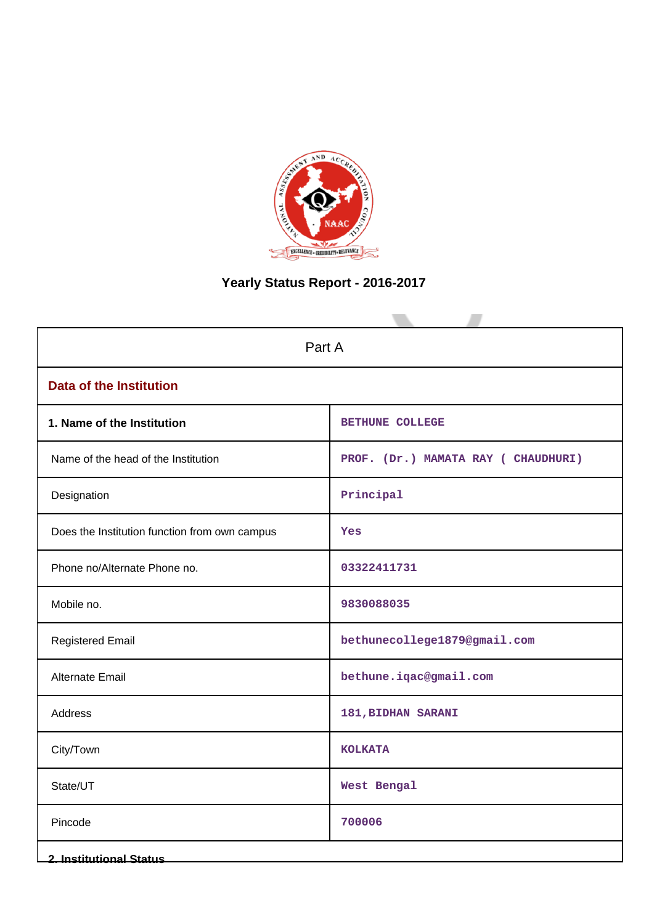

# **Yearly Status Report - 2016-2017**

| Part A                                        |                                    |  |  |
|-----------------------------------------------|------------------------------------|--|--|
| <b>Data of the Institution</b>                |                                    |  |  |
| 1. Name of the Institution                    | BETHUNE COLLEGE                    |  |  |
| Name of the head of the Institution           | PROF. (Dr.) MAMATA RAY (CHAUDHURI) |  |  |
| Designation                                   | Principal                          |  |  |
| Does the Institution function from own campus | Yes                                |  |  |
| Phone no/Alternate Phone no.                  | 03322411731                        |  |  |
| Mobile no.                                    | 9830088035                         |  |  |
| <b>Registered Email</b>                       | bethunecollege1879@gmail.com       |  |  |
| <b>Alternate Email</b>                        | bethune.iqac@gmail.com             |  |  |
| Address                                       | 181, BIDHAN SARANI                 |  |  |
| City/Town                                     | <b>KOLKATA</b>                     |  |  |
| State/UT                                      | West Bengal                        |  |  |
| Pincode                                       | 700006                             |  |  |
| <b>2. Institutional Status</b>                |                                    |  |  |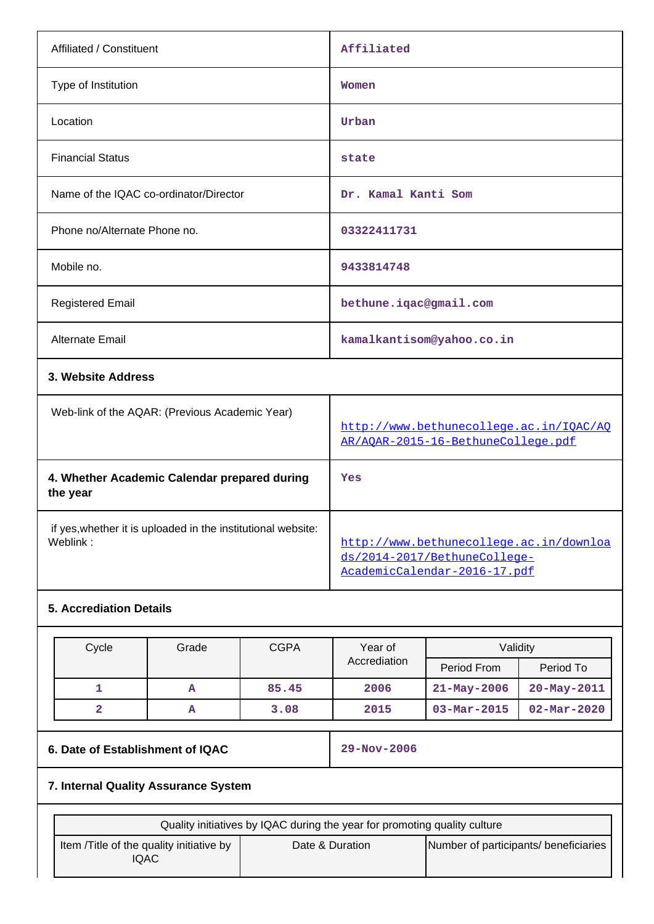| Affiliated / Constituent                                                 | Affiliated                                                                                              |
|--------------------------------------------------------------------------|---------------------------------------------------------------------------------------------------------|
| Type of Institution                                                      | Women                                                                                                   |
| Location                                                                 | Urban                                                                                                   |
| <b>Financial Status</b>                                                  | state                                                                                                   |
| Name of the IQAC co-ordinator/Director                                   | Dr. Kamal Kanti Som                                                                                     |
| Phone no/Alternate Phone no.                                             | 03322411731                                                                                             |
| Mobile no.                                                               | 9433814748                                                                                              |
| <b>Registered Email</b>                                                  | bethune.iqac@gmail.com                                                                                  |
| Alternate Email                                                          | kamalkantisom@yahoo.co.in                                                                               |
| 3. Website Address                                                       |                                                                                                         |
| Web-link of the AQAR: (Previous Academic Year)                           | http://www.bethunecollege.ac.in/IOAC/AO<br>AR/AQAR-2015-16-BethuneCollege.pdf                           |
| 4. Whether Academic Calendar prepared during<br>the year                 | Yes                                                                                                     |
| if yes, whether it is uploaded in the institutional website:<br>Weblink: | http://www.bethunecollege.ac.in/downloa<br>ds/2014-2017/BethuneCollege-<br>AcademicCalendar-2016-17.pdf |
| <b>5. Accrediation Details</b>                                           |                                                                                                         |
|                                                                          |                                                                                                         |

| Cycle | Grade | <b>CGPA</b> | Year of      | Validity                 |                          |
|-------|-------|-------------|--------------|--------------------------|--------------------------|
|       |       |             | Accrediation | Period From              | Period To                |
|       | A     | 85.45       | 2006         | $21 - May - 2006$        | $20 - May - 2011$        |
|       | A     | 3.08        | 2015         | $03 - \text{Mar} - 2015$ | $02 - \text{Mar} - 2020$ |

# **6. Date of Establishment of IQAC 29-Nov-2006**

# **7. Internal Quality Assurance System**

| Quality initiatives by IQAC during the year for promoting quality culture |  |                 |                                       |
|---------------------------------------------------------------------------|--|-----------------|---------------------------------------|
| Item / Title of the quality initiative by<br>IQAC                         |  | Date & Duration | Number of participants/ beneficiaries |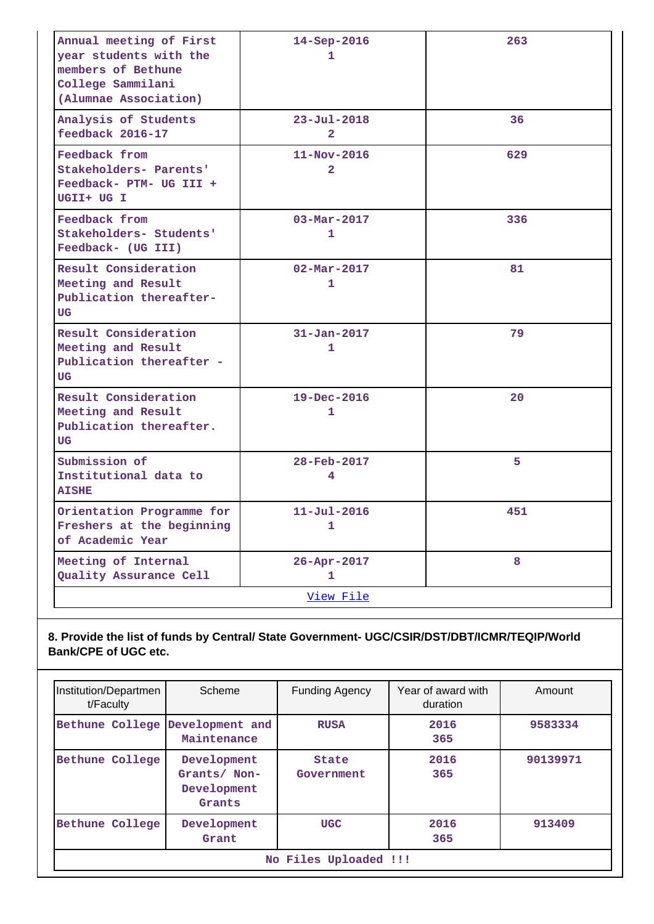| Annual meeting of First<br>year students with the<br>members of Bethune<br>College Sammilani | 14-Sep-2016<br>1                    | 263 |
|----------------------------------------------------------------------------------------------|-------------------------------------|-----|
| (Alumnae Association)                                                                        |                                     |     |
| Analysis of Students<br>feedback 2016-17                                                     | $23 - Ju1 - 2018$<br>$\overline{2}$ | 36  |
| Feedback from<br>Stakeholders- Parents'<br>Feedback- PTM- UG III +<br>UGII+ UG I             | $11 - Nov - 2016$<br>$\overline{2}$ | 629 |
| Feedback from<br>Stakeholders- Students'<br>Feedback- (UG III)                               | $03 - \text{Mar} - 2017$<br>1       | 336 |
| Result Consideration<br>Meeting and Result<br>Publication thereafter-<br>UG                  | $02 - \text{Mar} - 2017$<br>1       | 81  |
| Result Consideration<br>Meeting and Result<br>Publication thereafter -<br>UG                 | $31 - Jan - 2017$<br>1              | 79  |
| Result Consideration<br>Meeting and Result<br>Publication thereafter.<br>UG                  | 19-Dec-2016<br>1                    | 20  |
| Submission of<br>Institutional data to<br><b>AISHE</b>                                       | 28-Feb-2017<br>4                    | 5   |
| Orientation Programme for<br>Freshers at the beginning<br>of Academic Year                   | $11 - Ju1 - 2016$<br>1              | 451 |
| Meeting of Internal<br>Quality Assurance Cell                                                | 26-Apr-2017<br>1                    | 8   |
|                                                                                              | View File                           |     |

# **8. Provide the list of funds by Central/ State Government- UGC/CSIR/DST/DBT/ICMR/TEQIP/World Bank/CPE of UGC etc.**

| Institution/Departmen<br>t/Faculty | Scheme                                               | <b>Funding Agency</b>      | Year of award with<br>duration | Amount   |
|------------------------------------|------------------------------------------------------|----------------------------|--------------------------------|----------|
| Bethune College Development and    | Maintenance                                          | <b>RUSA</b>                | 2016<br>365                    | 9583334  |
| Bethune College                    | Development<br>Grants/ Non-<br>Development<br>Grants | <b>State</b><br>Government | 2016<br>365                    | 90139971 |
| Bethune College                    | Development<br>Grant                                 | <b>UGC</b>                 | 2016<br>365                    | 913409   |
|                                    | No Files Uploaded !!!                                |                            |                                |          |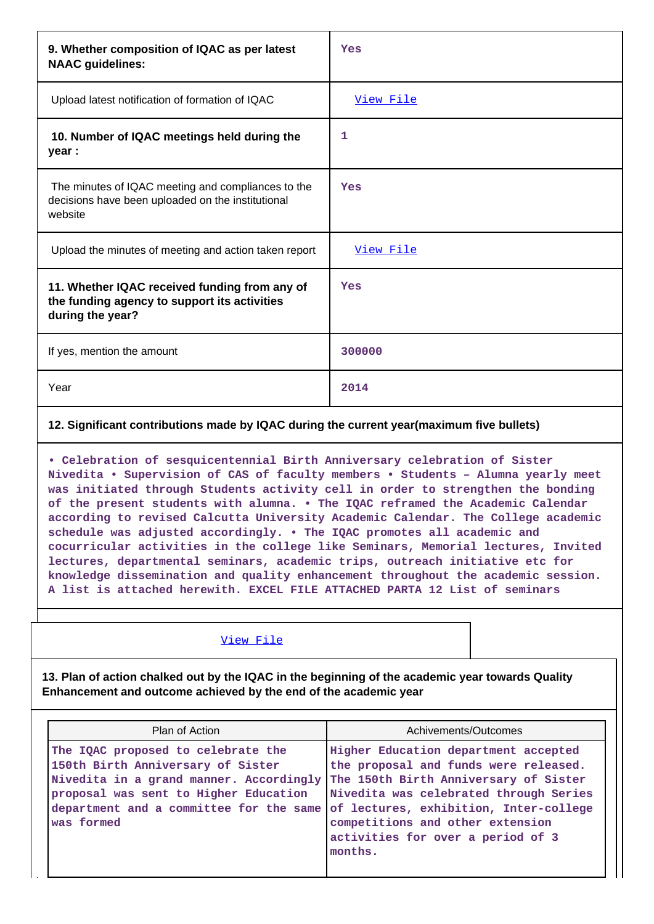| 9. Whether composition of IQAC as per latest<br><b>NAAC</b> guidelines:                                            | Yes              |
|--------------------------------------------------------------------------------------------------------------------|------------------|
| Upload latest notification of formation of IQAC                                                                    | <u>View File</u> |
| 10. Number of IQAC meetings held during the<br>year :                                                              | 1                |
| The minutes of IQAC meeting and compliances to the<br>decisions have been uploaded on the institutional<br>website | Yes              |
| Upload the minutes of meeting and action taken report                                                              | View File        |
| 11. Whether IQAC received funding from any of<br>the funding agency to support its activities<br>during the year?  | Yes              |
| If yes, mention the amount                                                                                         | 300000           |
| Year                                                                                                               | 2014             |

### **12. Significant contributions made by IQAC during the current year(maximum five bullets)**

**• Celebration of sesquicentennial Birth Anniversary celebration of Sister Nivedita • Supervision of CAS of faculty members • Students – Alumna yearly meet was initiated through Students activity cell in order to strengthen the bonding of the present students with alumna. • The IQAC reframed the Academic Calendar according to revised Calcutta University Academic Calendar. The College academic schedule was adjusted accordingly. • The IQAC promotes all academic and cocurricular activities in the college like Seminars, Memorial lectures, Invited lectures, departmental seminars, academic trips, outreach initiative etc for knowledge dissemination and quality enhancement throughout the academic session. A list is attached herewith. EXCEL FILE ATTACHED PARTA 12 List of seminars**

#### [View File](https://assessmentonline.naac.gov.in/public/Postacc/Contribution/6651_Contribution.xlsx)

**13. Plan of action chalked out by the IQAC in the beginning of the academic year towards Quality Enhancement and outcome achieved by the end of the academic year**

| Plan of Action                                                                                                                                                                                                       | Achivements/Outcomes                                                                                                                                                                                                                                                                           |  |
|----------------------------------------------------------------------------------------------------------------------------------------------------------------------------------------------------------------------|------------------------------------------------------------------------------------------------------------------------------------------------------------------------------------------------------------------------------------------------------------------------------------------------|--|
| The IQAC proposed to celebrate the<br>150th Birth Anniversary of Sister<br>Nivedita in a grand manner. Accordingly<br>proposal was sent to Higher Education<br>department and a committee for the same<br>was formed | Higher Education department accepted<br>the proposal and funds were released.<br>The 150th Birth Anniversary of Sister<br>Nivedita was celebrated through Series<br>of lectures, exhibition, Inter-college<br>competitions and other extension<br>activities for over a period of 3<br>months. |  |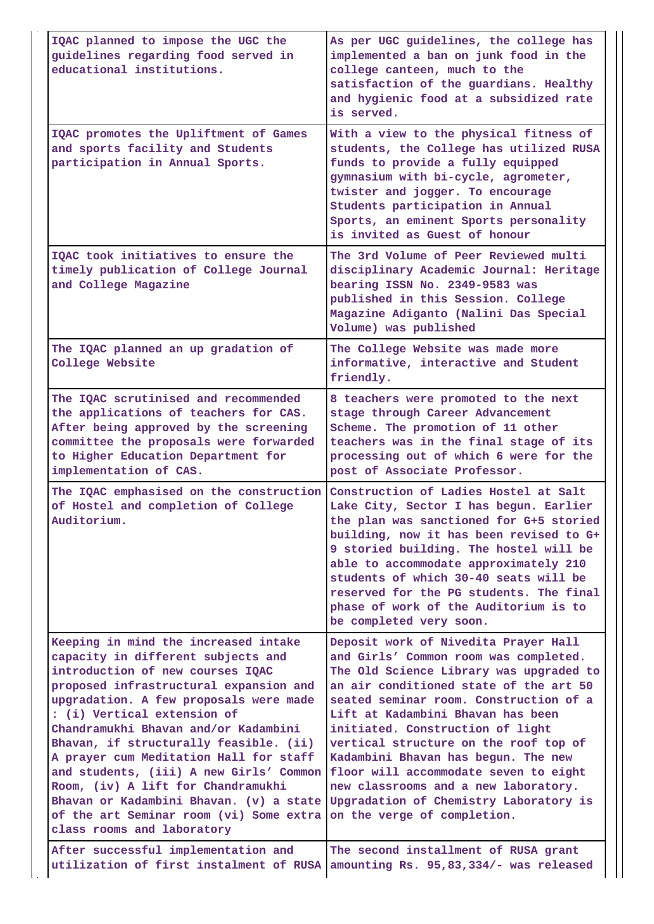| IQAC planned to impose the UGC the<br>guidelines regarding food served in<br>educational institutions.                                                                                                                                                                                                                                                                                                                                                                                                                                                                                                                                           | As per UGC guidelines, the college has<br>implemented a ban on junk food in the<br>college canteen, much to the<br>satisfaction of the guardians. Healthy<br>and hygienic food at a subsidized rate<br>is served.                                                                                                                                                                                                                                                                                                             |
|--------------------------------------------------------------------------------------------------------------------------------------------------------------------------------------------------------------------------------------------------------------------------------------------------------------------------------------------------------------------------------------------------------------------------------------------------------------------------------------------------------------------------------------------------------------------------------------------------------------------------------------------------|-------------------------------------------------------------------------------------------------------------------------------------------------------------------------------------------------------------------------------------------------------------------------------------------------------------------------------------------------------------------------------------------------------------------------------------------------------------------------------------------------------------------------------|
| IQAC promotes the Upliftment of Games<br>and sports facility and Students<br>participation in Annual Sports.                                                                                                                                                                                                                                                                                                                                                                                                                                                                                                                                     | With a view to the physical fitness of<br>students, the College has utilized RUSA<br>funds to provide a fully equipped<br>gymnasium with bi-cycle, agrometer,<br>twister and jogger. To encourage<br>Students participation in Annual<br>Sports, an eminent Sports personality<br>is invited as Guest of honour                                                                                                                                                                                                               |
| IOAC took initiatives to ensure the<br>timely publication of College Journal<br>and College Magazine                                                                                                                                                                                                                                                                                                                                                                                                                                                                                                                                             | The 3rd Volume of Peer Reviewed multi<br>disciplinary Academic Journal: Heritage<br>bearing ISSN No. 2349-9583 was<br>published in this Session. College<br>Magazine Adiganto (Nalini Das Special<br>Volume) was published                                                                                                                                                                                                                                                                                                    |
| The IQAC planned an up gradation of<br>College Website                                                                                                                                                                                                                                                                                                                                                                                                                                                                                                                                                                                           | The College Website was made more<br>informative, interactive and Student<br>friendly.                                                                                                                                                                                                                                                                                                                                                                                                                                        |
| The IQAC scrutinised and recommended<br>the applications of teachers for CAS.<br>After being approved by the screening<br>committee the proposals were forwarded<br>to Higher Education Department for<br>implementation of CAS.                                                                                                                                                                                                                                                                                                                                                                                                                 | 8 teachers were promoted to the next<br>stage through Career Advancement<br>Scheme. The promotion of 11 other<br>teachers was in the final stage of its<br>processing out of which 6 were for the<br>post of Associate Professor.                                                                                                                                                                                                                                                                                             |
| The IQAC emphasised on the construction Construction of Ladies Hostel at Salt<br>of Hostel and completion of College<br>Auditorium.                                                                                                                                                                                                                                                                                                                                                                                                                                                                                                              | Lake City, Sector I has begun. Earlier<br>the plan was sanctioned for G+5 storied<br>building, now it has been revised to G+<br>9 storied building. The hostel will be<br>able to accommodate approximately 210<br>students of which 30-40 seats will be<br>reserved for the PG students. The final<br>phase of work of the Auditorium is to<br>be completed very soon.                                                                                                                                                       |
| Keeping in mind the increased intake<br>capacity in different subjects and<br>introduction of new courses IQAC<br>proposed infrastructural expansion and<br>upgradation. A few proposals were made<br>: (i) Vertical extension of<br>Chandramukhi Bhavan and/or Kadambini<br>Bhavan, if structurally feasible. (ii)<br>A prayer cum Meditation Hall for staff<br>and students, (iii) A new Girls' Common<br>Room, (iv) A lift for Chandramukhi<br>Bhavan or Kadambini Bhavan. (v) a state Upgradation of Chemistry Laboratory is<br>of the art Seminar room (vi) Some extra<br>class rooms and laboratory<br>After successful implementation and | Deposit work of Nivedita Prayer Hall<br>and Girls' Common room was completed.<br>The Old Science Library was upgraded to<br>an air conditioned state of the art 50<br>seated seminar room. Construction of a<br>Lift at Kadambini Bhavan has been<br>initiated. Construction of light<br>vertical structure on the roof top of<br>Kadambini Bhavan has begun. The new<br>floor will accommodate seven to eight<br>new classrooms and a new laboratory.<br>on the verge of completion.<br>The second installment of RUSA grant |
| utilization of first instalment of RUSA                                                                                                                                                                                                                                                                                                                                                                                                                                                                                                                                                                                                          | amounting Rs. 95,83,334/- was released                                                                                                                                                                                                                                                                                                                                                                                                                                                                                        |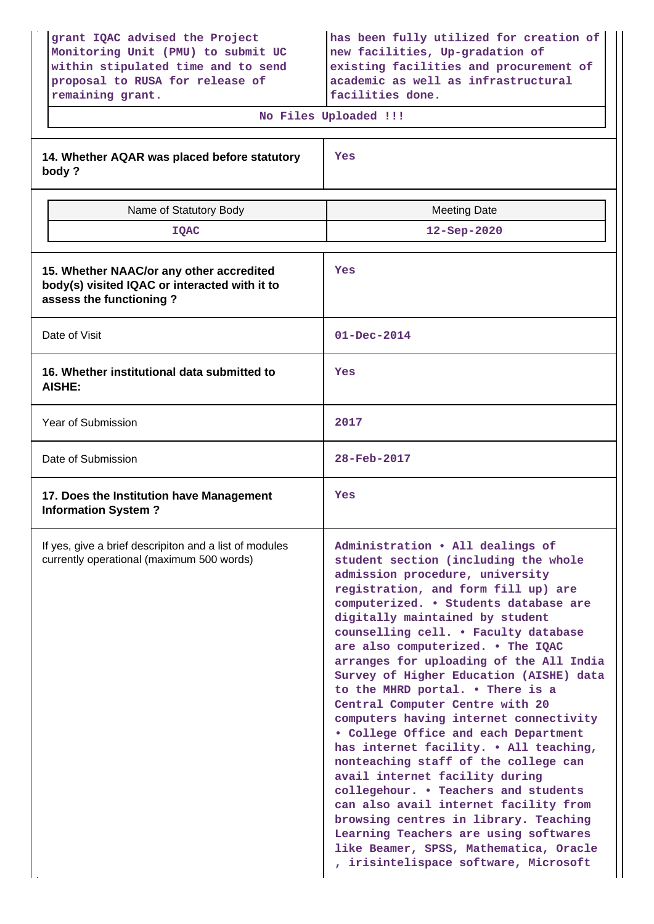| grant IQAC advised the Project<br>Monitoring Unit (PMU) to submit UC<br>within stipulated time and to send<br>proposal to RUSA for release of<br>remaining grant. | has been fully utilized for creation of<br>new facilities, Up-gradation of<br>existing facilities and procurement of<br>academic as well as infrastructural<br>facilities done.                                                                                                                                                                                                                                                                                                                                                                                                                                                                                                                                                                                                                                                                                                                                                      |  |  |
|-------------------------------------------------------------------------------------------------------------------------------------------------------------------|--------------------------------------------------------------------------------------------------------------------------------------------------------------------------------------------------------------------------------------------------------------------------------------------------------------------------------------------------------------------------------------------------------------------------------------------------------------------------------------------------------------------------------------------------------------------------------------------------------------------------------------------------------------------------------------------------------------------------------------------------------------------------------------------------------------------------------------------------------------------------------------------------------------------------------------|--|--|
|                                                                                                                                                                   | No Files Uploaded !!!                                                                                                                                                                                                                                                                                                                                                                                                                                                                                                                                                                                                                                                                                                                                                                                                                                                                                                                |  |  |
| 14. Whether AQAR was placed before statutory<br>body?                                                                                                             | Yes                                                                                                                                                                                                                                                                                                                                                                                                                                                                                                                                                                                                                                                                                                                                                                                                                                                                                                                                  |  |  |
| Name of Statutory Body                                                                                                                                            | <b>Meeting Date</b>                                                                                                                                                                                                                                                                                                                                                                                                                                                                                                                                                                                                                                                                                                                                                                                                                                                                                                                  |  |  |
| <b>IQAC</b>                                                                                                                                                       | 12-Sep-2020                                                                                                                                                                                                                                                                                                                                                                                                                                                                                                                                                                                                                                                                                                                                                                                                                                                                                                                          |  |  |
| 15. Whether NAAC/or any other accredited<br>body(s) visited IQAC or interacted with it to<br>assess the functioning?                                              | Yes                                                                                                                                                                                                                                                                                                                                                                                                                                                                                                                                                                                                                                                                                                                                                                                                                                                                                                                                  |  |  |
| Date of Visit                                                                                                                                                     | $01 - Dec - 2014$                                                                                                                                                                                                                                                                                                                                                                                                                                                                                                                                                                                                                                                                                                                                                                                                                                                                                                                    |  |  |
| 16. Whether institutional data submitted to<br><b>AISHE:</b>                                                                                                      | Yes                                                                                                                                                                                                                                                                                                                                                                                                                                                                                                                                                                                                                                                                                                                                                                                                                                                                                                                                  |  |  |
| Year of Submission                                                                                                                                                | 2017                                                                                                                                                                                                                                                                                                                                                                                                                                                                                                                                                                                                                                                                                                                                                                                                                                                                                                                                 |  |  |
| Date of Submission                                                                                                                                                | 28-Feb-2017                                                                                                                                                                                                                                                                                                                                                                                                                                                                                                                                                                                                                                                                                                                                                                                                                                                                                                                          |  |  |
| 17. Does the Institution have Management<br><b>Information System?</b>                                                                                            | Yes                                                                                                                                                                                                                                                                                                                                                                                                                                                                                                                                                                                                                                                                                                                                                                                                                                                                                                                                  |  |  |
| If yes, give a brief descripiton and a list of modules<br>currently operational (maximum 500 words)                                                               | Administration . All dealings of<br>student section (including the whole<br>admission procedure, university<br>registration, and form fill up) are<br>computerized. . Students database are<br>digitally maintained by student<br>counselling cell. . Faculty database<br>are also computerized. . The IQAC<br>arranges for uploading of the All India<br>Survey of Higher Education (AISHE) data<br>to the MHRD portal. . There is a<br>Central Computer Centre with 20<br>computers having internet connectivity<br>. College Office and each Department<br>has internet facility. . All teaching,<br>nonteaching staff of the college can<br>avail internet facility during<br>collegehour. . Teachers and students<br>can also avail internet facility from<br>browsing centres in library. Teaching<br>Learning Teachers are using softwares<br>like Beamer, SPSS, Mathematica, Oracle<br>, irisintelispace software, Microsoft |  |  |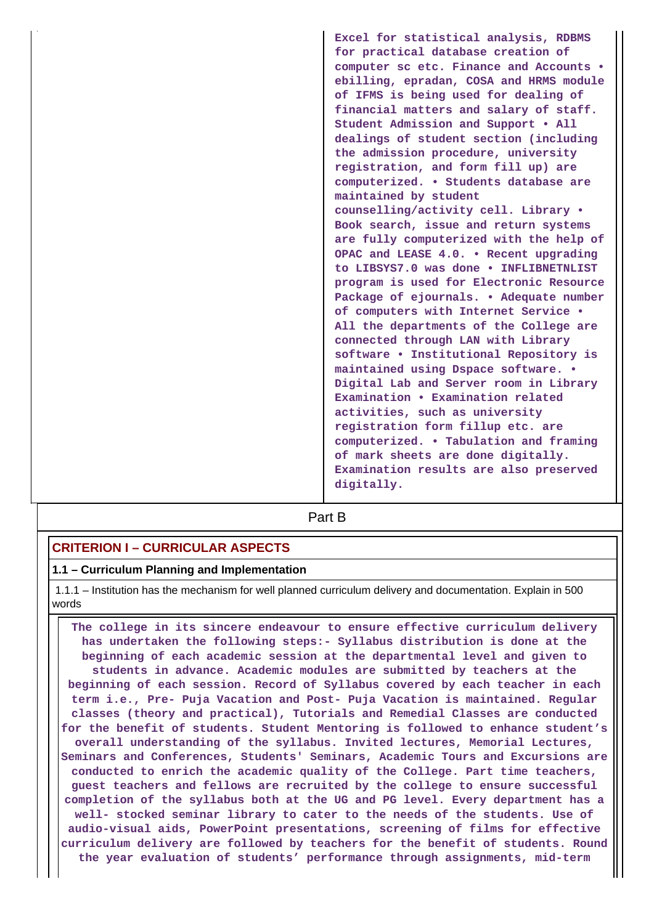**Excel for statistical analysis, RDBMS for practical database creation of computer sc etc. Finance and Accounts • ebilling, epradan, COSA and HRMS module of IFMS is being used for dealing of financial matters and salary of staff. Student Admission and Support • All dealings of student section (including the admission procedure, university registration, and form fill up) are computerized. • Students database are maintained by student counselling/activity cell. Library • Book search, issue and return systems are fully computerized with the help of OPAC and LEASE 4.0. • Recent upgrading to LIBSYS7.0 was done • INFLIBNETNLIST program is used for Electronic Resource Package of ejournals. • Adequate number of computers with Internet Service • All the departments of the College are connected through LAN with Library software • Institutional Repository is maintained using Dspace software. • Digital Lab and Server room in Library Examination • Examination related activities, such as university registration form fillup etc. are computerized. • Tabulation and framing of mark sheets are done digitally. Examination results are also preserved digitally.**

# **Part B**

### **CRITERION I – CURRICULAR ASPECTS**

#### **1.1 – Curriculum Planning and Implementation**

 1.1.1 – Institution has the mechanism for well planned curriculum delivery and documentation. Explain in 500 words

 **The college in its sincere endeavour to ensure effective curriculum delivery has undertaken the following steps:- Syllabus distribution is done at the beginning of each academic session at the departmental level and given to students in advance. Academic modules are submitted by teachers at the beginning of each session. Record of Syllabus covered by each teacher in each term i.e., Pre- Puja Vacation and Post- Puja Vacation is maintained. Regular classes (theory and practical), Tutorials and Remedial Classes are conducted for the benefit of students. Student Mentoring is followed to enhance student's overall understanding of the syllabus. Invited lectures, Memorial Lectures, Seminars and Conferences, Students' Seminars, Academic Tours and Excursions are conducted to enrich the academic quality of the College. Part time teachers, guest teachers and fellows are recruited by the college to ensure successful completion of the syllabus both at the UG and PG level. Every department has a well- stocked seminar library to cater to the needs of the students. Use of audio-visual aids, PowerPoint presentations, screening of films for effective curriculum delivery are followed by teachers for the benefit of students. Round the year evaluation of students' performance through assignments, mid-term**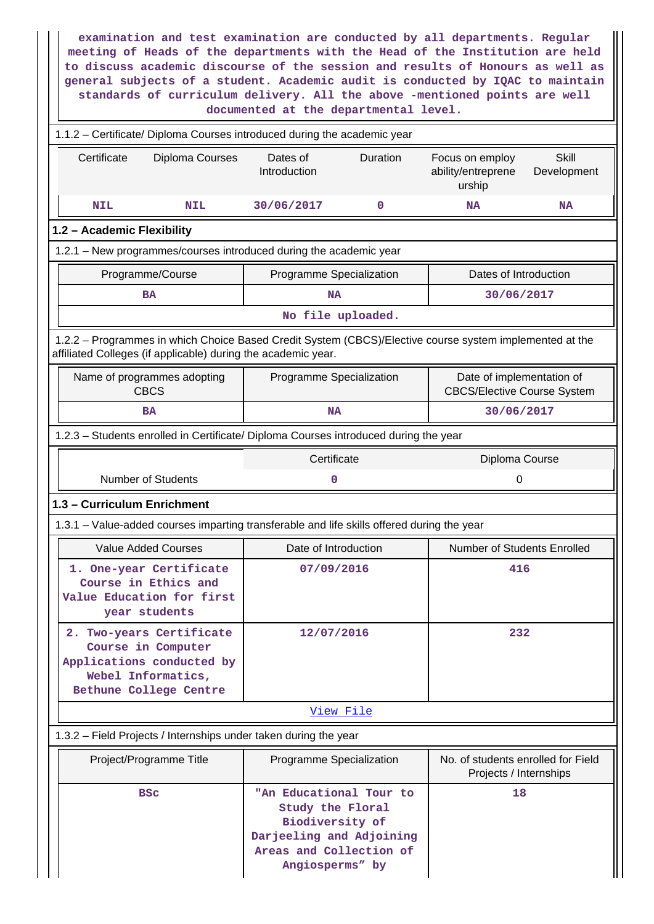| examination and test examination are conducted by all departments. Regular<br>meeting of Heads of the departments with the Head of the Institution are held<br>to discuss academic discourse of the session and results of Honours as well as<br>general subjects of a student. Academic audit is conducted by IQAC to maintain<br>standards of curriculum delivery. All the above -mentioned points are well<br>documented at the departmental level. |  |                                                                                                                                          |          |                                                                 |                             |
|--------------------------------------------------------------------------------------------------------------------------------------------------------------------------------------------------------------------------------------------------------------------------------------------------------------------------------------------------------------------------------------------------------------------------------------------------------|--|------------------------------------------------------------------------------------------------------------------------------------------|----------|-----------------------------------------------------------------|-----------------------------|
| 1.1.2 - Certificate/ Diploma Courses introduced during the academic year                                                                                                                                                                                                                                                                                                                                                                               |  |                                                                                                                                          |          |                                                                 |                             |
| Certificate<br>Diploma Courses                                                                                                                                                                                                                                                                                                                                                                                                                         |  | Dates of<br>Introduction                                                                                                                 | Duration | Focus on employ<br>ability/entreprene<br>urship                 | <b>Skill</b><br>Development |
| <b>NIL</b><br><b>NIL</b>                                                                                                                                                                                                                                                                                                                                                                                                                               |  | 30/06/2017                                                                                                                               | 0        | NA                                                              | NA                          |
| 1.2 - Academic Flexibility                                                                                                                                                                                                                                                                                                                                                                                                                             |  |                                                                                                                                          |          |                                                                 |                             |
| 1.2.1 - New programmes/courses introduced during the academic year                                                                                                                                                                                                                                                                                                                                                                                     |  |                                                                                                                                          |          |                                                                 |                             |
| Programme/Course                                                                                                                                                                                                                                                                                                                                                                                                                                       |  | Programme Specialization                                                                                                                 |          | Dates of Introduction                                           |                             |
| <b>BA</b>                                                                                                                                                                                                                                                                                                                                                                                                                                              |  | <b>NA</b>                                                                                                                                |          | 30/06/2017                                                      |                             |
|                                                                                                                                                                                                                                                                                                                                                                                                                                                        |  | No file uploaded.                                                                                                                        |          |                                                                 |                             |
| 1.2.2 - Programmes in which Choice Based Credit System (CBCS)/Elective course system implemented at the<br>affiliated Colleges (if applicable) during the academic year.                                                                                                                                                                                                                                                                               |  |                                                                                                                                          |          |                                                                 |                             |
| Name of programmes adopting<br><b>CBCS</b>                                                                                                                                                                                                                                                                                                                                                                                                             |  | Programme Specialization                                                                                                                 |          | Date of implementation of<br><b>CBCS/Elective Course System</b> |                             |
| <b>BA</b>                                                                                                                                                                                                                                                                                                                                                                                                                                              |  | <b>NA</b>                                                                                                                                |          | 30/06/2017                                                      |                             |
| 1.2.3 - Students enrolled in Certificate/ Diploma Courses introduced during the year                                                                                                                                                                                                                                                                                                                                                                   |  |                                                                                                                                          |          |                                                                 |                             |
| Certificate<br>Diploma Course                                                                                                                                                                                                                                                                                                                                                                                                                          |  |                                                                                                                                          |          |                                                                 |                             |
| <b>Number of Students</b>                                                                                                                                                                                                                                                                                                                                                                                                                              |  | 0                                                                                                                                        |          | 0                                                               |                             |
| 1.3 - Curriculum Enrichment                                                                                                                                                                                                                                                                                                                                                                                                                            |  |                                                                                                                                          |          |                                                                 |                             |
| 1.3.1 – Value-added courses imparting transferable and life skills offered during the year                                                                                                                                                                                                                                                                                                                                                             |  |                                                                                                                                          |          |                                                                 |                             |
| <b>Value Added Courses</b>                                                                                                                                                                                                                                                                                                                                                                                                                             |  | Date of Introduction                                                                                                                     |          | Number of Students Enrolled                                     |                             |
| 1. One-year Certificate<br>Course in Ethics and<br>Value Education for first<br>year students                                                                                                                                                                                                                                                                                                                                                          |  | 416<br>07/09/2016                                                                                                                        |          |                                                                 |                             |
| 2. Two-years Certificate<br>Course in Computer<br>Applications conducted by<br>Webel Informatics,<br>Bethune College Centre                                                                                                                                                                                                                                                                                                                            |  | 12/07/2016                                                                                                                               |          | 232                                                             |                             |
|                                                                                                                                                                                                                                                                                                                                                                                                                                                        |  | View File                                                                                                                                |          |                                                                 |                             |
| 1.3.2 - Field Projects / Internships under taken during the year                                                                                                                                                                                                                                                                                                                                                                                       |  |                                                                                                                                          |          |                                                                 |                             |
| Project/Programme Title                                                                                                                                                                                                                                                                                                                                                                                                                                |  | Programme Specialization                                                                                                                 |          | No. of students enrolled for Field<br>Projects / Internships    |                             |
| <b>BSC</b>                                                                                                                                                                                                                                                                                                                                                                                                                                             |  | "An Educational Tour to<br>Study the Floral<br>Biodiversity of<br>Darjeeling and Adjoining<br>Areas and Collection of<br>Angiosperms" by |          | 18                                                              |                             |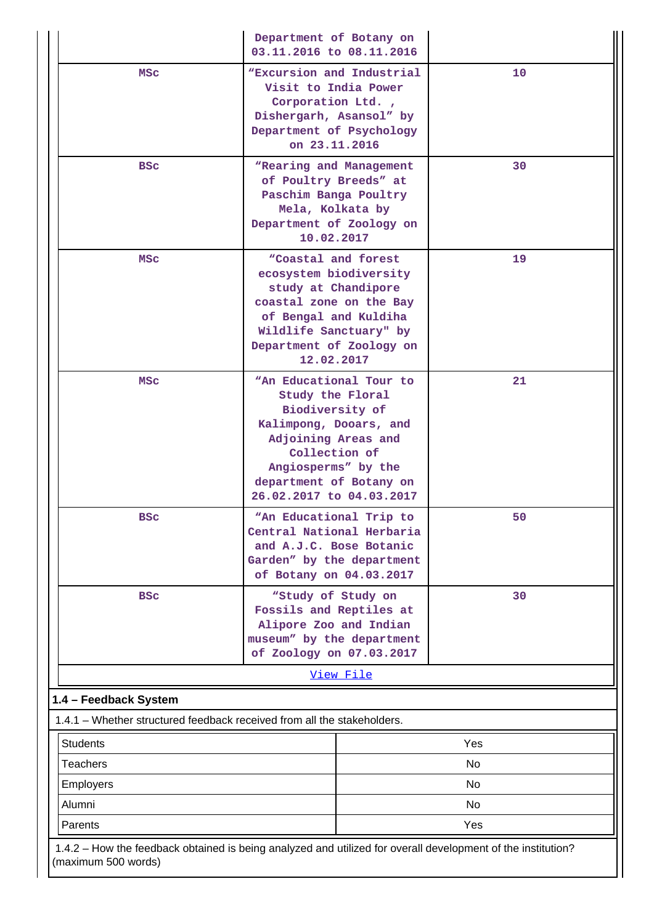|                       | Department of Botany on<br>03.11.2016 to 08.11.2016                                                                                                                                                            |     |  |
|-----------------------|----------------------------------------------------------------------------------------------------------------------------------------------------------------------------------------------------------------|-----|--|
| MSC                   | <i>NExcursion and Industrial</i><br>Visit to India Power<br>Corporation Ltd.,<br>Dishergarh, Asansol" by<br>Department of Psychology<br>on 23.11.2016                                                          | 10  |  |
| <b>BSC</b>            | "Rearing and Management<br>of Poultry Breeds" at<br>Paschim Banga Poultry<br>Mela, Kolkata by<br>Department of Zoology on<br>10.02.2017                                                                        | 30  |  |
| MSC                   | "Coastal and forest<br>ecosystem biodiversity<br>study at Chandipore<br>coastal zone on the Bay<br>of Bengal and Kuldiha<br>Wildlife Sanctuary" by<br>Department of Zoology on<br>12.02.2017                   | 19  |  |
| MSC                   | "An Educational Tour to<br>Study the Floral<br>Biodiversity of<br>Kalimpong, Dooars, and<br>Adjoining Areas and<br>Collection of<br>Angiosperms" by the<br>department of Botany on<br>26.02.2017 to 04.03.2017 | 21  |  |
| <b>BSC</b>            | "An Educational Trip to<br>Central National Herbaria<br>and A.J.C. Bose Botanic<br>Garden" by the department<br>of Botany on 04.03.2017                                                                        | 50  |  |
| <b>BSC</b>            | "Study of Study on<br>Fossils and Reptiles at<br>Alipore Zoo and Indian<br>museum" by the department<br>of Zoology on 07.03.2017                                                                               | 30  |  |
|                       | View File                                                                                                                                                                                                      |     |  |
| 1.4 - Feedback System | 1.4.1 – Whether structured feedback received from all the stakeholders.                                                                                                                                        |     |  |
| <b>Students</b>       |                                                                                                                                                                                                                | Yes |  |
| <b>Teachers</b>       |                                                                                                                                                                                                                | No  |  |
| Employers             |                                                                                                                                                                                                                | No  |  |
| Alumni                |                                                                                                                                                                                                                | No  |  |
| Parents               |                                                                                                                                                                                                                | Yes |  |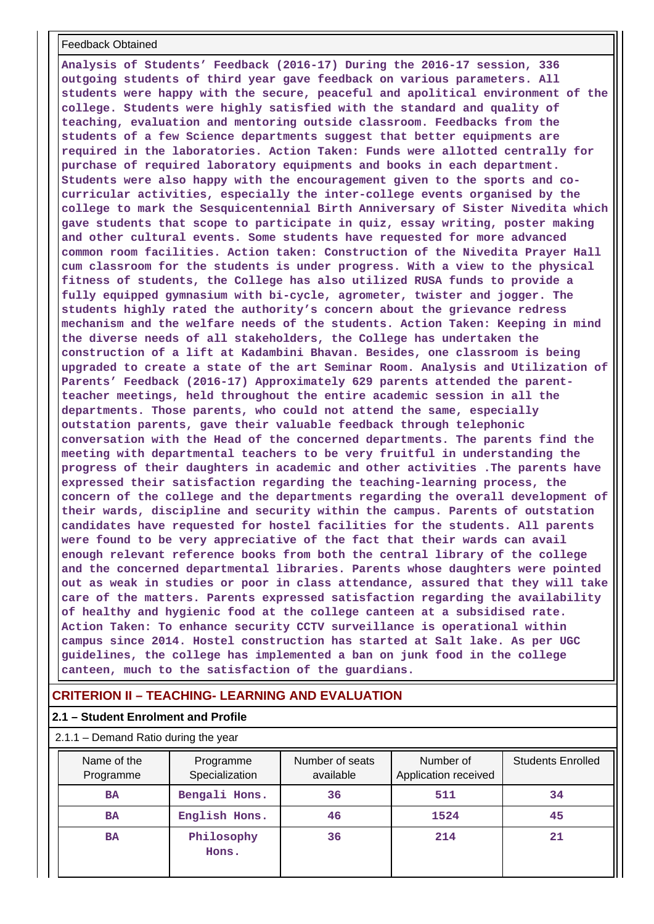#### Feedback Obtained

**Analysis of Students' Feedback (2016-17) During the 2016-17 session, 336 outgoing students of third year gave feedback on various parameters. All students were happy with the secure, peaceful and apolitical environment of the college. Students were highly satisfied with the standard and quality of teaching, evaluation and mentoring outside classroom. Feedbacks from the students of a few Science departments suggest that better equipments are required in the laboratories. Action Taken: Funds were allotted centrally for purchase of required laboratory equipments and books in each department. Students were also happy with the encouragement given to the sports and cocurricular activities, especially the inter-college events organised by the college to mark the Sesquicentennial Birth Anniversary of Sister Nivedita which gave students that scope to participate in quiz, essay writing, poster making and other cultural events. Some students have requested for more advanced common room facilities. Action taken: Construction of the Nivedita Prayer Hall cum classroom for the students is under progress. With a view to the physical fitness of students, the College has also utilized RUSA funds to provide a fully equipped gymnasium with bi-cycle, agrometer, twister and jogger. The students highly rated the authority's concern about the grievance redress mechanism and the welfare needs of the students. Action Taken: Keeping in mind the diverse needs of all stakeholders, the College has undertaken the construction of a lift at Kadambini Bhavan. Besides, one classroom is being upgraded to create a state of the art Seminar Room. Analysis and Utilization of Parents' Feedback (2016-17) Approximately 629 parents attended the parentteacher meetings, held throughout the entire academic session in all the departments. Those parents, who could not attend the same, especially outstation parents, gave their valuable feedback through telephonic conversation with the Head of the concerned departments. The parents find the meeting with departmental teachers to be very fruitful in understanding the progress of their daughters in academic and other activities .The parents have expressed their satisfaction regarding the teaching-learning process, the concern of the college and the departments regarding the overall development of their wards, discipline and security within the campus. Parents of outstation candidates have requested for hostel facilities for the students. All parents were found to be very appreciative of the fact that their wards can avail enough relevant reference books from both the central library of the college and the concerned departmental libraries. Parents whose daughters were pointed out as weak in studies or poor in class attendance, assured that they will take care of the matters. Parents expressed satisfaction regarding the availability of healthy and hygienic food at the college canteen at a subsidised rate. Action Taken: To enhance security CCTV surveillance is operational within campus since 2014. Hostel construction has started at Salt lake. As per UGC guidelines, the college has implemented a ban on junk food in the college canteen, much to the satisfaction of the guardians.**

## **CRITERION II – TEACHING- LEARNING AND EVALUATION**

### **2.1 – Student Enrolment and Profile**

#### 2.1.1 – Demand Ratio during the year

| Name of the<br>Programme | Programme<br>Specialization | Number of seats<br>available | Number of<br>Application received | <b>Students Enrolled</b> |
|--------------------------|-----------------------------|------------------------------|-----------------------------------|--------------------------|
| <b>BA</b>                | Bengali Hons.               | 36                           | 511                               | 34                       |
| <b>BA</b>                | English Hons.               | 46                           | 1524                              | 45                       |
| <b>BA</b>                | Philosophy<br>Hons.         | 36                           | 214                               | 21                       |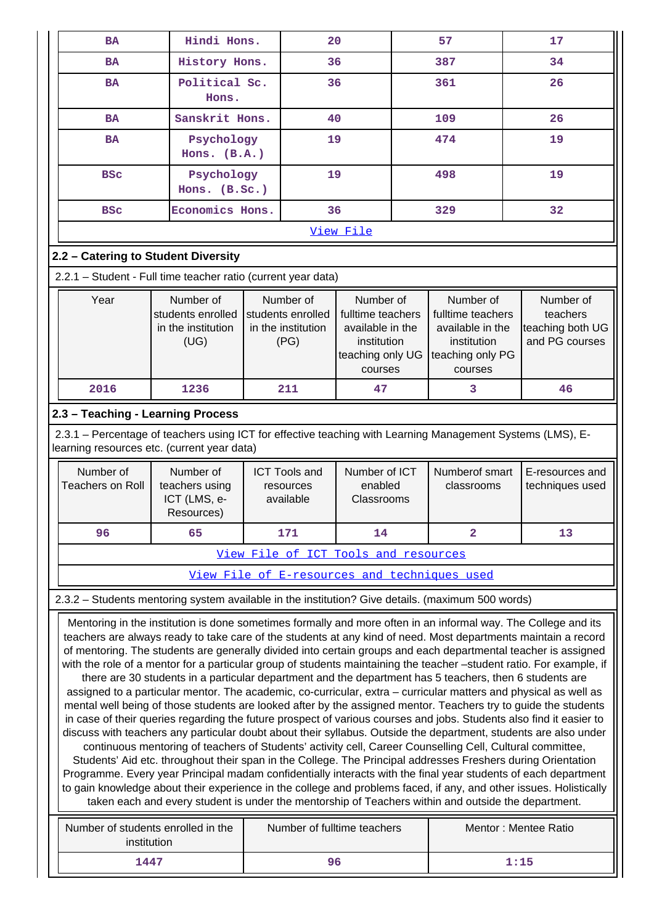| <b>BA</b>                                                                                                                                                                                                                                                                                                                                                                                                                                                                                                                                                                                                                                                                                                                                                                                                                                                                                                                                                                                                                                                                                                                                                                                                                                                                                 | Hindi Hons.                                                                                                                                                                                                                      |                                                | 20                                                                                               | 57                                                                                                         | 17                                 |  |  |  |
|-------------------------------------------------------------------------------------------------------------------------------------------------------------------------------------------------------------------------------------------------------------------------------------------------------------------------------------------------------------------------------------------------------------------------------------------------------------------------------------------------------------------------------------------------------------------------------------------------------------------------------------------------------------------------------------------------------------------------------------------------------------------------------------------------------------------------------------------------------------------------------------------------------------------------------------------------------------------------------------------------------------------------------------------------------------------------------------------------------------------------------------------------------------------------------------------------------------------------------------------------------------------------------------------|----------------------------------------------------------------------------------------------------------------------------------------------------------------------------------------------------------------------------------|------------------------------------------------|--------------------------------------------------------------------------------------------------|------------------------------------------------------------------------------------------------------------|------------------------------------|--|--|--|
| <b>BA</b>                                                                                                                                                                                                                                                                                                                                                                                                                                                                                                                                                                                                                                                                                                                                                                                                                                                                                                                                                                                                                                                                                                                                                                                                                                                                                 | History Hons.                                                                                                                                                                                                                    |                                                | 36                                                                                               | 387                                                                                                        | 34                                 |  |  |  |
| <b>BA</b>                                                                                                                                                                                                                                                                                                                                                                                                                                                                                                                                                                                                                                                                                                                                                                                                                                                                                                                                                                                                                                                                                                                                                                                                                                                                                 | Political Sc.<br>Hons.                                                                                                                                                                                                           |                                                | 36                                                                                               | 361                                                                                                        | 26                                 |  |  |  |
| <b>BA</b>                                                                                                                                                                                                                                                                                                                                                                                                                                                                                                                                                                                                                                                                                                                                                                                                                                                                                                                                                                                                                                                                                                                                                                                                                                                                                 | Sanskrit Hons.                                                                                                                                                                                                                   |                                                | 40                                                                                               | 109                                                                                                        | 26                                 |  |  |  |
| <b>BA</b>                                                                                                                                                                                                                                                                                                                                                                                                                                                                                                                                                                                                                                                                                                                                                                                                                                                                                                                                                                                                                                                                                                                                                                                                                                                                                 | Psychology<br>Hons. $(B.A.)$                                                                                                                                                                                                     |                                                | 19                                                                                               | 474                                                                                                        | 19                                 |  |  |  |
| <b>BSC</b>                                                                                                                                                                                                                                                                                                                                                                                                                                                                                                                                                                                                                                                                                                                                                                                                                                                                                                                                                                                                                                                                                                                                                                                                                                                                                | Psychology<br>Hons. (B.Sc.)                                                                                                                                                                                                      |                                                | 19                                                                                               | 498                                                                                                        | 19                                 |  |  |  |
| <b>BSC</b>                                                                                                                                                                                                                                                                                                                                                                                                                                                                                                                                                                                                                                                                                                                                                                                                                                                                                                                                                                                                                                                                                                                                                                                                                                                                                | Economics Hons.                                                                                                                                                                                                                  |                                                | 36                                                                                               | 329                                                                                                        | 32                                 |  |  |  |
|                                                                                                                                                                                                                                                                                                                                                                                                                                                                                                                                                                                                                                                                                                                                                                                                                                                                                                                                                                                                                                                                                                                                                                                                                                                                                           |                                                                                                                                                                                                                                  |                                                | View File                                                                                        |                                                                                                            |                                    |  |  |  |
| 2.2 - Catering to Student Diversity                                                                                                                                                                                                                                                                                                                                                                                                                                                                                                                                                                                                                                                                                                                                                                                                                                                                                                                                                                                                                                                                                                                                                                                                                                                       |                                                                                                                                                                                                                                  |                                                |                                                                                                  |                                                                                                            |                                    |  |  |  |
| 2.2.1 - Student - Full time teacher ratio (current year data)                                                                                                                                                                                                                                                                                                                                                                                                                                                                                                                                                                                                                                                                                                                                                                                                                                                                                                                                                                                                                                                                                                                                                                                                                             |                                                                                                                                                                                                                                  |                                                |                                                                                                  |                                                                                                            |                                    |  |  |  |
| Year                                                                                                                                                                                                                                                                                                                                                                                                                                                                                                                                                                                                                                                                                                                                                                                                                                                                                                                                                                                                                                                                                                                                                                                                                                                                                      | Number of<br>Number of<br>Number of<br>students enrolled<br>students enrolled<br>fulltime teachers<br>in the institution<br>in the institution<br>available in the<br>(UG)<br>(PG)<br>institution<br>teaching only UG<br>courses |                                                | Number of<br>fulltime teachers<br>available in the<br>institution<br>teaching only PG<br>courses | Number of<br>teachers<br>teaching both UG<br>and PG courses                                                |                                    |  |  |  |
| 2016                                                                                                                                                                                                                                                                                                                                                                                                                                                                                                                                                                                                                                                                                                                                                                                                                                                                                                                                                                                                                                                                                                                                                                                                                                                                                      | 1236                                                                                                                                                                                                                             | 211                                            | 47                                                                                               | 3                                                                                                          | 46                                 |  |  |  |
| 2.3 - Teaching - Learning Process                                                                                                                                                                                                                                                                                                                                                                                                                                                                                                                                                                                                                                                                                                                                                                                                                                                                                                                                                                                                                                                                                                                                                                                                                                                         |                                                                                                                                                                                                                                  |                                                |                                                                                                  |                                                                                                            |                                    |  |  |  |
| learning resources etc. (current year data)                                                                                                                                                                                                                                                                                                                                                                                                                                                                                                                                                                                                                                                                                                                                                                                                                                                                                                                                                                                                                                                                                                                                                                                                                                               |                                                                                                                                                                                                                                  |                                                |                                                                                                  | 2.3.1 - Percentage of teachers using ICT for effective teaching with Learning Management Systems (LMS), E- |                                    |  |  |  |
| Number of<br><b>Teachers on Roll</b>                                                                                                                                                                                                                                                                                                                                                                                                                                                                                                                                                                                                                                                                                                                                                                                                                                                                                                                                                                                                                                                                                                                                                                                                                                                      | Number of<br>teachers using<br>ICT (LMS, e-<br>Resources)                                                                                                                                                                        | <b>ICT Tools and</b><br>resources<br>available | Number of ICT<br>enabled<br>Classrooms                                                           | Numberof smart<br>classrooms                                                                               | E-resources and<br>techniques used |  |  |  |
| 96                                                                                                                                                                                                                                                                                                                                                                                                                                                                                                                                                                                                                                                                                                                                                                                                                                                                                                                                                                                                                                                                                                                                                                                                                                                                                        | 65                                                                                                                                                                                                                               | 171                                            | 14                                                                                               | $\overline{\mathbf{2}}$                                                                                    | 13                                 |  |  |  |
|                                                                                                                                                                                                                                                                                                                                                                                                                                                                                                                                                                                                                                                                                                                                                                                                                                                                                                                                                                                                                                                                                                                                                                                                                                                                                           |                                                                                                                                                                                                                                  | View File of ICT Tools and resources           |                                                                                                  |                                                                                                            |                                    |  |  |  |
|                                                                                                                                                                                                                                                                                                                                                                                                                                                                                                                                                                                                                                                                                                                                                                                                                                                                                                                                                                                                                                                                                                                                                                                                                                                                                           |                                                                                                                                                                                                                                  |                                                |                                                                                                  | View File of E-resources and techniques used                                                               |                                    |  |  |  |
|                                                                                                                                                                                                                                                                                                                                                                                                                                                                                                                                                                                                                                                                                                                                                                                                                                                                                                                                                                                                                                                                                                                                                                                                                                                                                           |                                                                                                                                                                                                                                  |                                                |                                                                                                  |                                                                                                            |                                    |  |  |  |
| 2.3.2 - Students mentoring system available in the institution? Give details. (maximum 500 words)<br>Mentoring in the institution is done sometimes formally and more often in an informal way. The College and its<br>teachers are always ready to take care of the students at any kind of need. Most departments maintain a record<br>of mentoring. The students are generally divided into certain groups and each departmental teacher is assigned<br>with the role of a mentor for a particular group of students maintaining the teacher -student ratio. For example, if<br>there are 30 students in a particular department and the department has 5 teachers, then 6 students are<br>assigned to a particular mentor. The academic, co-curricular, extra – curricular matters and physical as well as<br>mental well being of those students are looked after by the assigned mentor. Teachers try to guide the students<br>in case of their queries regarding the future prospect of various courses and jobs. Students also find it easier to<br>discuss with teachers any particular doubt about their syllabus. Outside the department, students are also under<br>continuous mentoring of teachers of Students' activity cell, Career Counselling Cell, Cultural committee, |                                                                                                                                                                                                                                  |                                                |                                                                                                  |                                                                                                            |                                    |  |  |  |

Students' Aid etc. throughout their span in the College. The Principal addresses Freshers during Orientation Programme. Every year Principal madam confidentially interacts with the final year students of each department to gain knowledge about their experience in the college and problems faced, if any, and other issues. Holistically taken each and every student is under the mentorship of Teachers within and outside the department.

| Number of students enrolled in the<br>institution | Number of fulltime teachers | Mentor: Mentee Ratio |
|---------------------------------------------------|-----------------------------|----------------------|
| 1447                                              |                             | 1:15                 |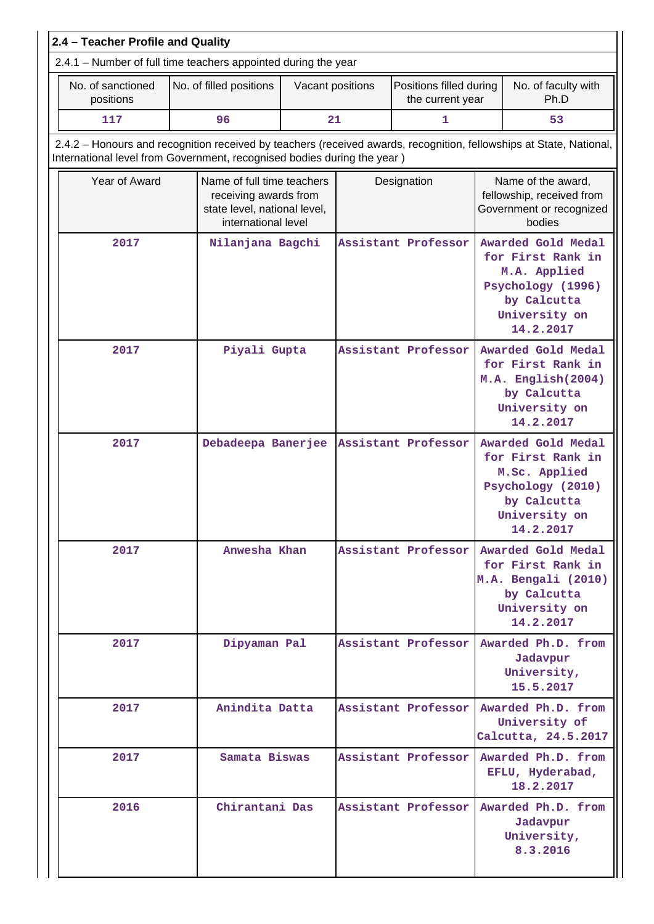|                                                                                                                                                                                                | 2.4 - Teacher Profile and Quality                              |                                                                                                            |                         |                  |             |                                                                                                            |  |                                                                                                                            |  |  |  |  |
|------------------------------------------------------------------------------------------------------------------------------------------------------------------------------------------------|----------------------------------------------------------------|------------------------------------------------------------------------------------------------------------|-------------------------|------------------|-------------|------------------------------------------------------------------------------------------------------------|--|----------------------------------------------------------------------------------------------------------------------------|--|--|--|--|
|                                                                                                                                                                                                | 2.4.1 - Number of full time teachers appointed during the year |                                                                                                            |                         |                  |             |                                                                                                            |  |                                                                                                                            |  |  |  |  |
|                                                                                                                                                                                                | No. of sanctioned<br>positions                                 |                                                                                                            | No. of filled positions | Vacant positions |             | Positions filled during<br>the current year                                                                |  | No. of faculty with<br>Ph.D                                                                                                |  |  |  |  |
|                                                                                                                                                                                                | 117                                                            |                                                                                                            | 96                      | 21               |             | 1                                                                                                          |  | 53                                                                                                                         |  |  |  |  |
| 2.4.2 - Honours and recognition received by teachers (received awards, recognition, fellowships at State, National,<br>International level from Government, recognised bodies during the year) |                                                                |                                                                                                            |                         |                  |             |                                                                                                            |  |                                                                                                                            |  |  |  |  |
|                                                                                                                                                                                                | Year of Award                                                  | Name of full time teachers<br>receiving awards from<br>state level, national level,<br>international level |                         |                  | Designation |                                                                                                            |  | Name of the award,<br>fellowship, received from<br>Government or recognized<br>bodies                                      |  |  |  |  |
|                                                                                                                                                                                                | 2017                                                           |                                                                                                            | Nilanjana Bagchi        |                  |             | Assistant Professor                                                                                        |  | Awarded Gold Medal<br>for First Rank in<br>M.A. Applied<br>Psychology (1996)<br>by Calcutta<br>University on<br>14.2.2017  |  |  |  |  |
|                                                                                                                                                                                                | 2017                                                           | Piyali Gupta<br>Assistant Professor                                                                        |                         |                  |             | Awarded Gold Medal<br>for First Rank in<br>M.A. English(2004)<br>by Calcutta<br>University on<br>14.2.2017 |  |                                                                                                                            |  |  |  |  |
|                                                                                                                                                                                                | 2017                                                           | Debadeepa Banerjee                                                                                         |                         |                  |             | Assistant Professor                                                                                        |  | Awarded Gold Medal<br>for First Rank in<br>M.Sc. Applied<br>Psychology (2010)<br>by Calcutta<br>University on<br>14.2.2017 |  |  |  |  |
|                                                                                                                                                                                                | 2017                                                           |                                                                                                            | Anwesha Khan            |                  |             | Assistant Professor                                                                                        |  | Awarded Gold Medal<br>for First Rank in<br>M.A. Bengali (2010)<br>by Calcutta<br>University on<br>14.2.2017                |  |  |  |  |
|                                                                                                                                                                                                | 2017                                                           |                                                                                                            | Dipyaman Pal            |                  |             | Assistant Professor                                                                                        |  | Awarded Ph.D. from<br>Jadavpur<br>University,<br>15.5.2017                                                                 |  |  |  |  |
|                                                                                                                                                                                                | 2017                                                           |                                                                                                            | Anindita Datta          |                  |             | Assistant Professor                                                                                        |  | Awarded Ph.D. from<br>University of<br>Calcutta, 24.5.2017                                                                 |  |  |  |  |
|                                                                                                                                                                                                | 2017                                                           |                                                                                                            | Samata Biswas           |                  |             | Assistant Professor                                                                                        |  | Awarded Ph.D. from<br>EFLU, Hyderabad,<br>18.2.2017                                                                        |  |  |  |  |
|                                                                                                                                                                                                | 2016                                                           |                                                                                                            | Chirantani Das          |                  |             | Assistant Professor                                                                                        |  | Awarded Ph.D. from<br>Jadavpur<br>University,<br>8.3.2016                                                                  |  |  |  |  |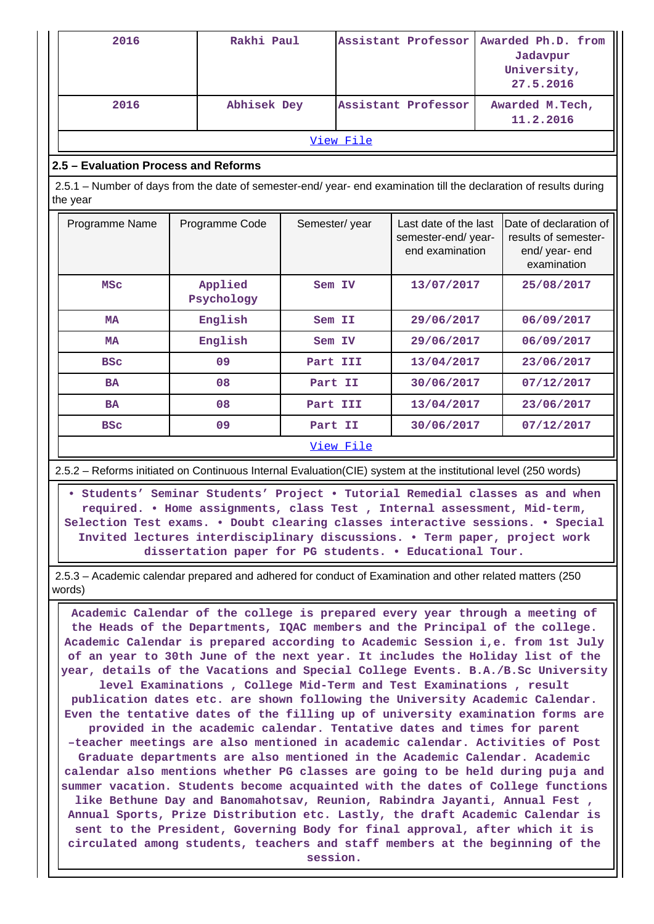| 2016                                                                                                                           |  | Rakhi Paul            |               |                                                     | Assistant Professor                                            |  | Awarded Ph.D. from<br>Jadavpur<br>University,<br>27.5.2016                      |
|--------------------------------------------------------------------------------------------------------------------------------|--|-----------------------|---------------|-----------------------------------------------------|----------------------------------------------------------------|--|---------------------------------------------------------------------------------|
| 2016<br>Abhisek Dey                                                                                                            |  |                       |               | Assistant Professor<br>Awarded M.Tech,<br>11.2.2016 |                                                                |  |                                                                                 |
|                                                                                                                                |  |                       |               | View File                                           |                                                                |  |                                                                                 |
| 2.5 - Evaluation Process and Reforms                                                                                           |  |                       |               |                                                     |                                                                |  |                                                                                 |
| 2.5.1 - Number of days from the date of semester-end/ year- end examination till the declaration of results during<br>the year |  |                       |               |                                                     |                                                                |  |                                                                                 |
| Programme Name                                                                                                                 |  | Programme Code        | Semester/year |                                                     | Last date of the last<br>semester-end/year-<br>end examination |  | Date of declaration of<br>results of semester-<br>end/ year- end<br>examination |
| <b>MSC</b>                                                                                                                     |  | Applied<br>Psychology |               | Sem IV                                              | 13/07/2017                                                     |  | 25/08/2017                                                                      |
| <b>MA</b>                                                                                                                      |  | English               |               | Sem II                                              | 29/06/2017                                                     |  | 06/09/2017                                                                      |
| MA                                                                                                                             |  | English               |               | Sem IV                                              | 29/06/2017                                                     |  | 06/09/2017                                                                      |
| <b>BSC</b>                                                                                                                     |  | 09                    | Part III      |                                                     | 13/04/2017                                                     |  | 23/06/2017                                                                      |
| <b>BA</b>                                                                                                                      |  | 08                    | Part II       |                                                     | 30/06/2017                                                     |  | 07/12/2017                                                                      |
| <b>BA</b>                                                                                                                      |  | 08                    | Part III      |                                                     | 13/04/2017                                                     |  | 23/06/2017                                                                      |
| <b>BSC</b>                                                                                                                     |  | 09                    | Part II       |                                                     | 30/06/2017                                                     |  | 07/12/2017                                                                      |
|                                                                                                                                |  |                       |               | View File                                           |                                                                |  |                                                                                 |

2.5.2 – Reforms initiated on Continuous Internal Evaluation(CIE) system at the institutional level (250 words)

 **• Students' Seminar Students' Project • Tutorial Remedial classes as and when required. • Home assignments, class Test , Internal assessment, Mid-term, Selection Test exams. • Doubt clearing classes interactive sessions. • Special Invited lectures interdisciplinary discussions. • Term paper, project work dissertation paper for PG students. • Educational Tour.**

 2.5.3 – Academic calendar prepared and adhered for conduct of Examination and other related matters (250 words)

 **Academic Calendar of the college is prepared every year through a meeting of the Heads of the Departments, IQAC members and the Principal of the college. Academic Calendar is prepared according to Academic Session i,e. from 1st July of an year to 30th June of the next year. It includes the Holiday list of the year, details of the Vacations and Special College Events. B.A./B.Sc University level Examinations , College Mid-Term and Test Examinations , result publication dates etc. are shown following the University Academic Calendar. Even the tentative dates of the filling up of university examination forms are provided in the academic calendar. Tentative dates and times for parent –teacher meetings are also mentioned in academic calendar. Activities of Post Graduate departments are also mentioned in the Academic Calendar. Academic calendar also mentions whether PG classes are going to be held during puja and summer vacation. Students become acquainted with the dates of College functions like Bethune Day and Banomahotsav, Reunion, Rabindra Jayanti, Annual Fest , Annual Sports, Prize Distribution etc. Lastly, the draft Academic Calendar is sent to the President, Governing Body for final approval, after which it is circulated among students, teachers and staff members at the beginning of the session.**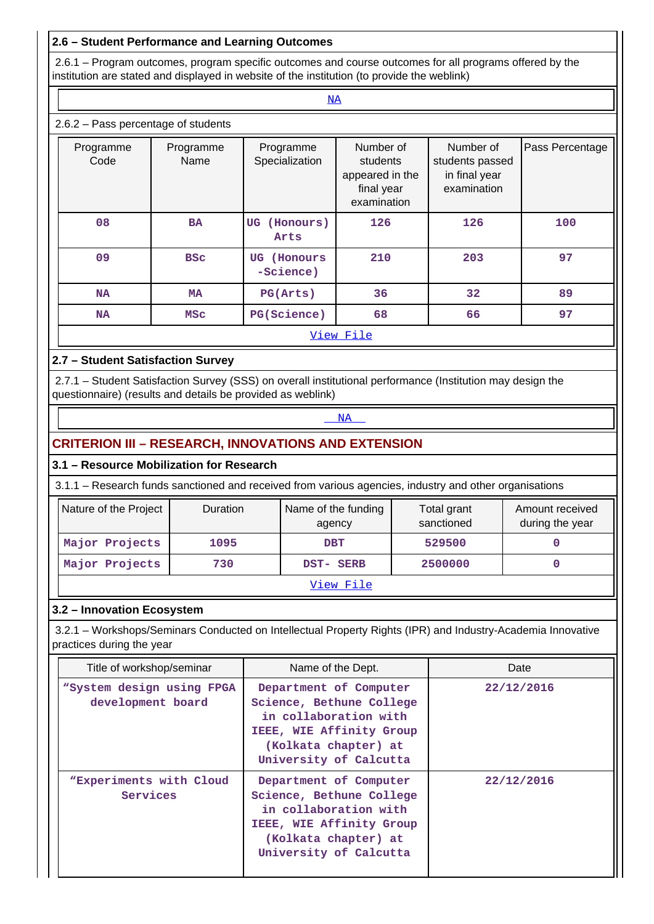# **2.6 – Student Performance and Learning Outcomes**

<u><NA></u>

 2.6.1 – Program outcomes, program specific outcomes and course outcomes for all programs offered by the institution are stated and displayed in website of the institution (to provide the weblink)

## 2.6.2 – Pass percentage of students

| Programme<br>Code | Programme<br>Name | Programme<br>Specialization | Number of<br>students<br>appeared in the<br>final year<br>examination | Number of<br>students passed<br>in final year<br>examination | Pass Percentage |  |  |  |  |
|-------------------|-------------------|-----------------------------|-----------------------------------------------------------------------|--------------------------------------------------------------|-----------------|--|--|--|--|
| 08                | <b>BA</b>         | (Honours)<br>UG<br>Arts     | 126                                                                   | 126                                                          | 100             |  |  |  |  |
| 09                | <b>BSC</b>        | (Honours<br>UG<br>-Science) | 210                                                                   | 203                                                          | 97              |  |  |  |  |
| <b>NA</b>         | MA                | PG(Arts)                    | 36                                                                    | 32                                                           | 89              |  |  |  |  |
| NA                | MSC               | PG(Science)                 | 68                                                                    | 66                                                           | 97              |  |  |  |  |
| View File         |                   |                             |                                                                       |                                                              |                 |  |  |  |  |

## **2.7 – Student Satisfaction Survey**

 2.7.1 – Student Satisfaction Survey (SSS) on overall institutional performance (Institution may design the questionnaire) (results and details be provided as weblink)

## <NA>NA PARTICIPADA E DE LA CARACTERA E DE LA CARACTERA E DE LA CARACTERA E DE LA CARACTERA E DE LA CARACTERA E D

# **CRITERION III – RESEARCH, INNOVATIONS AND EXTENSION**

### **3.1 – Resource Mobilization for Research**

3.1.1 – Research funds sanctioned and received from various agencies, industry and other organisations

| Nature of the Project | <b>Duration</b> | Name of the funding<br>agency | Total grant<br>sanctioned | Amount received<br>during the year |  |  |
|-----------------------|-----------------|-------------------------------|---------------------------|------------------------------------|--|--|
| Major Projects        | 1095            | <b>DBT</b>                    | 529500                    |                                    |  |  |
| Major Projects        | 730             | DST- SERB                     | 2500000                   |                                    |  |  |
| View File             |                 |                               |                           |                                    |  |  |

### **3.2 – Innovation Ecosystem**

 3.2.1 – Workshops/Seminars Conducted on Intellectual Property Rights (IPR) and Industry-Academia Innovative practices during the year

| Title of workshop/seminar                      | Name of the Dept.                                                                                                                                         | Date       |
|------------------------------------------------|-----------------------------------------------------------------------------------------------------------------------------------------------------------|------------|
| "System design using FPGA<br>development board | Department of Computer<br>Science, Bethune College<br>in collaboration with<br>IEEE, WIE Affinity Group<br>(Kolkata chapter) at<br>University of Calcutta | 22/12/2016 |
| "Experiments with Cloud<br>Services            | Department of Computer<br>Science, Bethune College<br>in collaboration with<br>IEEE, WIE Affinity Group<br>(Kolkata chapter) at<br>University of Calcutta | 22/12/2016 |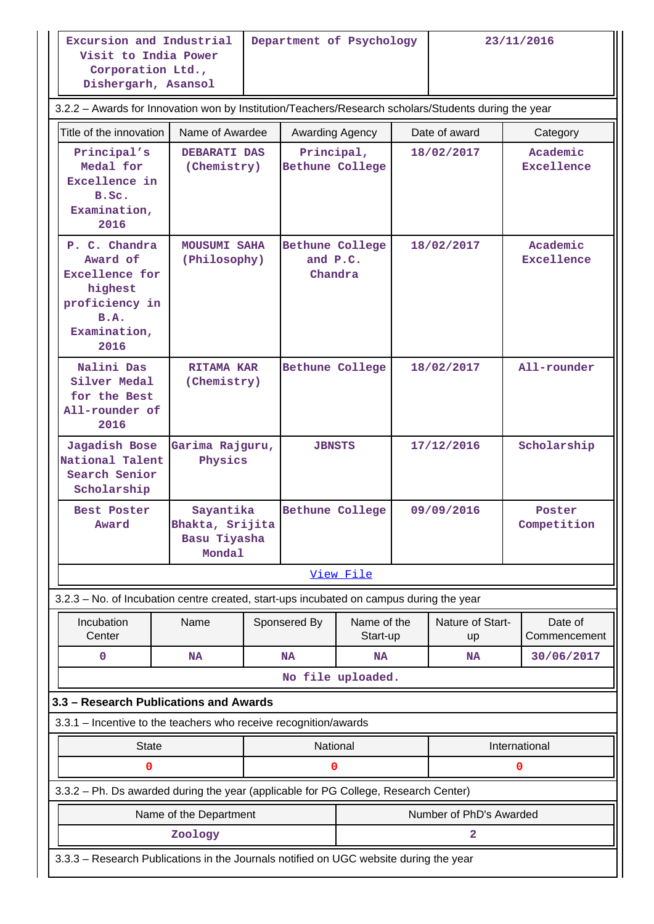**Excursion and Industrial Visit to India Power Corporation Ltd., Dishergarh, Asansol**

**Department of Psychology 23/11/2016**

|                                                                                                                 | Dishergarh, Asansol                                              |                                     |                 |                                        |            |                               |                         |  |  |
|-----------------------------------------------------------------------------------------------------------------|------------------------------------------------------------------|-------------------------------------|-----------------|----------------------------------------|------------|-------------------------------|-------------------------|--|--|
| 3.2.2 - Awards for Innovation won by Institution/Teachers/Research scholars/Students during the year            |                                                                  |                                     |                 |                                        |            |                               |                         |  |  |
| Title of the innovation                                                                                         | Name of Awardee                                                  |                                     | Awarding Agency |                                        |            | Date of award                 | Category                |  |  |
| Principal's<br>Medal for<br>Excellence in<br>B.Sc.<br>Examination,<br>2016                                      | <b>DEBARATI DAS</b><br>(Chemistry)                               | Principal,<br>Bethune College       |                 |                                        | 18/02/2017 | Academic<br><b>Excellence</b> |                         |  |  |
| P. C. Chandra<br>Award of<br><b>Excellence for</b><br>highest<br>proficiency in<br>B.A.<br>Examination,<br>2016 |                                                                  | <b>MOUSUMI SAHA</b><br>(Philosophy) |                 | Bethune College<br>and P.C.<br>Chandra |            | 18/02/2017                    | Academic<br>Excellence  |  |  |
| Nalini Das<br>Silver Medal<br>for the Best<br>All-rounder of<br>2016                                            | <b>RITAMA KAR</b><br>(Chemistry)                                 |                                     | Bethune College |                                        | 18/02/2017 |                               | All-rounder             |  |  |
| Jagadish Bose<br>National Talent<br>Search Senior<br>Scholarship                                                | Garima Rajguru,<br>Physics                                       |                                     | <b>JBNSTS</b>   |                                        | 17/12/2016 |                               | Scholarship             |  |  |
| Best Poster<br>Award                                                                                            | Sayantika<br>Bhakta, Srijita<br>Basu Tiyasha<br>Mondal           |                                     | Bethune College |                                        |            | 09/09/2016                    | Poster<br>Competition   |  |  |
|                                                                                                                 |                                                                  |                                     |                 | View File                              |            |                               |                         |  |  |
| 3.2.3 - No. of Incubation centre created, start-ups incubated on campus during the year                         |                                                                  |                                     |                 |                                        |            |                               |                         |  |  |
| Incubation<br>Center                                                                                            | Name                                                             |                                     | Sponsered By    | Name of the<br>Start-up                |            | Nature of Start-<br><b>up</b> | Date of<br>Commencement |  |  |
| 0                                                                                                               | <b>NA</b>                                                        |                                     | <b>NA</b>       | <b>NA</b>                              |            | <b>NA</b>                     | 30/06/2017              |  |  |
|                                                                                                                 |                                                                  |                                     |                 | No file uploaded.                      |            |                               |                         |  |  |
| 3.3 - Research Publications and Awards                                                                          |                                                                  |                                     |                 |                                        |            |                               |                         |  |  |
|                                                                                                                 | 3.3.1 - Incentive to the teachers who receive recognition/awards |                                     |                 |                                        |            |                               |                         |  |  |
| <b>State</b><br>0                                                                                               |                                                                  |                                     | National<br>0   |                                        |            |                               | International           |  |  |
| 3.3.2 - Ph. Ds awarded during the year (applicable for PG College, Research Center)                             |                                                                  |                                     |                 |                                        |            |                               | 0                       |  |  |
|                                                                                                                 | Name of the Department                                           |                                     |                 |                                        |            | Number of PhD's Awarded       |                         |  |  |
|                                                                                                                 | Zoology                                                          |                                     |                 |                                        |            | 2                             |                         |  |  |
| 3.3.3 - Research Publications in the Journals notified on UGC website during the year                           |                                                                  |                                     |                 |                                        |            |                               |                         |  |  |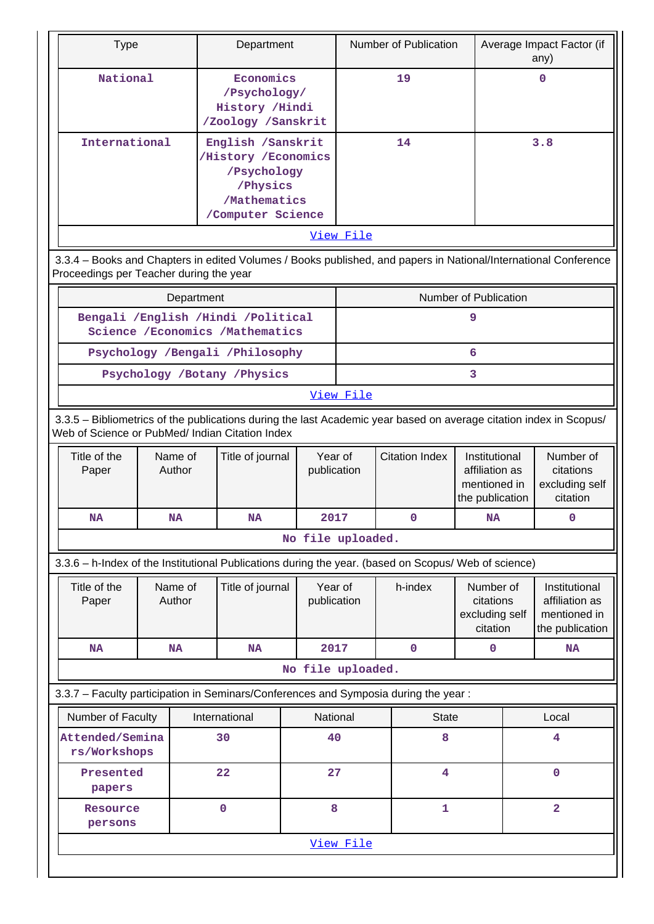| <b>Type</b>                                                                                                                                                           |                                       |            | Department                                                                                                |  |                        |                              |         | Number of Publication                                              |                                                      |                                                      | Average Impact Factor (if<br>any)                                  |
|-----------------------------------------------------------------------------------------------------------------------------------------------------------------------|---------------------------------------|------------|-----------------------------------------------------------------------------------------------------------|--|------------------------|------------------------------|---------|--------------------------------------------------------------------|------------------------------------------------------|------------------------------------------------------|--------------------------------------------------------------------|
| National                                                                                                                                                              |                                       |            | Economics<br>/Psychology/<br>History /Hindi<br>/Zoology /Sanskrit                                         |  |                        | 19                           |         |                                                                    |                                                      | $\Omega$                                             |                                                                    |
| International                                                                                                                                                         |                                       |            | English /Sanskrit<br>/History / Economics<br>/Psychology<br>/Physics<br>/Mathematics<br>/Computer Science |  |                        | 14                           |         |                                                                    |                                                      |                                                      | 3.8                                                                |
|                                                                                                                                                                       | View File                             |            |                                                                                                           |  |                        |                              |         |                                                                    |                                                      |                                                      |                                                                    |
| 3.3.4 - Books and Chapters in edited Volumes / Books published, and papers in National/International Conference<br>Proceedings per Teacher during the year            |                                       |            |                                                                                                           |  |                        |                              |         |                                                                    |                                                      |                                                      |                                                                    |
|                                                                                                                                                                       |                                       | Department |                                                                                                           |  |                        |                              |         |                                                                    | Number of Publication                                |                                                      |                                                                    |
|                                                                                                                                                                       |                                       |            | Bengali /English /Hindi /Political<br>Science /Economics /Mathematics                                     |  |                        |                              |         |                                                                    | 9                                                    |                                                      |                                                                    |
|                                                                                                                                                                       |                                       |            | Psychology /Bengali /Philosophy                                                                           |  |                        |                              |         |                                                                    | 6                                                    |                                                      |                                                                    |
|                                                                                                                                                                       |                                       |            | Psychology /Botany /Physics                                                                               |  |                        |                              |         |                                                                    | 3                                                    |                                                      |                                                                    |
|                                                                                                                                                                       |                                       |            |                                                                                                           |  | View File              |                              |         |                                                                    |                                                      |                                                      |                                                                    |
| 3.3.5 - Bibliometrics of the publications during the last Academic year based on average citation index in Scopus/<br>Web of Science or PubMed/ Indian Citation Index |                                       |            |                                                                                                           |  |                        |                              |         |                                                                    |                                                      |                                                      |                                                                    |
| Title of the<br>Paper                                                                                                                                                 | Name of<br>Author                     |            | Title of journal                                                                                          |  | Year of<br>publication | <b>Citation Index</b>        |         | Institutional<br>affiliation as<br>mentioned in<br>the publication |                                                      | Number of<br>citations<br>excluding self<br>citation |                                                                    |
| NA                                                                                                                                                                    | <b>NA</b>                             |            | NA                                                                                                        |  | 2017                   | $\mathbf 0$                  |         | <b>NA</b>                                                          |                                                      | 0                                                    |                                                                    |
|                                                                                                                                                                       |                                       |            |                                                                                                           |  |                        | No file uploaded.            |         |                                                                    |                                                      |                                                      |                                                                    |
| 3.3.6 - h-Index of the Institutional Publications during the year. (based on Scopus/ Web of science)                                                                  |                                       |            |                                                                                                           |  |                        |                              |         |                                                                    |                                                      |                                                      |                                                                    |
| Title of the<br>Paper                                                                                                                                                 | Name of<br>Author                     |            | Title of journal                                                                                          |  | Year of<br>publication |                              | h-index |                                                                    | Number of<br>citations<br>excluding self<br>citation |                                                      | Institutional<br>affiliation as<br>mentioned in<br>the publication |
| <b>NA</b>                                                                                                                                                             | <b>NA</b>                             |            | <b>NA</b>                                                                                                 |  | 2017                   |                              |         | $\mathbf 0$                                                        | $\mathbf 0$                                          |                                                      | <b>NA</b>                                                          |
|                                                                                                                                                                       |                                       |            |                                                                                                           |  |                        | No file uploaded.            |         |                                                                    |                                                      |                                                      |                                                                    |
| 3.3.7 - Faculty participation in Seminars/Conferences and Symposia during the year:                                                                                   |                                       |            |                                                                                                           |  |                        |                              |         |                                                                    |                                                      |                                                      |                                                                    |
| Number of Faculty                                                                                                                                                     |                                       |            | International                                                                                             |  | National               |                              |         | <b>State</b>                                                       |                                                      |                                                      | Local                                                              |
|                                                                                                                                                                       | Attended/Semina<br>30<br>rs/Workshops |            | 40                                                                                                        |  |                        | 8                            |         |                                                                    | 4                                                    |                                                      |                                                                    |
| Presented<br>papers                                                                                                                                                   |                                       |            | 22                                                                                                        |  | 27                     |                              |         | 4                                                                  |                                                      |                                                      | $\mathbf 0$                                                        |
| Resource<br>persons                                                                                                                                                   |                                       |            | 0                                                                                                         |  | 8                      | $\overline{\mathbf{2}}$<br>1 |         |                                                                    |                                                      |                                                      |                                                                    |
|                                                                                                                                                                       |                                       |            |                                                                                                           |  | View File              |                              |         |                                                                    |                                                      |                                                      |                                                                    |
|                                                                                                                                                                       |                                       |            |                                                                                                           |  |                        |                              |         |                                                                    |                                                      |                                                      |                                                                    |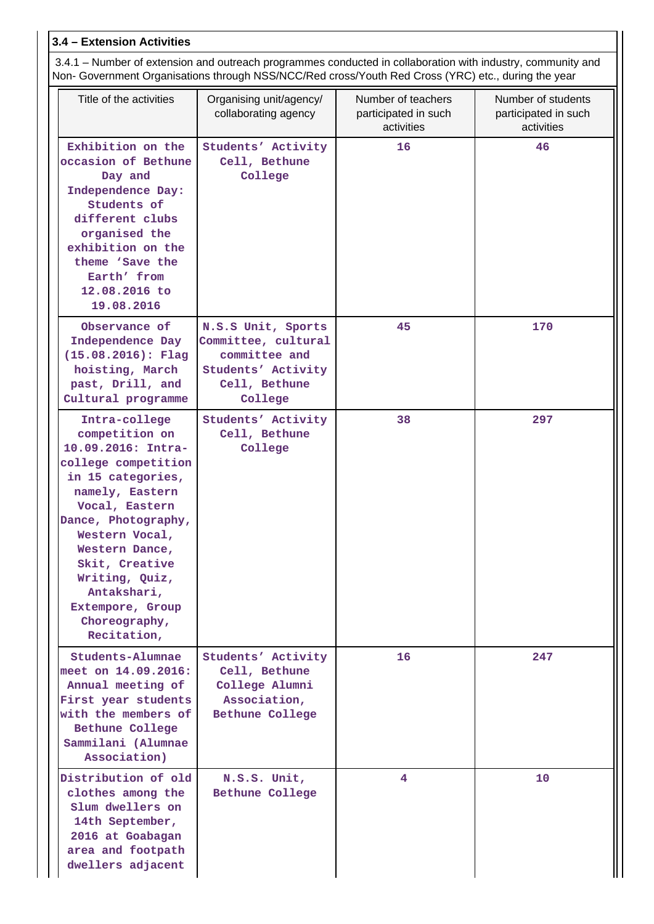# **3.4 – Extension Activities**

 3.4.1 – Number of extension and outreach programmes conducted in collaboration with industry, community and Non- Government Organisations through NSS/NCC/Red cross/Youth Red Cross (YRC) etc., during the year

| Title of the activities                                                                                                                                                                                                                                                                                  | Organising unit/agency/<br>collaborating agency                                                              | Number of teachers<br>participated in such<br>activities | Number of students<br>participated in such<br>activities |
|----------------------------------------------------------------------------------------------------------------------------------------------------------------------------------------------------------------------------------------------------------------------------------------------------------|--------------------------------------------------------------------------------------------------------------|----------------------------------------------------------|----------------------------------------------------------|
| Exhibition on the<br>occasion of Bethune<br>Day and<br>Independence Day:<br>Students of<br>different clubs<br>organised the<br>exhibition on the<br>theme 'Save the<br>Earth' from<br>12.08.2016 to<br>19.08.2016                                                                                        | Students' Activity<br>Cell, Bethune<br>College                                                               | 16                                                       | 46                                                       |
| Observance of<br>Independence Day<br>$(15.08.2016)$ : Flag<br>hoisting, March<br>past, Drill, and<br>Cultural programme                                                                                                                                                                                  | N.S.S Unit, Sports<br>Committee, cultural<br>committee and<br>Students' Activity<br>Cell, Bethune<br>College | 45                                                       | 170                                                      |
| Intra-college<br>competition on<br>10.09.2016: Intra-<br>college competition<br>in 15 categories,<br>namely, Eastern<br>Vocal, Eastern<br>Dance, Photography,<br>Western Vocal,<br>Western Dance,<br>Skit, Creative<br>Writing, Quiz,<br>Antakshari,<br>Extempore, Group<br>Choreography,<br>Recitation, | Students' Activity<br>Cell, Bethune<br>College                                                               | 38                                                       | 297                                                      |
| Students-Alumnae<br>meet on 14.09.2016:<br>Annual meeting of<br>First year students<br>with the members of<br>Bethune College<br>Sammilani (Alumnae<br>Association)                                                                                                                                      | Students' Activity<br>Cell, Bethune<br>College Alumni<br>Association,<br>Bethune College                     | 16                                                       | 247                                                      |
| Distribution of old<br>clothes among the<br>Slum dwellers on<br>14th September,<br>2016 at Goabagan<br>area and footpath<br>dwellers adjacent                                                                                                                                                            | N.S.S. Unit,<br>Bethune College                                                                              | 4                                                        | 10                                                       |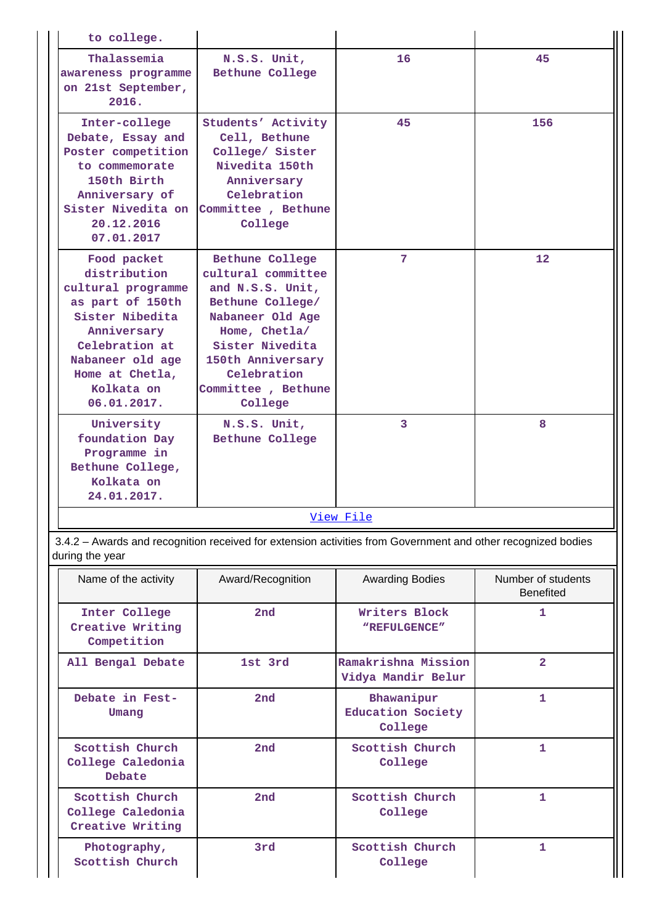| to college.                                                                                                                                                                                   |                                                                                                                                                                                                            |                 |     |  |  |  |
|-----------------------------------------------------------------------------------------------------------------------------------------------------------------------------------------------|------------------------------------------------------------------------------------------------------------------------------------------------------------------------------------------------------------|-----------------|-----|--|--|--|
| Thalassemia<br>awareness programme<br>on 21st September,<br>2016.                                                                                                                             | N.S.S. Unit,<br>Bethune College                                                                                                                                                                            | 16              | 45  |  |  |  |
| Inter-college<br>Debate, Essay and<br>Poster competition<br>to commemorate<br>150th Birth<br>Anniversary of<br>Sister Nivedita on<br>20.12.2016<br>07.01.2017                                 | Students' Activity<br>Cell, Bethune<br>College/ Sister<br>Nivedita 150th<br>Anniversary<br>Celebration<br>Committee, Bethune<br>College                                                                    | 45              | 156 |  |  |  |
| Food packet<br>distribution<br>cultural programme<br>as part of 150th<br>Sister Nibedita<br>Anniversary<br>Celebration at<br>Nabaneer old age<br>Home at Chetla,<br>Kolkata on<br>06.01.2017. | Bethune College<br>cultural committee<br>and N.S.S. Unit,<br>Bethune College/<br>Nabaneer Old Age<br>Home, Chetla/<br>Sister Nivedita<br>150th Anniversary<br>Celebration<br>Committee, Bethune<br>College | $7\phantom{.0}$ | 12  |  |  |  |
| University<br>foundation Day<br>Programme in<br>Bethune College,<br>Kolkata on<br>24.01.2017.                                                                                                 | N.S.S. Unit,<br>Bethune College                                                                                                                                                                            | $\overline{3}$  | 8   |  |  |  |
| View File                                                                                                                                                                                     |                                                                                                                                                                                                            |                 |     |  |  |  |

 3.4.2 – Awards and recognition received for extension activities from Government and other recognized bodies during the year

| Name of the activity                                     | Award/Recognition                                | <b>Awarding Bodies</b>                     |   |
|----------------------------------------------------------|--------------------------------------------------|--------------------------------------------|---|
| Inter College<br>Creative Writing<br>Competition         | 2 <sub>nd</sub><br>Writers Block<br>"REFULGENCE" |                                            | 1 |
| All Bengal Debate                                        | 1st 3rd                                          | $\overline{2}$                             |   |
| Debate in Fest-<br>Umang                                 | 2nd                                              | Bhawanipur<br>Education Society<br>College | 1 |
| Scottish Church<br>College Caledonia<br>Debate           | 2nd<br>Scottish Church<br>College                |                                            | 1 |
| Scottish Church<br>College Caledonia<br>Creative Writing | 2nd                                              | Scottish Church<br>College                 | 1 |
| Photography,<br>Scottish Church                          | 3rd                                              | Scottish Church<br>College                 | 1 |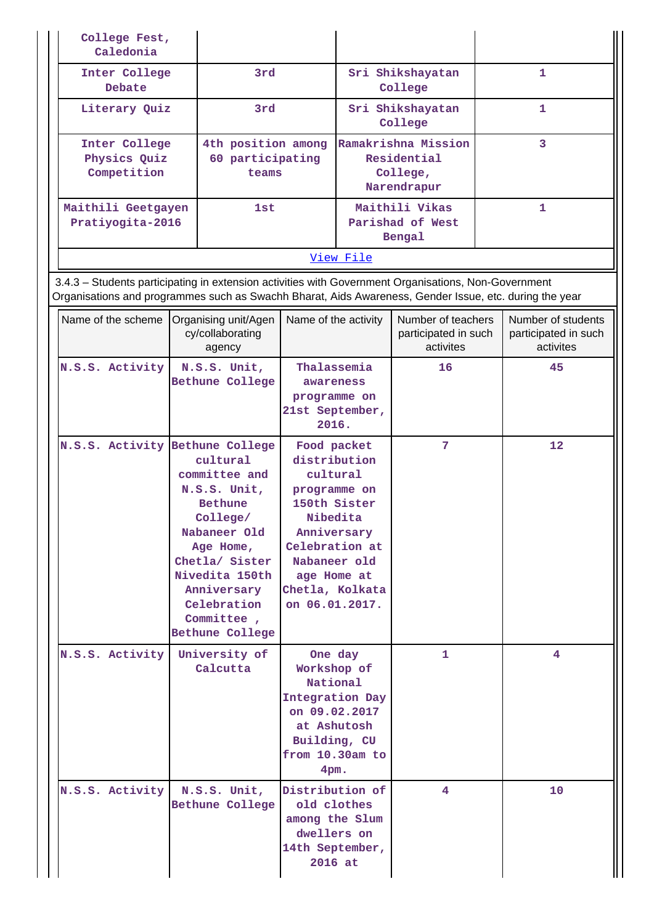| College Fest,<br>Caledonia                                                                                                                                                                                     |                                                                                                                                                                                                                |                                                                                                                                                                                          |                 |                                                               |              |                                                         |
|----------------------------------------------------------------------------------------------------------------------------------------------------------------------------------------------------------------|----------------------------------------------------------------------------------------------------------------------------------------------------------------------------------------------------------------|------------------------------------------------------------------------------------------------------------------------------------------------------------------------------------------|-----------------|---------------------------------------------------------------|--------------|---------------------------------------------------------|
| Inter College<br>Debate                                                                                                                                                                                        | 3rd                                                                                                                                                                                                            |                                                                                                                                                                                          |                 | Sri Shikshayatan<br>College                                   |              | 1                                                       |
| Literary Quiz                                                                                                                                                                                                  | 3rd                                                                                                                                                                                                            |                                                                                                                                                                                          |                 | Sri Shikshayatan<br>College                                   | $\mathbf{1}$ |                                                         |
| Inter College<br>Physics Quiz<br>Competition                                                                                                                                                                   | 4th position among<br>60 participating<br>teams                                                                                                                                                                |                                                                                                                                                                                          |                 | Ramakrishna Mission<br>Residential<br>College,<br>Narendrapur | 3            |                                                         |
| Maithili Geetgayen<br>Pratiyogita-2016                                                                                                                                                                         | 1st                                                                                                                                                                                                            |                                                                                                                                                                                          |                 | Maithili Vikas<br>Parishad of West<br>Bengal                  |              | $\mathbf{1}$                                            |
|                                                                                                                                                                                                                |                                                                                                                                                                                                                |                                                                                                                                                                                          | View File       |                                                               |              |                                                         |
| 3.4.3 - Students participating in extension activities with Government Organisations, Non-Government<br>Organisations and programmes such as Swachh Bharat, Aids Awareness, Gender Issue, etc. during the year |                                                                                                                                                                                                                |                                                                                                                                                                                          |                 |                                                               |              |                                                         |
| Name of the scheme   Organising unit/Agen                                                                                                                                                                      | cy/collaborating<br>agency                                                                                                                                                                                     | Name of the activity                                                                                                                                                                     |                 | Number of teachers<br>participated in such<br>activites       |              | Number of students<br>participated in such<br>activites |
| N.S.S. Activity                                                                                                                                                                                                | N.S.S. Unit,<br><b>Bethune College</b>                                                                                                                                                                         | Thalassemia<br>awareness<br>programme on<br>21st September,<br>2016.                                                                                                                     |                 | 16                                                            |              | 45                                                      |
| N.S.S. Activity Bethune College                                                                                                                                                                                | cultural<br>committee and<br>N.S.S. Unit,<br><b>Bethune</b><br>College/<br>Nabaneer Old<br>Age Home,<br>Chetla/ Sister<br>Nivedita 150th<br>Anniversary<br>Celebration<br>Committee,<br><b>Bethune College</b> | Food packet<br>distribution<br>cultural<br>programme on<br>150th Sister<br>Nibedita<br>Anniversary<br>Celebration at<br>Nabaneer old<br>age Home at<br>Chetla, Kolkata<br>on 06.01.2017. |                 | 7                                                             |              | 12                                                      |
| N.S.S. Activity                                                                                                                                                                                                | University of<br>Calcutta                                                                                                                                                                                      | One day<br>Workshop of<br>National<br>Integration Day<br>on 09.02.2017<br>at Ashutosh<br>Building, CU<br>from 10.30am to<br>$4pm$ .                                                      |                 | 1                                                             |              | 4                                                       |
| N.S.S. Activity                                                                                                                                                                                                | N.S.S. Unit,<br>Bethune College                                                                                                                                                                                | old clothes<br>among the Slum<br>dwellers on<br>14th September,<br>2016 at                                                                                                               | Distribution of | 4                                                             |              | 10                                                      |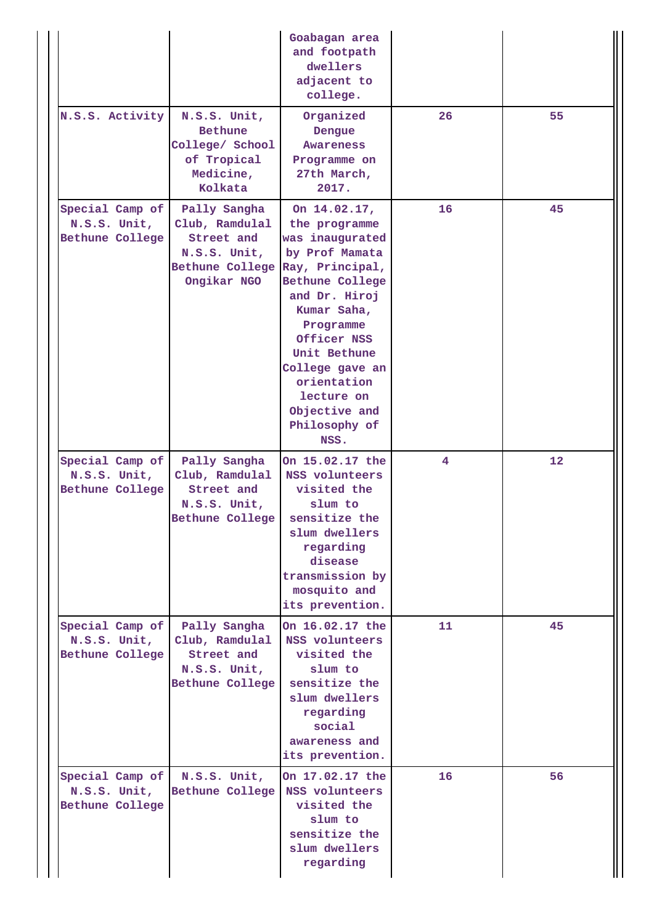|                                                    |                                                                                                | Goabagan area<br>and footpath<br>dwellers<br>adjacent to<br>college.                                                                                                                                                                                                           |    |    |
|----------------------------------------------------|------------------------------------------------------------------------------------------------|--------------------------------------------------------------------------------------------------------------------------------------------------------------------------------------------------------------------------------------------------------------------------------|----|----|
| N.S.S. Activity                                    | N.S.S. Unit,<br><b>Bethune</b><br>College/ School<br>of Tropical<br>Medicine,<br>Kolkata       | Organized<br>Dengue<br>Awareness<br>Programme on<br>27th March,<br>2017.                                                                                                                                                                                                       | 26 | 55 |
| Special Camp of<br>N.S.S. Unit,<br>Bethune College | Pally Sangha<br>Club, Ramdulal<br>Street and<br>N.S.S. Unit,<br>Bethune College<br>Ongikar NGO | On 14.02.17,<br>the programme<br>was inaugurated<br>by Prof Mamata<br>Ray, Principal,<br>Bethune College<br>and Dr. Hiroj<br>Kumar Saha,<br>Programme<br>Officer NSS<br>Unit Bethune<br>College gave an<br>orientation<br>lecture on<br>Objective and<br>Philosophy of<br>NSS. | 16 | 45 |
| Special Camp of<br>N.S.S. Unit,<br>Bethune College | Pally Sangha<br>Club, Ramdulal<br>Street and<br>N.S.S. Unit,<br>Bethune College                | On 15.02.17 the<br>NSS volunteers<br>visited the<br>slum to<br>sensitize the<br>slum dwellers<br>regarding<br>disease<br>transmission by<br>mosquito and<br>its prevention.                                                                                                    | 4  | 12 |
| Special Camp of<br>N.S.S. Unit,<br>Bethune College | Pally Sangha<br>Club, Ramdulal<br>Street and<br>N.S.S. Unit,<br>Bethune College                | On 16.02.17 the<br>NSS volunteers<br>visited the<br>slum to<br>sensitize the<br>slum dwellers<br>regarding<br>social<br>awareness and<br>its prevention.                                                                                                                       | 11 | 45 |
| Special Camp of<br>N.S.S. Unit,<br>Bethune College | N.S.S. Unit,<br>Bethune College                                                                | On 17.02.17 the<br>NSS volunteers<br>visited the<br>slum to<br>sensitize the<br>slum dwellers<br>regarding                                                                                                                                                                     | 16 | 56 |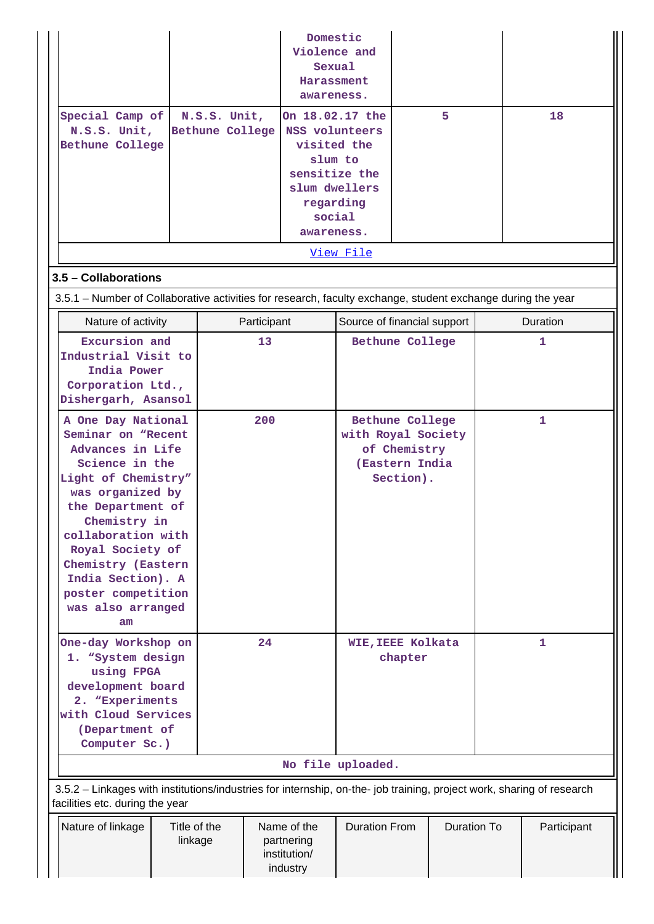| Special Camp of<br>N.S.S. Unit,<br>Bethune College                                                                                                                                                                                                                                                   | N.S.S. Unit,<br>Bethune College |                                                       | Domestic<br>Violence and<br>Sexual<br>Harassment<br>awareness.<br>On 18.02.17 the<br>NSS volunteers<br>visited the<br>slum to<br>sensitize the<br>slum dwellers<br>regarding<br>social<br>awareness.<br>View File | 5                            |  | 18          |  |
|------------------------------------------------------------------------------------------------------------------------------------------------------------------------------------------------------------------------------------------------------------------------------------------------------|---------------------------------|-------------------------------------------------------|-------------------------------------------------------------------------------------------------------------------------------------------------------------------------------------------------------------------|------------------------------|--|-------------|--|
| 3.5 - Collaborations                                                                                                                                                                                                                                                                                 |                                 |                                                       |                                                                                                                                                                                                                   |                              |  |             |  |
| 3.5.1 – Number of Collaborative activities for research, faculty exchange, student exchange during the year                                                                                                                                                                                          |                                 |                                                       |                                                                                                                                                                                                                   |                              |  |             |  |
| Nature of activity                                                                                                                                                                                                                                                                                   |                                 | Participant                                           |                                                                                                                                                                                                                   |                              |  | Duration    |  |
| Excursion and<br>Industrial Visit to<br>India Power<br>Corporation Ltd.,<br>Dishergarh, Asansol                                                                                                                                                                                                      |                                 | 13                                                    | Source of financial support<br>Bethune College                                                                                                                                                                    |                              |  | 1           |  |
| A One Day National<br>Seminar on "Recent<br>Advances in Life<br>Science in the<br>Light of Chemistry"<br>was organized by<br>the Department of<br>Chemistry in<br>collaboration with<br>Royal Society of<br>Chemistry (Eastern<br>India Section). A<br>poster competition<br>was also arranged<br>am |                                 | 200                                                   | Bethune College<br>with Royal Society<br>of Chemistry<br>(Eastern India<br>Section).                                                                                                                              |                              |  | 1           |  |
| One-day Workshop on<br>1. "System design<br>using FPGA<br>development board<br>2. "Experiments<br>with Cloud Services<br>(Department of<br>Computer Sc.)                                                                                                                                             |                                 | 24                                                    |                                                                                                                                                                                                                   | WIE, IEEE Kolkata<br>chapter |  | 1           |  |
|                                                                                                                                                                                                                                                                                                      |                                 |                                                       | No file uploaded.                                                                                                                                                                                                 |                              |  |             |  |
| 3.5.2 - Linkages with institutions/industries for internship, on-the- job training, project work, sharing of research<br>facilities etc. during the year                                                                                                                                             |                                 |                                                       |                                                                                                                                                                                                                   |                              |  |             |  |
| Nature of linkage                                                                                                                                                                                                                                                                                    | Title of the<br>linkage         | Name of the<br>partnering<br>institution/<br>industry | <b>Duration From</b>                                                                                                                                                                                              | Duration To                  |  | Participant |  |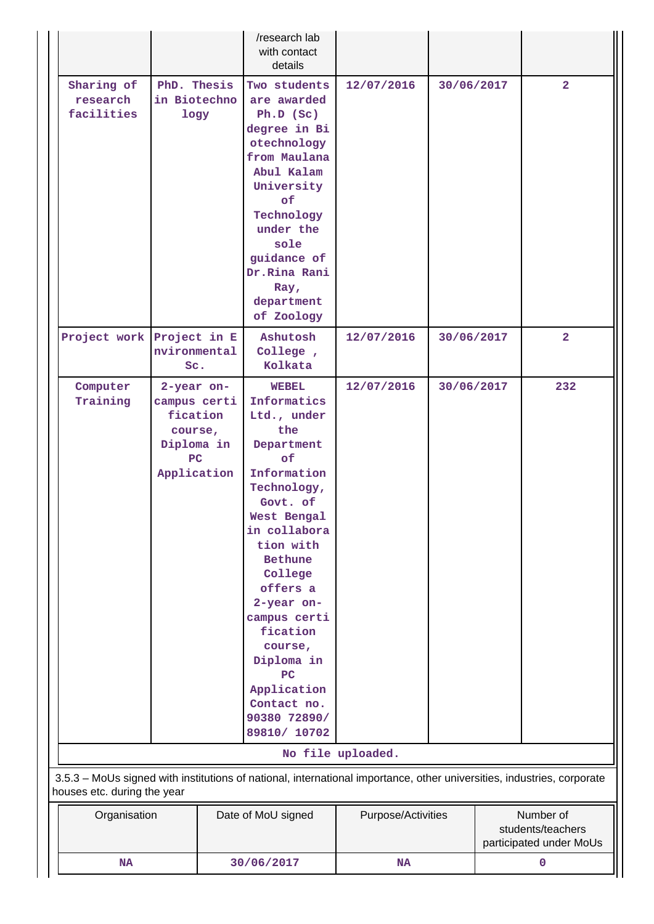|                                      |                                                                          |                     | /research lab<br>with contact<br>details                                                                                                                                                                                                                                                                                                    |                    |            |                                                           |                |
|--------------------------------------|--------------------------------------------------------------------------|---------------------|---------------------------------------------------------------------------------------------------------------------------------------------------------------------------------------------------------------------------------------------------------------------------------------------------------------------------------------------|--------------------|------------|-----------------------------------------------------------|----------------|
| Sharing of<br>research<br>facilities | in Biotechno                                                             | PhD. Thesis<br>logy | Two students<br>are awarded<br>Ph.D (Sc)<br>degree in Bi<br>otechnology<br>from Maulana<br>Abul Kalam<br>University<br>of<br>Technology<br>under the<br>sole<br>guidance of<br>Dr.Rina Rani<br>Ray,<br>department<br>of Zoology                                                                                                             | 12/07/2016         | 30/06/2017 |                                                           | $\overline{2}$ |
| Project work Project in E            | nvironmental<br>Sc.                                                      |                     | Ashutosh<br>College,<br>Kolkata                                                                                                                                                                                                                                                                                                             | 12/07/2016         | 30/06/2017 |                                                           | $\overline{2}$ |
| Computer<br>Training                 | 2-year on-<br>campus certi<br>course,<br>Diploma in<br>PC<br>Application | fication            | <b>WEBEL</b><br>Informatics<br>Ltd., under<br>the<br>Department<br>of<br>Information<br>Technology,<br>Govt. of<br>West Bengal<br>in collabora<br>tion with<br><b>Bethune</b><br>College<br>offers a<br>2-year on-<br>campus certi<br>fication<br>course,<br>Diploma in<br>PC<br>Application<br>Contact no.<br>90380 72890/<br>89810/ 10702 | 12/07/2016         | 30/06/2017 |                                                           | 232            |
|                                      |                                                                          |                     |                                                                                                                                                                                                                                                                                                                                             | No file uploaded.  |            |                                                           |                |
| houses etc. during the year          |                                                                          |                     | 3.5.3 - MoUs signed with institutions of national, international importance, other universities, industries, corporate                                                                                                                                                                                                                      |                    |            |                                                           |                |
|                                      | Organisation                                                             |                     | Date of MoU signed                                                                                                                                                                                                                                                                                                                          | Purpose/Activities |            | Number of<br>students/teachers<br>participated under MoUs |                |
| <b>NA</b>                            |                                                                          | 30/06/2017          | NA                                                                                                                                                                                                                                                                                                                                          |                    |            | $\mathbf 0$                                               |                |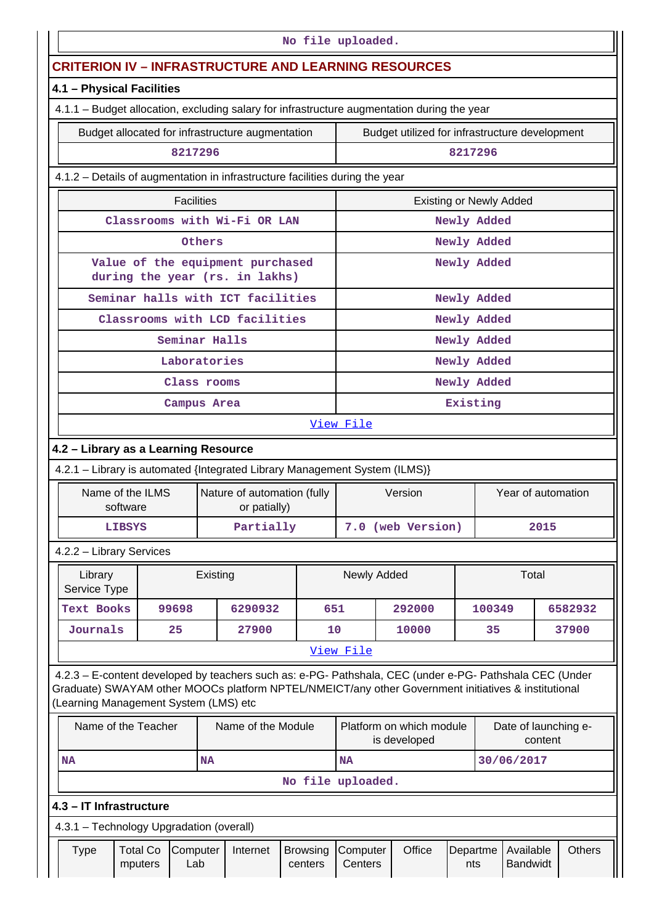|                                                                              | No file uploaded.                                                                                                                                                                                                                                       |                            |                   |                         |                                                                    |                            |                                                |  |                                          |                    |             |                              |         |                      |
|------------------------------------------------------------------------------|---------------------------------------------------------------------------------------------------------------------------------------------------------------------------------------------------------------------------------------------------------|----------------------------|-------------------|-------------------------|--------------------------------------------------------------------|----------------------------|------------------------------------------------|--|------------------------------------------|--------------------|-------------|------------------------------|---------|----------------------|
|                                                                              | <b>CRITERION IV - INFRASTRUCTURE AND LEARNING RESOURCES</b>                                                                                                                                                                                             |                            |                   |                         |                                                                    |                            |                                                |  |                                          |                    |             |                              |         |                      |
|                                                                              | 4.1 - Physical Facilities                                                                                                                                                                                                                               |                            |                   |                         |                                                                    |                            |                                                |  |                                          |                    |             |                              |         |                      |
|                                                                              | 4.1.1 - Budget allocation, excluding salary for infrastructure augmentation during the year                                                                                                                                                             |                            |                   |                         |                                                                    |                            |                                                |  |                                          |                    |             |                              |         |                      |
|                                                                              |                                                                                                                                                                                                                                                         |                            |                   |                         | Budget allocated for infrastructure augmentation                   |                            | Budget utilized for infrastructure development |  |                                          |                    |             |                              |         |                      |
|                                                                              |                                                                                                                                                                                                                                                         |                            | 8217296           |                         |                                                                    |                            |                                                |  |                                          | 8217296            |             |                              |         |                      |
| 4.1.2 – Details of augmentation in infrastructure facilities during the year |                                                                                                                                                                                                                                                         |                            |                   |                         |                                                                    |                            |                                                |  |                                          |                    |             |                              |         |                      |
|                                                                              |                                                                                                                                                                                                                                                         |                            | <b>Facilities</b> |                         |                                                                    |                            |                                                |  | <b>Existing or Newly Added</b>           |                    |             |                              |         |                      |
|                                                                              |                                                                                                                                                                                                                                                         |                            |                   |                         | Classrooms with Wi-Fi OR LAN                                       |                            |                                                |  |                                          |                    | Newly Added |                              |         |                      |
|                                                                              |                                                                                                                                                                                                                                                         |                            |                   | Others                  |                                                                    |                            |                                                |  |                                          |                    | Newly Added |                              |         |                      |
|                                                                              |                                                                                                                                                                                                                                                         |                            |                   |                         | Value of the equipment purchased<br>during the year (rs. in lakhs) |                            |                                                |  |                                          |                    | Newly Added |                              |         |                      |
|                                                                              |                                                                                                                                                                                                                                                         |                            |                   |                         | Seminar halls with ICT facilities                                  |                            |                                                |  |                                          |                    | Newly Added |                              |         |                      |
|                                                                              |                                                                                                                                                                                                                                                         |                            |                   |                         | Classrooms with LCD facilities                                     |                            |                                                |  |                                          |                    | Newly Added |                              |         |                      |
|                                                                              |                                                                                                                                                                                                                                                         |                            | Seminar Halls     |                         |                                                                    |                            |                                                |  |                                          |                    | Newly Added |                              |         |                      |
|                                                                              |                                                                                                                                                                                                                                                         |                            | Laboratories      |                         |                                                                    |                            |                                                |  |                                          |                    | Newly Added |                              |         |                      |
|                                                                              | Class rooms                                                                                                                                                                                                                                             |                            |                   |                         |                                                                    |                            |                                                |  |                                          | Newly Added        |             |                              |         |                      |
|                                                                              |                                                                                                                                                                                                                                                         |                            | Campus Area       |                         |                                                                    |                            | Existing                                       |  |                                          |                    |             |                              |         |                      |
|                                                                              |                                                                                                                                                                                                                                                         |                            |                   |                         |                                                                    |                            | View File                                      |  |                                          |                    |             |                              |         |                      |
|                                                                              | 4.2 - Library as a Learning Resource                                                                                                                                                                                                                    |                            |                   |                         |                                                                    |                            |                                                |  |                                          |                    |             |                              |         |                      |
|                                                                              | 4.2.1 - Library is automated {Integrated Library Management System (ILMS)}                                                                                                                                                                              |                            |                   |                         |                                                                    |                            |                                                |  |                                          |                    |             |                              |         |                      |
|                                                                              | Name of the ILMS                                                                                                                                                                                                                                        | software                   |                   |                         | Nature of automation (fully<br>or patially)                        |                            | Version                                        |  |                                          | Year of automation |             |                              |         |                      |
|                                                                              |                                                                                                                                                                                                                                                         | <b>LIBSYS</b>              |                   |                         | Partially                                                          |                            | 7.0 (web Version)                              |  |                                          | 2015               |             |                              |         |                      |
|                                                                              | 4.2.2 - Library Services                                                                                                                                                                                                                                |                            |                   |                         |                                                                    |                            |                                                |  |                                          |                    |             |                              |         |                      |
|                                                                              | Library<br>Service Type                                                                                                                                                                                                                                 |                            |                   | Existing                |                                                                    |                            | Newly Added                                    |  |                                          |                    |             | Total                        |         |                      |
|                                                                              | Text Books                                                                                                                                                                                                                                              |                            | 99698             |                         | 6290932                                                            |                            | 651                                            |  | 292000                                   |                    | 100349      |                              |         | 6582932              |
|                                                                              | Journals                                                                                                                                                                                                                                                |                            | 25                |                         | 27900                                                              |                            | 10                                             |  | 10000                                    |                    | 35          |                              |         | 37900                |
|                                                                              |                                                                                                                                                                                                                                                         |                            |                   |                         |                                                                    |                            | View File                                      |  |                                          |                    |             |                              |         |                      |
|                                                                              | 4.2.3 - E-content developed by teachers such as: e-PG- Pathshala, CEC (under e-PG- Pathshala CEC (Under<br>Graduate) SWAYAM other MOOCs platform NPTEL/NMEICT/any other Government initiatives & institutional<br>(Learning Management System (LMS) etc |                            |                   |                         |                                                                    |                            |                                                |  |                                          |                    |             |                              |         |                      |
|                                                                              | Name of the Teacher                                                                                                                                                                                                                                     |                            |                   |                         | Name of the Module                                                 |                            |                                                |  | Platform on which module<br>is developed |                    |             |                              | content | Date of launching e- |
| <b>NA</b><br>NA                                                              |                                                                                                                                                                                                                                                         |                            |                   | 30/06/2017<br><b>NA</b> |                                                                    |                            |                                                |  |                                          |                    |             |                              |         |                      |
|                                                                              |                                                                                                                                                                                                                                                         |                            |                   |                         |                                                                    | No file uploaded.          |                                                |  |                                          |                    |             |                              |         |                      |
|                                                                              | 4.3 - IT Infrastructure                                                                                                                                                                                                                                 |                            |                   |                         |                                                                    |                            |                                                |  |                                          |                    |             |                              |         |                      |
|                                                                              | 4.3.1 - Technology Upgradation (overall)                                                                                                                                                                                                                |                            |                   |                         |                                                                    |                            |                                                |  |                                          |                    |             |                              |         |                      |
|                                                                              | Type                                                                                                                                                                                                                                                    | <b>Total Co</b><br>mputers | Computer<br>Lab   |                         | Internet                                                           | <b>Browsing</b><br>centers | Computer<br>Centers                            |  | Office                                   | Departme<br>nts    |             | Available<br><b>Bandwidt</b> |         | Others               |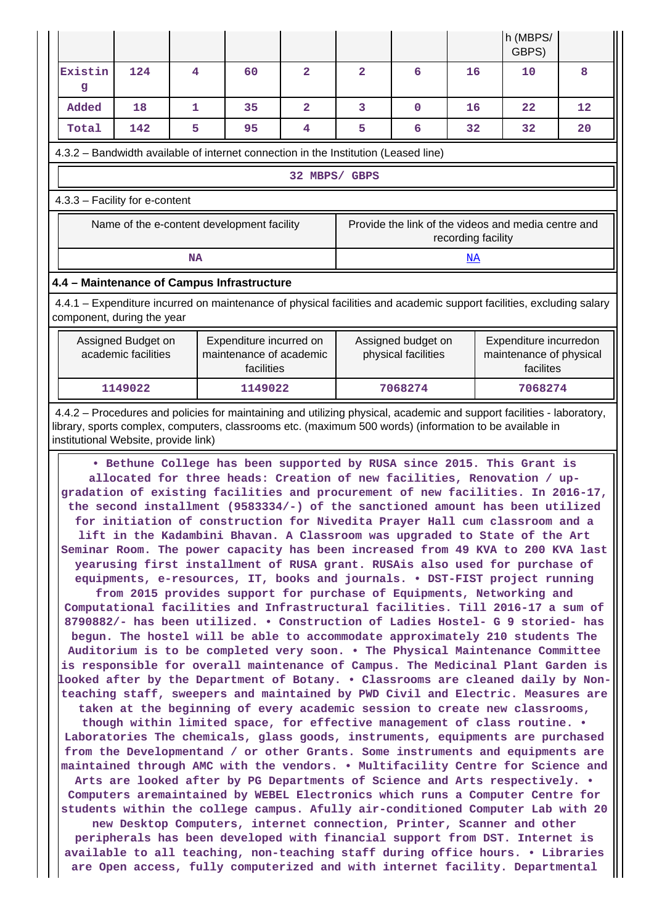|                                                                                                                                                                                                                                                                                                                                                                                                                                                                                                                                                                                                                                                                                                                                                                                                                                                                                                                                                                                                                                                                                                                                                                                                                                                                                                                                                                                                                                                                                                                                                                                                                                                                                                                                                                                                                                                                                                                                                                                                                                                                                                                                                                                                                                                                                                                             |                                                                  |                |                |                                           |                    | h (MBPS/<br>GBPS)                                              |    |  |  |  |
|-----------------------------------------------------------------------------------------------------------------------------------------------------------------------------------------------------------------------------------------------------------------------------------------------------------------------------------------------------------------------------------------------------------------------------------------------------------------------------------------------------------------------------------------------------------------------------------------------------------------------------------------------------------------------------------------------------------------------------------------------------------------------------------------------------------------------------------------------------------------------------------------------------------------------------------------------------------------------------------------------------------------------------------------------------------------------------------------------------------------------------------------------------------------------------------------------------------------------------------------------------------------------------------------------------------------------------------------------------------------------------------------------------------------------------------------------------------------------------------------------------------------------------------------------------------------------------------------------------------------------------------------------------------------------------------------------------------------------------------------------------------------------------------------------------------------------------------------------------------------------------------------------------------------------------------------------------------------------------------------------------------------------------------------------------------------------------------------------------------------------------------------------------------------------------------------------------------------------------------------------------------------------------------------------------------------------------|------------------------------------------------------------------|----------------|----------------|-------------------------------------------|--------------------|----------------------------------------------------------------|----|--|--|--|
| Existin<br>124<br>g                                                                                                                                                                                                                                                                                                                                                                                                                                                                                                                                                                                                                                                                                                                                                                                                                                                                                                                                                                                                                                                                                                                                                                                                                                                                                                                                                                                                                                                                                                                                                                                                                                                                                                                                                                                                                                                                                                                                                                                                                                                                                                                                                                                                                                                                                                         | 4<br>60                                                          | $\overline{2}$ | $\overline{2}$ | 6                                         | 16                 | 10                                                             | 8  |  |  |  |
| Added<br>18                                                                                                                                                                                                                                                                                                                                                                                                                                                                                                                                                                                                                                                                                                                                                                                                                                                                                                                                                                                                                                                                                                                                                                                                                                                                                                                                                                                                                                                                                                                                                                                                                                                                                                                                                                                                                                                                                                                                                                                                                                                                                                                                                                                                                                                                                                                 | 1<br>35                                                          | $\overline{2}$ | 3              | $\mathbf 0$                               | 16                 | 22                                                             | 12 |  |  |  |
| Total<br>142                                                                                                                                                                                                                                                                                                                                                                                                                                                                                                                                                                                                                                                                                                                                                                                                                                                                                                                                                                                                                                                                                                                                                                                                                                                                                                                                                                                                                                                                                                                                                                                                                                                                                                                                                                                                                                                                                                                                                                                                                                                                                                                                                                                                                                                                                                                | 5<br>95                                                          | 4              | 5              | 6                                         | 32                 | 32                                                             | 20 |  |  |  |
| 4.3.2 – Bandwidth available of internet connection in the Institution (Leased line)                                                                                                                                                                                                                                                                                                                                                                                                                                                                                                                                                                                                                                                                                                                                                                                                                                                                                                                                                                                                                                                                                                                                                                                                                                                                                                                                                                                                                                                                                                                                                                                                                                                                                                                                                                                                                                                                                                                                                                                                                                                                                                                                                                                                                                         |                                                                  |                |                |                                           |                    |                                                                |    |  |  |  |
| 32 MBPS/ GBPS                                                                                                                                                                                                                                                                                                                                                                                                                                                                                                                                                                                                                                                                                                                                                                                                                                                                                                                                                                                                                                                                                                                                                                                                                                                                                                                                                                                                                                                                                                                                                                                                                                                                                                                                                                                                                                                                                                                                                                                                                                                                                                                                                                                                                                                                                                               |                                                                  |                |                |                                           |                    |                                                                |    |  |  |  |
| 4.3.3 - Facility for e-content                                                                                                                                                                                                                                                                                                                                                                                                                                                                                                                                                                                                                                                                                                                                                                                                                                                                                                                                                                                                                                                                                                                                                                                                                                                                                                                                                                                                                                                                                                                                                                                                                                                                                                                                                                                                                                                                                                                                                                                                                                                                                                                                                                                                                                                                                              |                                                                  |                |                |                                           |                    |                                                                |    |  |  |  |
| Name of the e-content development facility                                                                                                                                                                                                                                                                                                                                                                                                                                                                                                                                                                                                                                                                                                                                                                                                                                                                                                                                                                                                                                                                                                                                                                                                                                                                                                                                                                                                                                                                                                                                                                                                                                                                                                                                                                                                                                                                                                                                                                                                                                                                                                                                                                                                                                                                                  |                                                                  |                |                |                                           | recording facility | Provide the link of the videos and media centre and            |    |  |  |  |
|                                                                                                                                                                                                                                                                                                                                                                                                                                                                                                                                                                                                                                                                                                                                                                                                                                                                                                                                                                                                                                                                                                                                                                                                                                                                                                                                                                                                                                                                                                                                                                                                                                                                                                                                                                                                                                                                                                                                                                                                                                                                                                                                                                                                                                                                                                                             | <b>NA</b>                                                        |                |                |                                           | NA                 |                                                                |    |  |  |  |
| 4.4 - Maintenance of Campus Infrastructure                                                                                                                                                                                                                                                                                                                                                                                                                                                                                                                                                                                                                                                                                                                                                                                                                                                                                                                                                                                                                                                                                                                                                                                                                                                                                                                                                                                                                                                                                                                                                                                                                                                                                                                                                                                                                                                                                                                                                                                                                                                                                                                                                                                                                                                                                  |                                                                  |                |                |                                           |                    |                                                                |    |  |  |  |
| 4.4.1 – Expenditure incurred on maintenance of physical facilities and academic support facilities, excluding salary<br>component, during the year                                                                                                                                                                                                                                                                                                                                                                                                                                                                                                                                                                                                                                                                                                                                                                                                                                                                                                                                                                                                                                                                                                                                                                                                                                                                                                                                                                                                                                                                                                                                                                                                                                                                                                                                                                                                                                                                                                                                                                                                                                                                                                                                                                          |                                                                  |                |                |                                           |                    |                                                                |    |  |  |  |
| Assigned Budget on<br>academic facilities                                                                                                                                                                                                                                                                                                                                                                                                                                                                                                                                                                                                                                                                                                                                                                                                                                                                                                                                                                                                                                                                                                                                                                                                                                                                                                                                                                                                                                                                                                                                                                                                                                                                                                                                                                                                                                                                                                                                                                                                                                                                                                                                                                                                                                                                                   | Expenditure incurred on<br>maintenance of academic<br>facilities |                |                | Assigned budget on<br>physical facilities |                    | Expenditure incurredon<br>maintenance of physical<br>facilites |    |  |  |  |
| 1149022                                                                                                                                                                                                                                                                                                                                                                                                                                                                                                                                                                                                                                                                                                                                                                                                                                                                                                                                                                                                                                                                                                                                                                                                                                                                                                                                                                                                                                                                                                                                                                                                                                                                                                                                                                                                                                                                                                                                                                                                                                                                                                                                                                                                                                                                                                                     | 1149022                                                          |                |                | 7068274                                   |                    | 7068274                                                        |    |  |  |  |
| 4.4.2 – Procedures and policies for maintaining and utilizing physical, academic and support facilities - laboratory,<br>library, sports complex, computers, classrooms etc. (maximum 500 words) (information to be available in<br>institutional Website, provide link)                                                                                                                                                                                                                                                                                                                                                                                                                                                                                                                                                                                                                                                                                                                                                                                                                                                                                                                                                                                                                                                                                                                                                                                                                                                                                                                                                                                                                                                                                                                                                                                                                                                                                                                                                                                                                                                                                                                                                                                                                                                    |                                                                  |                |                |                                           |                    |                                                                |    |  |  |  |
| . Bethune College has been supported by RUSA since 2015. This Grant is<br>allocated for three heads: Creation of new facilities, Renovation / up-<br>gradation of existing facilities and procurement of new facilities. In 2016-17,<br>the second installment (9583334/-) of the sanctioned amount has been utilized<br>for initiation of construction for Nivedita Prayer Hall cum classroom and a<br>lift in the Kadambini Bhavan. A Classroom was upgraded to State of the Art<br>Seminar Room. The power capacity has been increased from 49 KVA to 200 KVA last<br>yearusing first installment of RUSA grant. RUSAis also used for purchase of<br>equipments, e-resources, IT, books and journals. • DST-FIST project running<br>from 2015 provides support for purchase of Equipments, Networking and<br>Computational facilities and Infrastructural facilities. Till 2016-17 a sum of<br>8790882/- has been utilized. . Construction of Ladies Hostel- G 9 storied- has<br>begun. The hostel will be able to accommodate approximately 210 students The<br>Auditorium is to be completed very soon. . The Physical Maintenance Committee<br>is responsible for overall maintenance of Campus. The Medicinal Plant Garden is<br>looked after by the Department of Botany. • Classrooms are cleaned daily by Non-<br>teaching staff, sweepers and maintained by PWD Civil and Electric. Measures are<br>taken at the beginning of every academic session to create new classrooms,<br>though within limited space, for effective management of class routine. .<br>Laboratories The chemicals, glass goods, instruments, equipments are purchased<br>from the Developmentand / or other Grants. Some instruments and equipments are<br>maintained through AMC with the vendors. . Multifacility Centre for Science and<br>Arts are looked after by PG Departments of Science and Arts respectively. .<br>Computers aremaintained by WEBEL Electronics which runs a Computer Centre for<br>students within the college campus. Afully air-conditioned Computer Lab with 20<br>new Desktop Computers, internet connection, Printer, Scanner and other<br>peripherals has been developed with financial support from DST. Internet is<br>available to all teaching, non-teaching staff during office hours. • Libraries |                                                                  |                |                |                                           |                    |                                                                |    |  |  |  |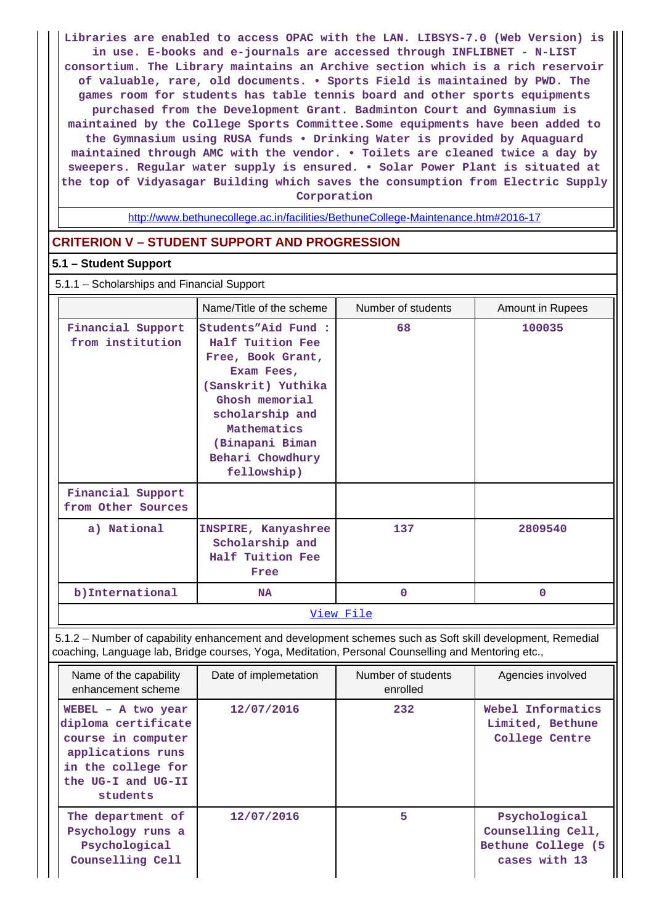**Libraries are enabled to access OPAC with the LAN. LIBSYS-7.0 (Web Version) is in use. E-books and e-journals are accessed through INFLIBNET - N-LIST consortium. The Library maintains an Archive section which is a rich reservoir of valuable, rare, old documents. • Sports Field is maintained by PWD. The games room for students has table tennis board and other sports equipments purchased from the Development Grant. Badminton Court and Gymnasium is maintained by the College Sports Committee.Some equipments have been added to the Gymnasium using RUSA funds • Drinking Water is provided by Aquaguard maintained through AMC with the vendor. • Toilets are cleaned twice a day by sweepers. Regular water supply is ensured. • Solar Power Plant is situated at the top of Vidyasagar Building which saves the consumption from Electric Supply Corporation**

<http://www.bethunecollege.ac.in/facilities/BethuneCollege-Maintenance.htm#2016-17>

### **CRITERION V – STUDENT SUPPORT AND PROGRESSION**

#### **5.1 – Student Support**

5.1.1 – Scholarships and Financial Support

|                                         | Name/Title of the scheme                                                                                                                                                                                   | Number of students | Amount in Rupees |  |
|-----------------------------------------|------------------------------------------------------------------------------------------------------------------------------------------------------------------------------------------------------------|--------------------|------------------|--|
| Financial Support<br>from institution   | Students"Aid Fund :<br>Half Tuition Fee<br>Free, Book Grant,<br>Exam Fees,<br>(Sanskrit) Yuthika<br>Ghosh memorial<br>scholarship and<br>Mathematics<br>(Binapani Biman<br>Behari Chowdhury<br>fellowship) | 68                 | 100035           |  |
| Financial Support<br>from Other Sources |                                                                                                                                                                                                            |                    |                  |  |
| a) National                             | INSPIRE, Kanyashree<br>Scholarship and<br>Half Tuition Fee<br>Free                                                                                                                                         | 137                | 2809540          |  |
| b)International                         | <b>NA</b>                                                                                                                                                                                                  | $\Omega$           | 0                |  |
|                                         |                                                                                                                                                                                                            | <u>View File</u>   |                  |  |

 5.1.2 – Number of capability enhancement and development schemes such as Soft skill development, Remedial coaching, Language lab, Bridge courses, Yoga, Meditation, Personal Counselling and Mentoring etc.,

| Name of the capability<br>enhancement scheme                                                                                                   | Date of implemetation | Number of students<br>enrolled | Agencies involved                                                          |
|------------------------------------------------------------------------------------------------------------------------------------------------|-----------------------|--------------------------------|----------------------------------------------------------------------------|
| WEBEL $-$ A two year<br>diploma certificate<br>course in computer<br>applications runs<br>in the college for<br>the UG-I and UG-II<br>students | 12/07/2016            | 232                            | Webel Informatics<br>Limited, Bethune<br>College Centre                    |
| The department of<br>Psychology runs a<br>Psychological<br>Counselling Cell                                                                    | 12/07/2016            | 5                              | Psychological<br>Counselling Cell,<br>Bethune College (5)<br>cases with 13 |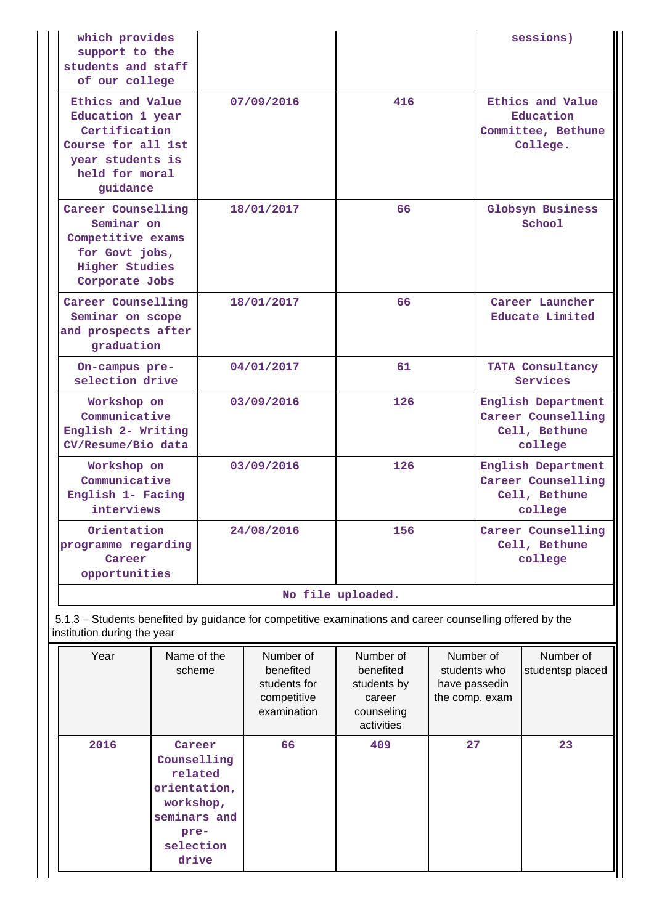| which provides<br>support to the<br>students and staff                                                                                   |                                                                                                                                     |            |                                                                      |                                                                             |    |                                                                      | sessions)                     |  |
|------------------------------------------------------------------------------------------------------------------------------------------|-------------------------------------------------------------------------------------------------------------------------------------|------------|----------------------------------------------------------------------|-----------------------------------------------------------------------------|----|----------------------------------------------------------------------|-------------------------------|--|
| guidance                                                                                                                                 | of our college<br>Ethics and Value<br>Education 1 year<br>Certification<br>Course for all 1st<br>year students is<br>held for moral |            | 07/09/2016                                                           | 416                                                                         |    | Ethics and Value<br>Education<br>Committee, Bethune<br>College.      |                               |  |
| Career Counselling<br>Seminar on<br>Competitive exams<br>for Govt jobs,<br><b>Higher Studies</b><br>Corporate Jobs                       |                                                                                                                                     |            | 18/01/2017                                                           | 66                                                                          |    |                                                                      | Globsyn Business<br>School    |  |
| Career Counselling<br>Seminar on scope<br>and prospects after<br>graduation                                                              |                                                                                                                                     |            | 18/01/2017                                                           | 66                                                                          |    | Career Launcher<br>Educate Limited                                   |                               |  |
| On-campus pre-<br>selection drive                                                                                                        |                                                                                                                                     | 04/01/2017 |                                                                      | 61                                                                          |    | TATA Consultancy<br>Services                                         |                               |  |
| Workshop on<br>Communicative<br>English 2- Writing<br>CV/Resume/Bio data                                                                 |                                                                                                                                     | 03/09/2016 |                                                                      | 126                                                                         |    | English Department<br>Career Counselling<br>Cell, Bethune<br>college |                               |  |
| Workshop on<br>Communicative<br>English 1- Facing<br>interviews                                                                          |                                                                                                                                     |            | 03/09/2016                                                           | 126                                                                         |    | English Department<br>Career Counselling<br>Cell, Bethune<br>college |                               |  |
| Orientation<br>programme regarding<br>Career<br>opportunities                                                                            |                                                                                                                                     |            | 24/08/2016                                                           | 156                                                                         |    | Career Counselling<br>Cell, Bethune<br>college                       |                               |  |
|                                                                                                                                          |                                                                                                                                     |            |                                                                      | No file uploaded.                                                           |    |                                                                      |                               |  |
| 5.1.3 - Students benefited by guidance for competitive examinations and career counselling offered by the<br>institution during the year |                                                                                                                                     |            |                                                                      |                                                                             |    |                                                                      |                               |  |
| Year                                                                                                                                     | Name of the<br>scheme<br>2016<br>Career<br>Counselling<br>related<br>orientation,<br>workshop,<br>seminars and                      |            | Number of<br>benefited<br>students for<br>competitive<br>examination | Number of<br>benefited<br>students by<br>career<br>counseling<br>activities |    | Number of<br>students who<br>have passedin<br>the comp. exam         | Number of<br>studentsp placed |  |
|                                                                                                                                          |                                                                                                                                     |            | 66                                                                   | 409                                                                         | 27 |                                                                      | 23                            |  |

**preselection drive**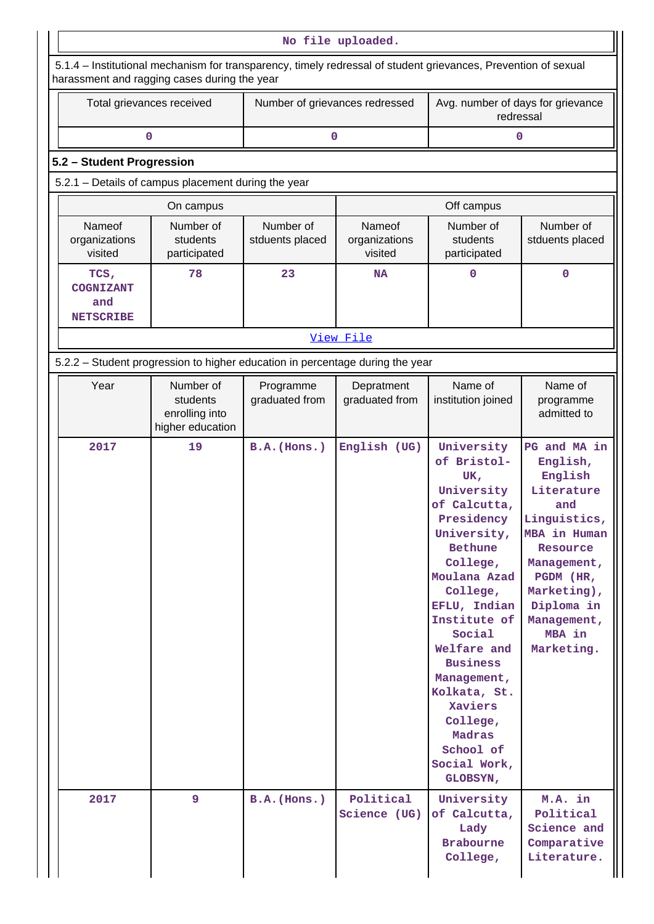|                                              | 5.1.4 - Institutional mechanism for transparency, timely redressal of student grievances, Prevention of sexual                                   |                              |                                    |                                                                                                                                                                                                                                                                                                                                     |                                                                                                                                                                                                      |  |
|----------------------------------------------|--------------------------------------------------------------------------------------------------------------------------------------------------|------------------------------|------------------------------------|-------------------------------------------------------------------------------------------------------------------------------------------------------------------------------------------------------------------------------------------------------------------------------------------------------------------------------------|------------------------------------------------------------------------------------------------------------------------------------------------------------------------------------------------------|--|
|                                              | harassment and ragging cases during the year<br>Total grievances received<br>Number of grievances redressed<br>Avg. number of days for grievance |                              |                                    |                                                                                                                                                                                                                                                                                                                                     |                                                                                                                                                                                                      |  |
|                                              |                                                                                                                                                  |                              |                                    | redressal                                                                                                                                                                                                                                                                                                                           |                                                                                                                                                                                                      |  |
|                                              | 0                                                                                                                                                |                              | 0                                  | 0                                                                                                                                                                                                                                                                                                                                   |                                                                                                                                                                                                      |  |
| 5.2 - Student Progression                    |                                                                                                                                                  |                              |                                    |                                                                                                                                                                                                                                                                                                                                     |                                                                                                                                                                                                      |  |
|                                              | 5.2.1 - Details of campus placement during the year                                                                                              |                              |                                    |                                                                                                                                                                                                                                                                                                                                     |                                                                                                                                                                                                      |  |
|                                              | On campus                                                                                                                                        |                              |                                    | Off campus                                                                                                                                                                                                                                                                                                                          |                                                                                                                                                                                                      |  |
| Nameof<br>organizations<br>visited           | Number of<br>students<br>participated                                                                                                            | Number of<br>stduents placed | Nameof<br>organizations<br>visited | Number of<br>students<br>participated                                                                                                                                                                                                                                                                                               | Number of<br>stduents placed                                                                                                                                                                         |  |
| TCS,<br>COGNIZANT<br>and<br><b>NETSCRIBE</b> | 78                                                                                                                                               | 23                           | NA                                 | 0                                                                                                                                                                                                                                                                                                                                   | 0                                                                                                                                                                                                    |  |
|                                              |                                                                                                                                                  |                              | View File                          |                                                                                                                                                                                                                                                                                                                                     |                                                                                                                                                                                                      |  |
|                                              | 5.2.2 - Student progression to higher education in percentage during the year                                                                    |                              |                                    |                                                                                                                                                                                                                                                                                                                                     |                                                                                                                                                                                                      |  |
| Year                                         | Number of<br>students<br>enrolling into<br>higher education                                                                                      | Programme<br>graduated from  | Depratment<br>graduated from       | Name of<br>institution joined                                                                                                                                                                                                                                                                                                       | Name of<br>programme<br>admitted to                                                                                                                                                                  |  |
| 2017                                         | 19                                                                                                                                               | B.A. (Hons.)                 | English (UG)                       | University<br>of Bristol-<br>UK,<br>University<br>of Calcutta,<br>Presidency<br>University,<br>Bethune<br>College,<br>Moulana Azad<br>College,<br>EFLU, Indian<br>Institute of<br>Social<br>Welfare and<br><b>Business</b><br>Management,<br>Kolkata, St.<br>Xaviers<br>College,<br>Madras<br>School of<br>Social Work,<br>GLOBSYN, | PG and MA in<br>English,<br>English<br>Literature<br>and<br>Linguistics,<br>MBA in Human<br>Resource<br>Management,<br>PGDM (HR,<br>Marketing),<br>Diploma in<br>Management,<br>MBA in<br>Marketing. |  |
| 2017                                         | 9                                                                                                                                                | $B.A.$ (Hons.)               | Political<br>Science (UG)          | University<br>of Calcutta,<br>Lady<br><b>Brabourne</b><br>College,                                                                                                                                                                                                                                                                  | M.A. in<br>Political<br>Science and<br>Comparative<br>Literature.                                                                                                                                    |  |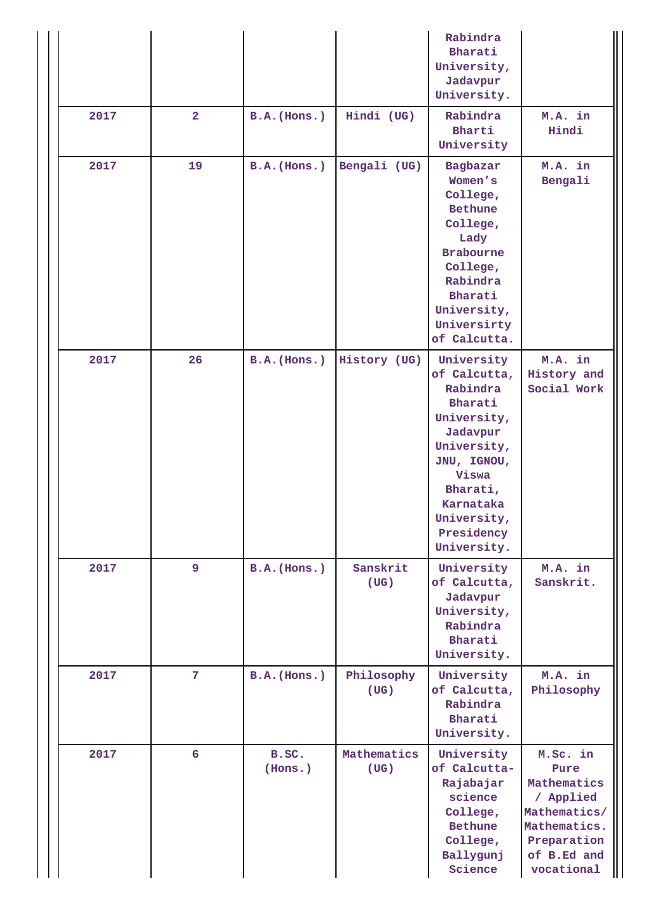|      |                |                  |                     | Rabindra<br>Bharati<br>University,<br>Jadavpur<br>University.                                                                                                                            |                                                                                                                          |
|------|----------------|------------------|---------------------|------------------------------------------------------------------------------------------------------------------------------------------------------------------------------------------|--------------------------------------------------------------------------------------------------------------------------|
| 2017 | $\overline{2}$ | $B.A.$ (Hons.)   | Hindi (UG)          | Rabindra<br>Bharti<br>University                                                                                                                                                         | M.A. in<br>Hindi                                                                                                         |
| 2017 | 19             | $B.A.$ (Hons.)   | Bengali (UG)        | Bagbazar<br>Women's<br>College,<br><b>Bethune</b><br>College,<br>Lady<br><b>Brabourne</b><br>College,<br>Rabindra<br>Bharati<br>University,<br>Universirty<br>of Calcutta.               | M.A. in<br>Bengali                                                                                                       |
| 2017 | 26             | $B.A.$ (Hons.)   | History (UG)        | University<br>of Calcutta,<br>Rabindra<br>Bharati<br>University,<br>Jadavpur<br>University,<br>JNU, IGNOU,<br>Viswa<br>Bharati,<br>Karnataka<br>University,<br>Presidency<br>University. | M.A. in<br>History and<br>Social Work                                                                                    |
| 2017 | 9              | $B.A.$ (Hons.)   | Sanskrit<br>(UG)    | University<br>of Calcutta,<br>Jadavpur<br>University,<br>Rabindra<br>Bharati<br>University.                                                                                              | M.A. in<br>Sanskrit.                                                                                                     |
| 2017 | 7              | $B.A.$ (Hons.)   | Philosophy<br>(UG)  | University<br>of Calcutta,<br>Rabindra<br>Bharati<br>University.                                                                                                                         | M.A. in<br>Philosophy                                                                                                    |
| 2017 | 6              | B.SC.<br>(Hons.) | Mathematics<br>(UG) | University<br>of Calcutta-<br>Rajabajar<br>science<br>College,<br><b>Bethune</b><br>College,<br>Ballygunj<br>Science                                                                     | M.Sc. in<br>Pure<br>Mathematics<br>/ Applied<br>Mathematics/<br>Mathematics.<br>Preparation<br>of B.Ed and<br>vocational |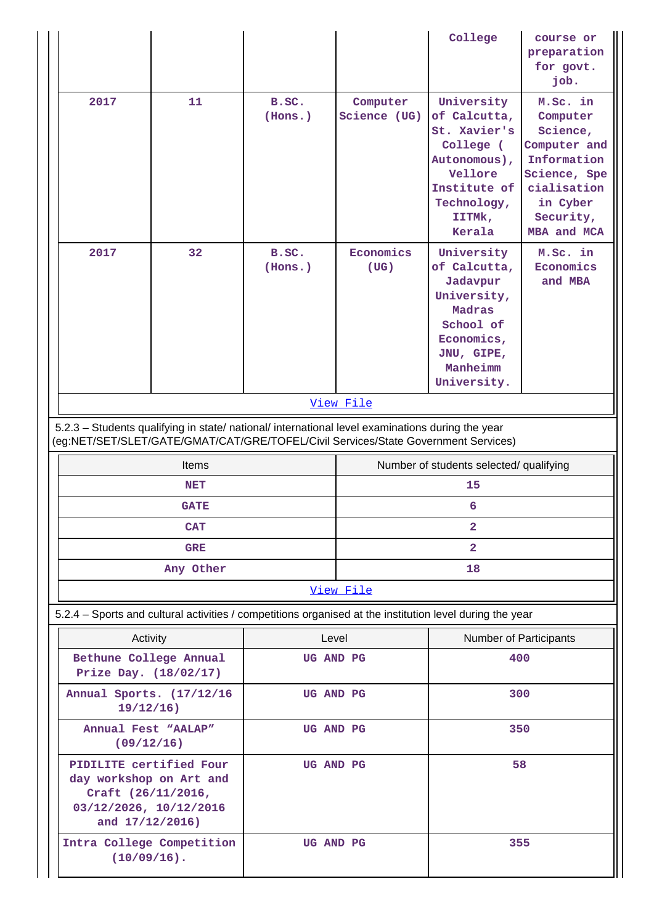|                                                                                                                                                                                        |              |                    |                          | College                                                                                                                               | course or<br>preparation<br>for govt.<br>job.                                                                                          |
|----------------------------------------------------------------------------------------------------------------------------------------------------------------------------------------|--------------|--------------------|--------------------------|---------------------------------------------------------------------------------------------------------------------------------------|----------------------------------------------------------------------------------------------------------------------------------------|
| 2017                                                                                                                                                                                   | 11           | B.SC.<br>(Hons.)   | Computer<br>Science (UG) | University<br>of Calcutta,<br>St. Xavier's<br>College (<br>Autonomous),<br>Vellore<br>Institute of<br>Technology,<br>IITMk,<br>Kerala | M.Sc. in<br>Computer<br>Science,<br>Computer and<br>Information<br>Science, Spe<br>cialisation<br>in Cyber<br>Security,<br>MBA and MCA |
| 2017                                                                                                                                                                                   | 32           | B.SC.<br>(Hons.)   | Economics<br>(UG)        | University<br>of Calcutta,<br>Jadavpur<br>University,<br>Madras<br>School of<br>Economics,<br>JNU, GIPE,<br>Manheimm<br>University.   | M.Sc. in<br>Economics<br>and MBA                                                                                                       |
|                                                                                                                                                                                        |              |                    | View File                |                                                                                                                                       |                                                                                                                                        |
| 5.2.3 - Students qualifying in state/ national/ international level examinations during the year<br>(eg:NET/SET/SLET/GATE/GMAT/CAT/GRE/TOFEL/Civil Services/State Government Services) |              |                    |                          |                                                                                                                                       |                                                                                                                                        |
|                                                                                                                                                                                        |              |                    |                          |                                                                                                                                       |                                                                                                                                        |
|                                                                                                                                                                                        | <b>Items</b> |                    |                          | Number of students selected/ qualifying                                                                                               |                                                                                                                                        |
|                                                                                                                                                                                        | <b>NET</b>   |                    |                          | 15                                                                                                                                    |                                                                                                                                        |
|                                                                                                                                                                                        | <b>GATE</b>  |                    |                          | 6                                                                                                                                     |                                                                                                                                        |
|                                                                                                                                                                                        | <b>CAT</b>   |                    |                          | $\mathbf{2}$                                                                                                                          |                                                                                                                                        |
|                                                                                                                                                                                        | <b>GRE</b>   |                    |                          | $\overline{2}$                                                                                                                        |                                                                                                                                        |
|                                                                                                                                                                                        | Any Other    |                    |                          | 18                                                                                                                                    |                                                                                                                                        |
|                                                                                                                                                                                        |              |                    | View File                |                                                                                                                                       |                                                                                                                                        |
| 5.2.4 - Sports and cultural activities / competitions organised at the institution level during the year                                                                               |              |                    |                          |                                                                                                                                       |                                                                                                                                        |
| Activity<br>Bethune College Annual<br>Prize Day. (18/02/17)                                                                                                                            |              | Level<br>UG AND PG |                          | Number of Participants<br>400                                                                                                         |                                                                                                                                        |
| Annual Sports. (17/12/16<br>$19/12/16$ )                                                                                                                                               |              | UG AND PG          |                          | 300                                                                                                                                   |                                                                                                                                        |
| Annual Fest "AALAP"<br>(09/12/16)                                                                                                                                                      |              | UG AND PG          |                          | 350                                                                                                                                   |                                                                                                                                        |
| PIDILITE certified Four<br>day workshop on Art and<br>Craft (26/11/2016,<br>03/12/2026, 10/12/2016<br>and 17/12/2016)                                                                  |              | UG AND PG          |                          | 58                                                                                                                                    |                                                                                                                                        |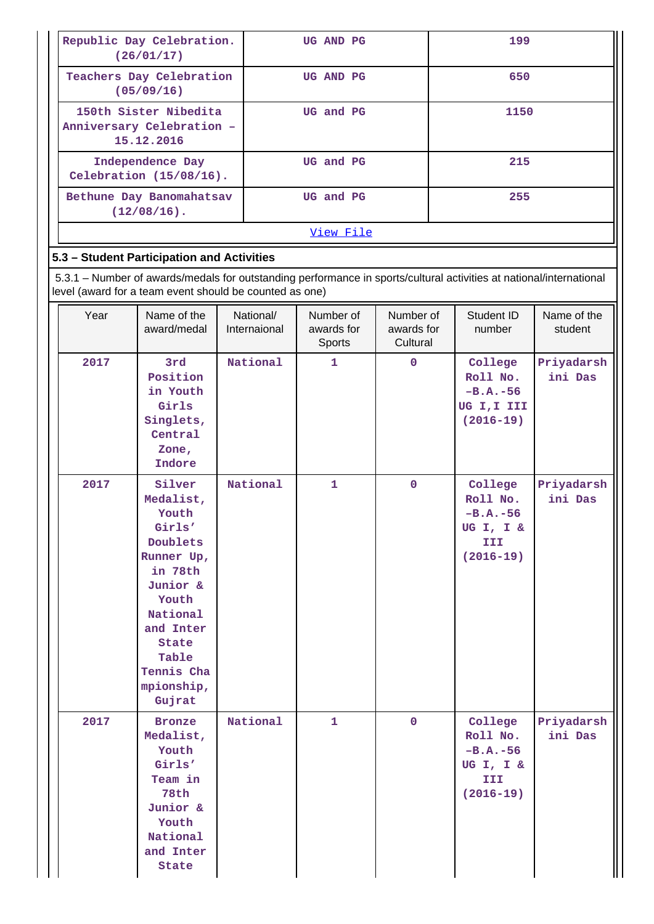| Republic Day Celebration.<br>(26/01/17)                          | UG AND PG | 199  |
|------------------------------------------------------------------|-----------|------|
| Teachers Day Celebration<br>(05/09/16)                           | UG AND PG | 650  |
| 150th Sister Nibedita<br>Anniversary Celebration -<br>15.12.2016 | UG and PG | 1150 |
| Independence Day<br>Celebration $(15/08/16)$ .                   | UG and PG | 215  |
| Bethune Day Banomahatsav<br>$(12/08/16)$ .                       | UG and PG | 255  |
|                                                                  | View File |      |

# **5.3 – Student Participation and Activities**

 5.3.1 – Number of awards/medals for outstanding performance in sports/cultural activities at national/international level (award for a team event should be counted as one)

| Year | Name of the<br>award/medal                                                                                                                                                        | National/<br>Internaional | Number of<br>awards for<br>Sports | Number of<br>awards for<br>Cultural | Student ID<br>number                                                   | Name of the<br>student |
|------|-----------------------------------------------------------------------------------------------------------------------------------------------------------------------------------|---------------------------|-----------------------------------|-------------------------------------|------------------------------------------------------------------------|------------------------|
| 2017 | 3rd<br>Position<br>in Youth<br>Girls<br>Singlets,<br>Central<br>Zone,<br>Indore                                                                                                   | National                  | 1                                 | $\mathbf 0$                         | College<br>Roll No.<br>$-B.A.-56$<br>UG I, I III<br>$(2016 - 19)$      | Priyadarsh<br>ini Das  |
| 2017 | Silver<br>Medalist,<br>Youth<br>Girls'<br>Doublets<br>Runner Up,<br>in 78th<br>Junior &<br>Youth<br>National<br>and Inter<br>State<br>Table<br>Tennis Cha<br>mpionship,<br>Gujrat | National                  | $\mathbf{1}$                      | $\mathbf 0$                         | College<br>Roll No.<br>$-B.A.-56$<br>UG I, I &<br>III<br>$(2016 - 19)$ | Priyadarsh<br>ini Das  |
| 2017 | <b>Bronze</b><br>Medalist,<br>Youth<br>Girls'<br>Team in<br>78th<br>Junior &<br>Youth<br>National<br>and Inter<br><b>State</b>                                                    | National                  | $\mathbf{1}$                      | $\mathbf 0$                         | College<br>Roll No.<br>$-B.A.-56$<br>UG I, I &<br>III<br>$(2016 - 19)$ | Priyadarsh<br>ini Das  |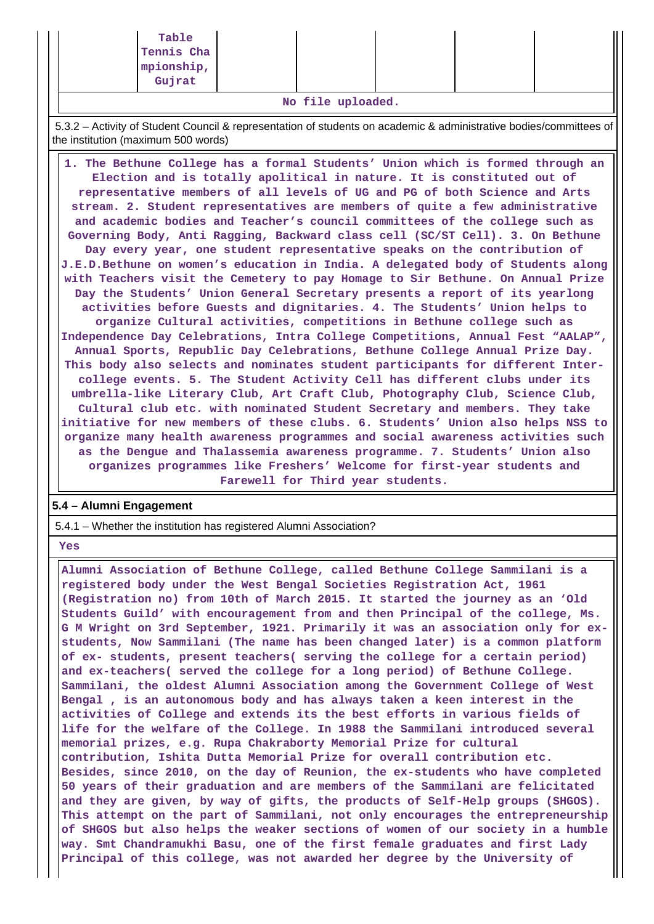| Table      |  |  |  |
|------------|--|--|--|
| Tennis Cha |  |  |  |
| mpionship, |  |  |  |
| Gujrat     |  |  |  |

**No file uploaded.**

 5.3.2 – Activity of Student Council & representation of students on academic & administrative bodies/committees of the institution (maximum 500 words)

 **1. The Bethune College has a formal Students' Union which is formed through an Election and is totally apolitical in nature. It is constituted out of representative members of all levels of UG and PG of both Science and Arts stream. 2. Student representatives are members of quite a few administrative and academic bodies and Teacher's council committees of the college such as Governing Body, Anti Ragging, Backward class cell (SC/ST Cell). 3. On Bethune Day every year, one student representative speaks on the contribution of J.E.D.Bethune on women's education in India. A delegated body of Students along with Teachers visit the Cemetery to pay Homage to Sir Bethune. On Annual Prize Day the Students' Union General Secretary presents a report of its yearlong activities before Guests and dignitaries. 4. The Students' Union helps to organize Cultural activities, competitions in Bethune college such as Independence Day Celebrations, Intra College Competitions, Annual Fest "AALAP", Annual Sports, Republic Day Celebrations, Bethune College Annual Prize Day. This body also selects and nominates student participants for different Intercollege events. 5. The Student Activity Cell has different clubs under its umbrella-like Literary Club, Art Craft Club, Photography Club, Science Club, Cultural club etc. with nominated Student Secretary and members. They take initiative for new members of these clubs. 6. Students' Union also helps NSS to organize many health awareness programmes and social awareness activities such as the Dengue and Thalassemia awareness programme. 7. Students' Union also organizes programmes like Freshers' Welcome for first-year students and Farewell for Third year students.**

## **5.4 – Alumni Engagement**

5.4.1 – Whether the institution has registered Alumni Association?

 **Yes**

 **Alumni Association of Bethune College, called Bethune College Sammilani is a registered body under the West Bengal Societies Registration Act, 1961 (Registration no) from 10th of March 2015. It started the journey as an 'Old Students Guild' with encouragement from and then Principal of the college, Ms. G M Wright on 3rd September, 1921. Primarily it was an association only for exstudents, Now Sammilani (The name has been changed later) is a common platform of ex- students, present teachers( serving the college for a certain period) and ex-teachers( served the college for a long period) of Bethune College. Sammilani, the oldest Alumni Association among the Government College of West Bengal , is an autonomous body and has always taken a keen interest in the activities of College and extends its the best efforts in various fields of life for the welfare of the College. In 1988 the Sammilani introduced several memorial prizes, e.g. Rupa Chakraborty Memorial Prize for cultural contribution, Ishita Dutta Memorial Prize for overall contribution etc. Besides, since 2010, on the day of Reunion, the ex-students who have completed 50 years of their graduation and are members of the Sammilani are felicitated and they are given, by way of gifts, the products of Self-Help groups (SHGOS). This attempt on the part of Sammilani, not only encourages the entrepreneurship of SHGOS but also helps the weaker sections of women of our society in a humble way. Smt Chandramukhi Basu, one of the first female graduates and first Lady Principal of this college, was not awarded her degree by the University of**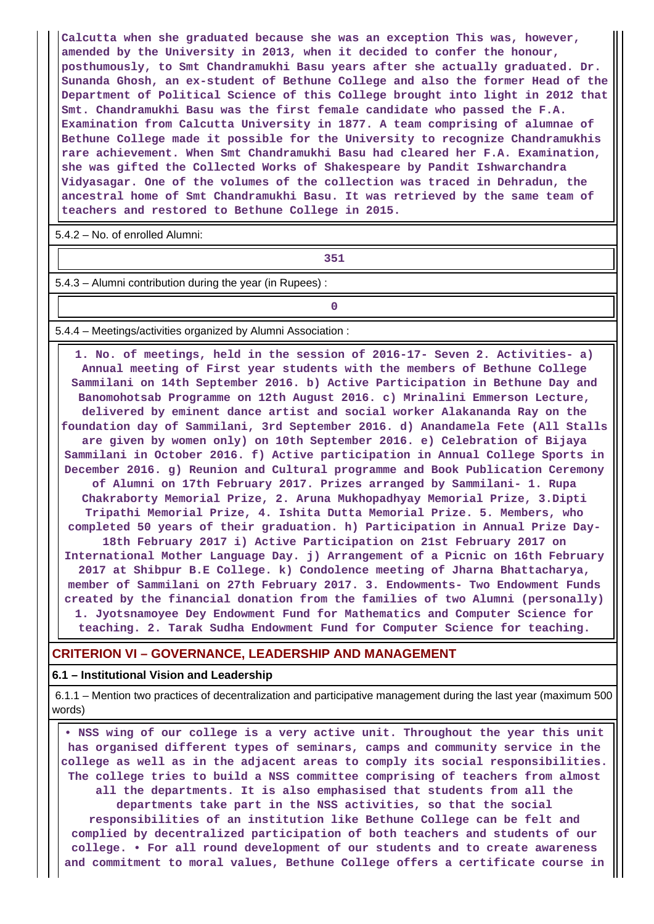**Calcutta when she graduated because she was an exception This was, however, amended by the University in 2013, when it decided to confer the honour, posthumously, to Smt Chandramukhi Basu years after she actually graduated. Dr. Sunanda Ghosh, an ex-student of Bethune College and also the former Head of the Department of Political Science of this College brought into light in 2012 that Smt. Chandramukhi Basu was the first female candidate who passed the F.A. Examination from Calcutta University in 1877. A team comprising of alumnae of Bethune College made it possible for the University to recognize Chandramukhis rare achievement. When Smt Chandramukhi Basu had cleared her F.A. Examination, she was gifted the Collected Works of Shakespeare by Pandit Ishwarchandra Vidyasagar. One of the volumes of the collection was traced in Dehradun, the ancestral home of Smt Chandramukhi Basu. It was retrieved by the same team of teachers and restored to Bethune College in 2015.**

5.4.2 – No. of enrolled Alumni:

**1 351** 

5.4.3 – Alumni contribution during the year (in Rupees) :

**0**

5.4.4 – Meetings/activities organized by Alumni Association :

 **1. No. of meetings, held in the session of 2016-17- Seven 2. Activities- a) Annual meeting of First year students with the members of Bethune College Sammilani on 14th September 2016. b) Active Participation in Bethune Day and Banomohotsab Programme on 12th August 2016. c) Mrinalini Emmerson Lecture, delivered by eminent dance artist and social worker Alakananda Ray on the foundation day of Sammilani, 3rd September 2016. d) Anandamela Fete (All Stalls are given by women only) on 10th September 2016. e) Celebration of Bijaya Sammilani in October 2016. f) Active participation in Annual College Sports in December 2016. g) Reunion and Cultural programme and Book Publication Ceremony of Alumni on 17th February 2017. Prizes arranged by Sammilani- 1. Rupa Chakraborty Memorial Prize, 2. Aruna Mukhopadhyay Memorial Prize, 3.Dipti Tripathi Memorial Prize, 4. Ishita Dutta Memorial Prize. 5. Members, who completed 50 years of their graduation. h) Participation in Annual Prize Day-18th February 2017 i) Active Participation on 21st February 2017 on International Mother Language Day. j) Arrangement of a Picnic on 16th February 2017 at Shibpur B.E College. k) Condolence meeting of Jharna Bhattacharya, member of Sammilani on 27th February 2017. 3. Endowments- Two Endowment Funds created by the financial donation from the families of two Alumni (personally) 1. Jyotsnamoyee Dey Endowment Fund for Mathematics and Computer Science for teaching. 2. Tarak Sudha Endowment Fund for Computer Science for teaching.**

#### **CRITERION VI – GOVERNANCE, LEADERSHIP AND MANAGEMENT**

#### **6.1 – Institutional Vision and Leadership**

 6.1.1 – Mention two practices of decentralization and participative management during the last year (maximum 500 words)

 **• NSS wing of our college is a very active unit. Throughout the year this unit has organised different types of seminars, camps and community service in the college as well as in the adjacent areas to comply its social responsibilities. The college tries to build a NSS committee comprising of teachers from almost all the departments. It is also emphasised that students from all the departments take part in the NSS activities, so that the social responsibilities of an institution like Bethune College can be felt and complied by decentralized participation of both teachers and students of our college. • For all round development of our students and to create awareness and commitment to moral values, Bethune College offers a certificate course in**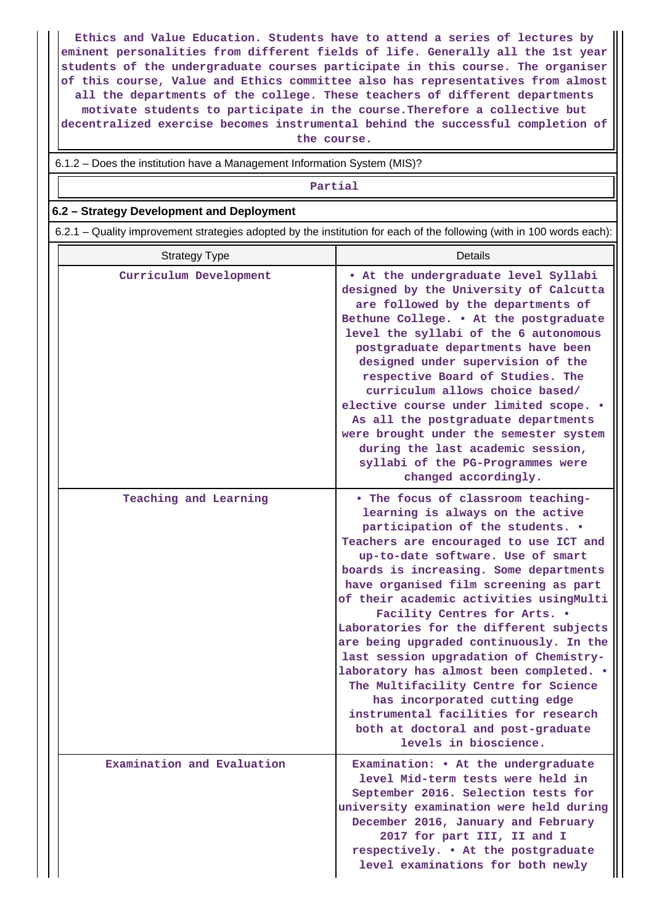**Ethics and Value Education. Students have to attend a series of lectures by eminent personalities from different fields of life. Generally all the 1st year students of the undergraduate courses participate in this course. The organiser of this course, Value and Ethics committee also has representatives from almost all the departments of the college. These teachers of different departments motivate students to participate in the course.Therefore a collective but decentralized exercise becomes instrumental behind the successful completion of the course.**

6.1.2 – Does the institution have a Management Information System (MIS)?

#### **Partial**

#### **6.2 – Strategy Development and Deployment**

6.2.1 – Quality improvement strategies adopted by the institution for each of the following (with in 100 words each):

| <b>Strategy Type</b>       | Details                                                                                                                                                                                                                                                                                                                                                                                                                                                                                                                                                                                                                                                                                                            |
|----------------------------|--------------------------------------------------------------------------------------------------------------------------------------------------------------------------------------------------------------------------------------------------------------------------------------------------------------------------------------------------------------------------------------------------------------------------------------------------------------------------------------------------------------------------------------------------------------------------------------------------------------------------------------------------------------------------------------------------------------------|
| Curriculum Development     | . At the undergraduate level Syllabi<br>designed by the University of Calcutta<br>are followed by the departments of<br>Bethune College. . At the postgraduate<br>level the syllabi of the 6 autonomous<br>postgraduate departments have been<br>designed under supervision of the<br>respective Board of Studies. The<br>curriculum allows choice based/<br>elective course under limited scope. .<br>As all the postgraduate departments<br>were brought under the semester system<br>during the last academic session,<br>syllabi of the PG-Programmes were<br>changed accordingly.                                                                                                                             |
| Teaching and Learning      | . The focus of classroom teaching-<br>learning is always on the active<br>participation of the students. .<br>Teachers are encouraged to use ICT and<br>up-to-date software. Use of smart<br>boards is increasing. Some departments<br>have organised film screening as part<br>of their academic activities usingMulti<br>Facility Centres for Arts. .<br>Laboratories for the different subjects<br>are being upgraded continuously. In the<br>last session upgradation of Chemistry-<br>laboratory has almost been completed. .<br>The Multifacility Centre for Science<br>has incorporated cutting edge<br>instrumental facilities for research<br>both at doctoral and post-graduate<br>levels in bioscience. |
| Examination and Evaluation | Examination: • At the undergraduate<br>level Mid-term tests were held in<br>September 2016. Selection tests for<br>university examination were held during<br>December 2016, January and February<br>2017 for part III, II and I<br>respectively. . At the postgraduate<br>level examinations for both newly                                                                                                                                                                                                                                                                                                                                                                                                       |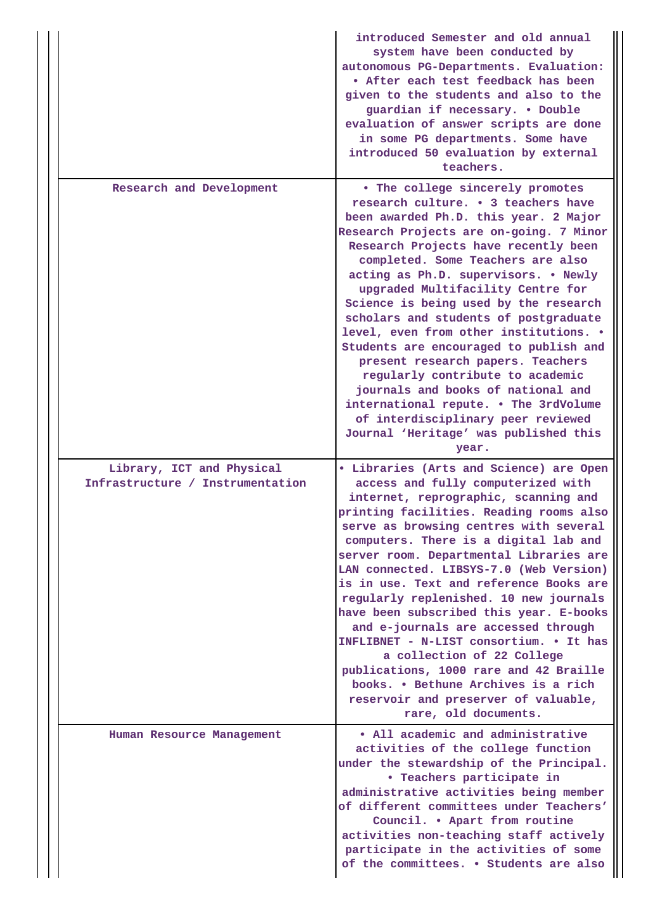|                                                               | introduced Semester and old annual<br>system have been conducted by<br>autonomous PG-Departments. Evaluation:<br>. After each test feedback has been<br>given to the students and also to the<br>guardian if necessary. . Double<br>evaluation of answer scripts are done<br>in some PG departments. Some have<br>introduced 50 evaluation by external<br>teachers.                                                                                                                                                                                                                                                                                                                                                                         |
|---------------------------------------------------------------|---------------------------------------------------------------------------------------------------------------------------------------------------------------------------------------------------------------------------------------------------------------------------------------------------------------------------------------------------------------------------------------------------------------------------------------------------------------------------------------------------------------------------------------------------------------------------------------------------------------------------------------------------------------------------------------------------------------------------------------------|
| Research and Development                                      | • The college sincerely promotes<br>research culture. . 3 teachers have<br>been awarded Ph.D. this year. 2 Major<br>Research Projects are on-going. 7 Minor<br>Research Projects have recently been<br>completed. Some Teachers are also<br>acting as Ph.D. supervisors. . Newly<br>upgraded Multifacility Centre for<br>Science is being used by the research<br>scholars and students of postgraduate<br>level, even from other institutions. .<br>Students are encouraged to publish and<br>present research papers. Teachers<br>regularly contribute to academic<br>journals and books of national and<br>international repute. • The 3rdVolume<br>of interdisciplinary peer reviewed<br>Journal 'Heritage' was published this<br>year. |
| Library, ICT and Physical<br>Infrastructure / Instrumentation | · Libraries (Arts and Science) are Open<br>access and fully computerized with<br>internet, reprographic, scanning and<br>printing facilities. Reading rooms also<br>serve as browsing centres with several<br>computers. There is a digital lab and<br>server room. Departmental Libraries are<br>LAN connected. LIBSYS-7.0 (Web Version)<br>is in use. Text and reference Books are<br>regularly replenished. 10 new journals<br>have been subscribed this year. E-books<br>and e-journals are accessed through<br>INFLIBNET - N-LIST consortium. • It has<br>a collection of 22 College<br>publications, 1000 rare and 42 Braille<br>books. • Bethune Archives is a rich<br>reservoir and preserver of valuable,<br>rare, old documents.  |
| Human Resource Management                                     | • All academic and administrative<br>activities of the college function<br>under the stewardship of the Principal.<br>• Teachers participate in<br>administrative activities being member<br>of different committees under Teachers'<br>Council. . Apart from routine<br>activities non-teaching staff actively<br>participate in the activities of some<br>of the committees. . Students are also                                                                                                                                                                                                                                                                                                                                          |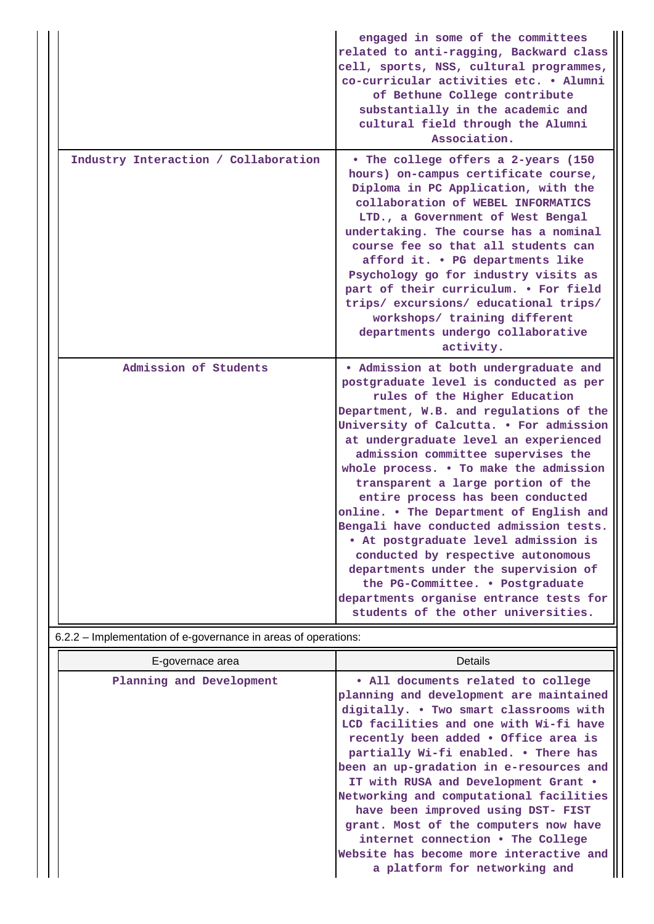|                                      | engaged in some of the committees<br>related to anti-ragging, Backward class<br>cell, sports, NSS, cultural programmes,<br>co-curricular activities etc. . Alumni<br>of Bethune College contribute<br>substantially in the academic and<br>cultural field through the Alumni<br>Association.                                                                                                                                                                                                                                                                                                                                                                                                                                                 |
|--------------------------------------|----------------------------------------------------------------------------------------------------------------------------------------------------------------------------------------------------------------------------------------------------------------------------------------------------------------------------------------------------------------------------------------------------------------------------------------------------------------------------------------------------------------------------------------------------------------------------------------------------------------------------------------------------------------------------------------------------------------------------------------------|
| Industry Interaction / Collaboration | . The college offers a 2-years (150<br>hours) on-campus certificate course,<br>Diploma in PC Application, with the<br>collaboration of WEBEL INFORMATICS<br>LTD., a Government of West Bengal<br>undertaking. The course has a nominal<br>course fee so that all students can<br>afford it. . PG departments like<br>Psychology go for industry visits as<br>part of their curriculum. . For field<br>trips/excursions/educational trips/<br>workshops/ training different<br>departments undergo collaborative<br>activity.                                                                                                                                                                                                                 |
| Admission of Students                | . Admission at both undergraduate and<br>postgraduate level is conducted as per<br>rules of the Higher Education<br>Department, W.B. and regulations of the<br>University of Calcutta. . For admission<br>at undergraduate level an experienced<br>admission committee supervises the<br>whole process. . To make the admission<br>transparent a large portion of the<br>entire process has been conducted<br>online. . The Department of English and<br>Bengali have conducted admission tests.<br>. At postgraduate level admission is<br>conducted by respective autonomous<br>departments under the supervision of<br>the PG-Committee. . Postgraduate<br>departments organise entrance tests for<br>students of the other universities. |

6.2.2 – Implementation of e-governance in areas of operations:

| E-governace area         | <b>Details</b>                                                                                                                                                                                                                                                                                                                                                                                                                                                                                                                                                                  |
|--------------------------|---------------------------------------------------------------------------------------------------------------------------------------------------------------------------------------------------------------------------------------------------------------------------------------------------------------------------------------------------------------------------------------------------------------------------------------------------------------------------------------------------------------------------------------------------------------------------------|
| Planning and Development | • All documents related to college<br>planning and development are maintained<br>digitally. . Two smart classrooms with<br>LCD facilities and one with Wi-fi have<br>recently been added . Office area is<br>partially Wi-fi enabled. . There has<br>been an up-gradation in e-resources and<br>IT with RUSA and Development Grant .<br>Networking and computational facilities<br>have been improved using DST- FIST<br>grant. Most of the computers now have<br>internet connection • The College<br>Website has become more interactive and<br>a platform for networking and |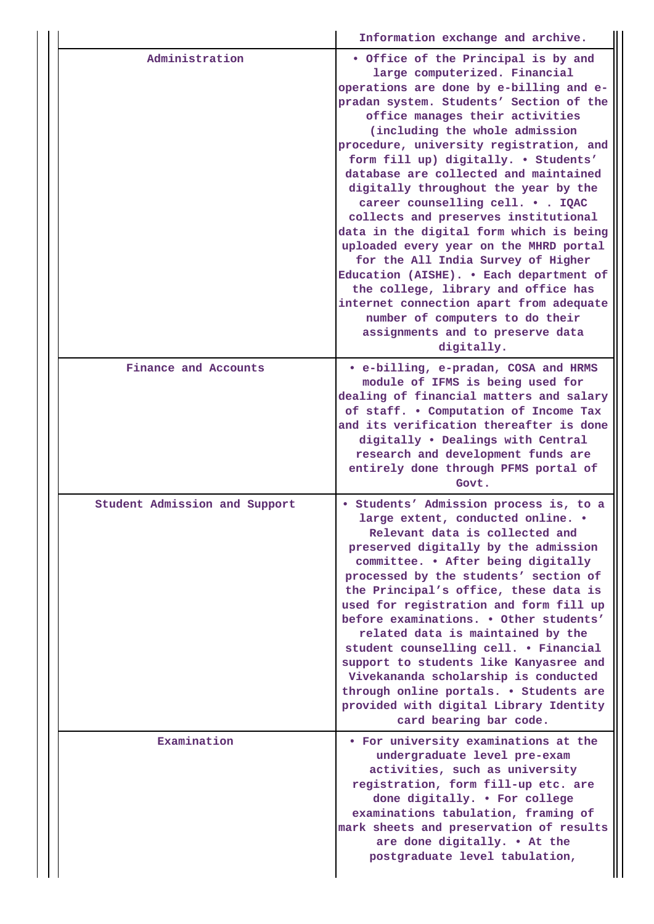|  |                               | Information exchange and archive.                                                                                                                                                                                                                                                                                                                                                                                                                                                                                                                                                                                                                                                                                                                                                                                         |
|--|-------------------------------|---------------------------------------------------------------------------------------------------------------------------------------------------------------------------------------------------------------------------------------------------------------------------------------------------------------------------------------------------------------------------------------------------------------------------------------------------------------------------------------------------------------------------------------------------------------------------------------------------------------------------------------------------------------------------------------------------------------------------------------------------------------------------------------------------------------------------|
|  | Administration                | . Office of the Principal is by and<br>large computerized. Financial<br>operations are done by e-billing and e-<br>pradan system. Students' Section of the<br>office manages their activities<br>(including the whole admission<br>procedure, university registration, and<br>form fill up) digitally. . Students'<br>database are collected and maintained<br>digitally throughout the year by the<br>career counselling cell. IQAC<br>collects and preserves institutional<br>data in the digital form which is being<br>uploaded every year on the MHRD portal<br>for the All India Survey of Higher<br>Education (AISHE). . Each department of<br>the college, library and office has<br>internet connection apart from adequate<br>number of computers to do their<br>assignments and to preserve data<br>digitally. |
|  | Finance and Accounts          | • e-billing, e-pradan, COSA and HRMS<br>module of IFMS is being used for<br>dealing of financial matters and salary<br>of staff. . Computation of Income Tax<br>and its verification thereafter is done<br>digitally . Dealings with Central<br>research and development funds are<br>entirely done through PFMS portal of<br>Govt.                                                                                                                                                                                                                                                                                                                                                                                                                                                                                       |
|  | Student Admission and Support | · Students' Admission process is, to a<br>large extent, conducted online.<br>Relevant data is collected and<br>preserved digitally by the admission<br>committee. . After being digitally<br>processed by the students' section of<br>the Principal's office, these data is<br>used for registration and form fill up<br>before examinations. . Other students'<br>related data is maintained by the<br>student counselling cell. . Financial<br>support to students like Kanyasree and<br>Vivekananda scholarship is conducted<br>through online portals. . Students are<br>provided with digital Library Identity<br>card bearing bar code.                                                                                                                                                                             |
|  | Examination                   | • For university examinations at the<br>undergraduate level pre-exam<br>activities, such as university<br>registration, form fill-up etc. are<br>done digitally. . For college<br>examinations tabulation, framing of<br>mark sheets and preservation of results<br>are done digitally. . At the<br>postgraduate level tabulation,                                                                                                                                                                                                                                                                                                                                                                                                                                                                                        |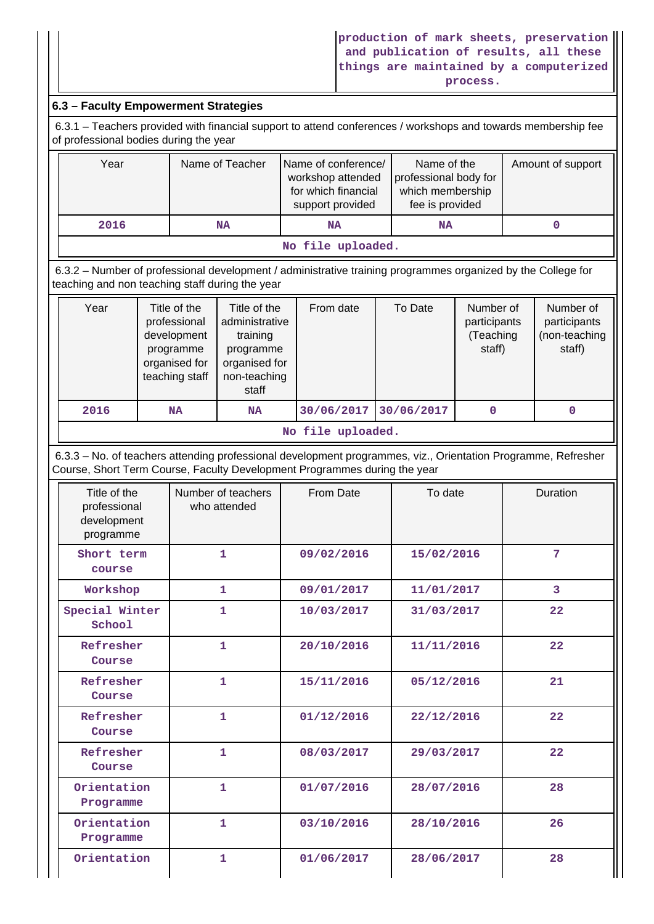## **6.3 – Faculty Empowerment Strategies**

 6.3.1 – Teachers provided with financial support to attend conferences / workshops and towards membership fee of professional bodies during the year

| Year              | Name of Teacher | Name of conference/<br>workshop attended<br>for which financial<br>support provided | Name of the<br>professional body for<br>which membership<br>fee is provided | Amount of support |  |
|-------------------|-----------------|-------------------------------------------------------------------------------------|-----------------------------------------------------------------------------|-------------------|--|
| 2016              | <b>NA</b>       | NA                                                                                  | <b>NA</b>                                                                   |                   |  |
| No file uploaded. |                 |                                                                                     |                                                                             |                   |  |

 6.3.2 – Number of professional development / administrative training programmes organized by the College for teaching and non teaching staff during the year

| Year | Title of the<br>professional<br>development<br>programme<br>organised for<br>teaching staff | Title of the<br>administrative<br>training<br>programme<br>organised for<br>non-teaching<br>staff | From date  | To Date    | Number of<br>participants<br>(Teaching<br>staff) | Number of<br>participants<br>(non-teaching<br>staff) |
|------|---------------------------------------------------------------------------------------------|---------------------------------------------------------------------------------------------------|------------|------------|--------------------------------------------------|------------------------------------------------------|
| 2016 | <b>NA</b>                                                                                   | <b>NA</b>                                                                                         | 30/06/2017 | 30/06/2017 | 0                                                | 0                                                    |
|      | $M_0$ file unlooded                                                                         |                                                                                                   |            |            |                                                  |                                                      |

#### **No file uploaded.**

 6.3.3 – No. of teachers attending professional development programmes, viz., Orientation Programme, Refresher Course, Short Term Course, Faculty Development Programmes during the year

| Title of the<br>professional<br>development<br>programme | Number of teachers<br>who attended | From Date  | To date    | Duration       |
|----------------------------------------------------------|------------------------------------|------------|------------|----------------|
| Short term<br>course                                     | $\mathbf{1}$                       | 09/02/2016 | 15/02/2016 | 7              |
| Workshop                                                 | 1                                  | 09/01/2017 | 11/01/2017 | $\overline{3}$ |
| Special Winter<br>School                                 | 1                                  | 10/03/2017 | 31/03/2017 | 22             |
| Refresher<br>Course                                      | $\mathbf{1}$                       | 20/10/2016 | 11/11/2016 | 22             |
| Refresher<br>Course                                      | $\mathbf{1}$                       | 15/11/2016 | 05/12/2016 | 21             |
| Refresher<br>Course                                      | $\mathbf{1}$                       | 01/12/2016 | 22/12/2016 | 22             |
| Refresher<br>Course                                      | 1                                  | 08/03/2017 | 29/03/2017 | 22             |
| Orientation<br>Programme                                 | 1                                  | 01/07/2016 | 28/07/2016 | 28             |
| Orientation<br>Programme                                 | $\mathbf{1}$                       | 03/10/2016 | 28/10/2016 | 26             |
| Orientation                                              | 1                                  | 01/06/2017 | 28/06/2017 | 28             |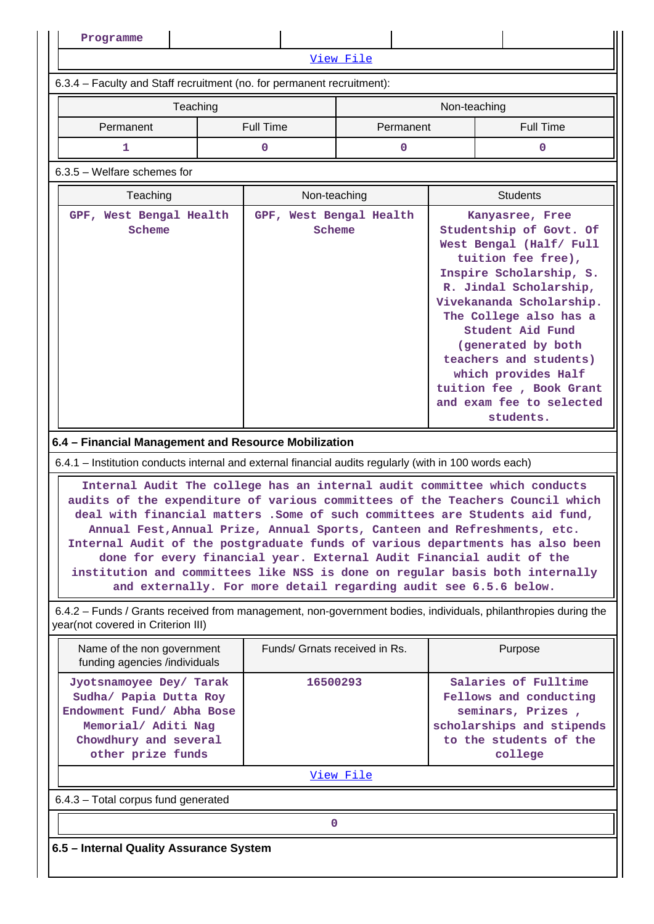**Programme** [View File](https://assessmentonline.naac.gov.in/public/Postacc/Training_Programmes/6651_Training_Programmes_1600352479.xlsx) 6.3.4 – Faculty and Staff recruitment (no. for permanent recruitment): Teaching Non-teaching Non-teaching Permanent | Full Time | Permanent | Full Time **1 0 0 0** 6.3.5 – Welfare schemes for **Teaching Teaching Reserve All Students** Non-teaching Non-teaching Non-teaching Students **GPF, West Bengal Health Scheme GPF, West Bengal Health Scheme Kanyasree, Free Studentship of Govt. Of West Bengal (Half/ Full tuition fee free), Inspire Scholarship, S. R. Jindal Scholarship, Vivekananda Scholarship. The College also has a Student Aid Fund (generated by both teachers and students) which provides Half tuition fee , Book Grant and exam fee to selected students. 6.4 – Financial Management and Resource Mobilization** 6.4.1 – Institution conducts internal and external financial audits regularly (with in 100 words each) **Internal Audit The college has an internal audit committee which conducts audits of the expenditure of various committees of the Teachers Council which deal with financial matters .Some of such committees are Students aid fund, Annual Fest,Annual Prize, Annual Sports, Canteen and Refreshments, etc. Internal Audit of the postgraduate funds of various departments has also been done for every financial year. External Audit Financial audit of the institution and committees like NSS is done on regular basis both internally and externally. For more detail regarding audit see 6.5.6 below.** 6.4.2 – Funds / Grants received from management, non-government bodies, individuals, philanthropies during the year(not covered in Criterion III) Name of the non government funding agencies /individuals Funds/ Grnats received in Rs. | Purpose **Jyotsnamoyee Dey/ Tarak Sudha/ Papia Dutta Roy Endowment Fund/ Abha Bose Memorial/ Aditi Nag Chowdhury and several other prize funds 16500293 Salaries of Fulltime Fellows and conducting seminars, Prizes , scholarships and stipends to the students of the college** [View File](https://assessmentonline.naac.gov.in/public/Postacc/Funds_or_Grants/6651_Funds_or_Grants_1600352825.xlsx) 6.4.3 – Total corpus fund generated **0 6.5 – Internal Quality Assurance System**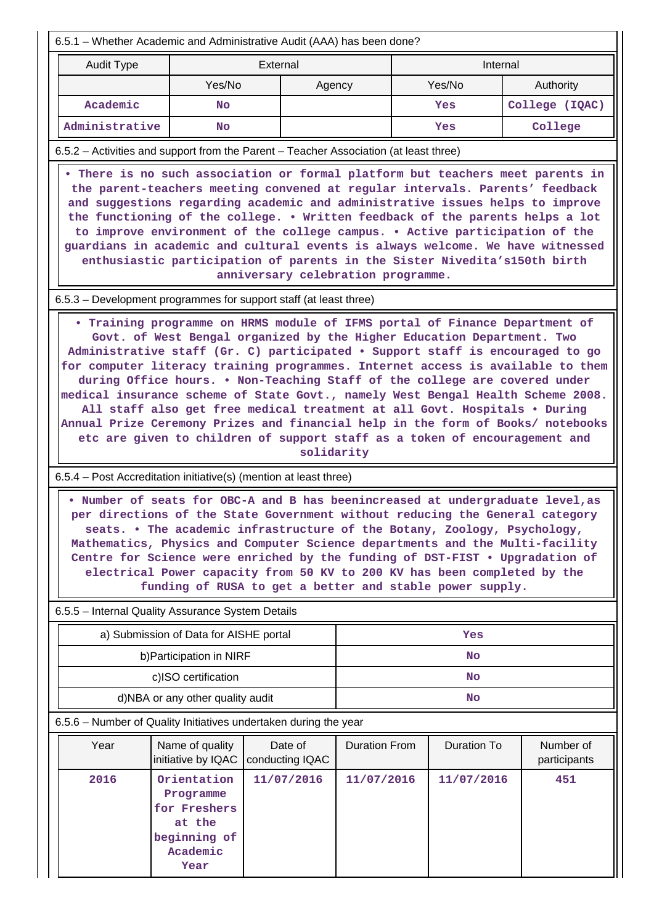| 6.5.1 – Whether Academic and Administrative Audit (AAA) has been done?                                                                                                                                                                                                                                                                                                                                                                                                                                                                                                                                                                                                                                                                                                                                                      |                                                                                        |                            |                      |           |                    |                           |  |  |
|-----------------------------------------------------------------------------------------------------------------------------------------------------------------------------------------------------------------------------------------------------------------------------------------------------------------------------------------------------------------------------------------------------------------------------------------------------------------------------------------------------------------------------------------------------------------------------------------------------------------------------------------------------------------------------------------------------------------------------------------------------------------------------------------------------------------------------|----------------------------------------------------------------------------------------|----------------------------|----------------------|-----------|--------------------|---------------------------|--|--|
| <b>Audit Type</b><br>External<br>Internal                                                                                                                                                                                                                                                                                                                                                                                                                                                                                                                                                                                                                                                                                                                                                                                   |                                                                                        |                            |                      |           |                    |                           |  |  |
|                                                                                                                                                                                                                                                                                                                                                                                                                                                                                                                                                                                                                                                                                                                                                                                                                             | Yes/No                                                                                 |                            | Agency               |           | Yes/No             | Authority                 |  |  |
| Academic                                                                                                                                                                                                                                                                                                                                                                                                                                                                                                                                                                                                                                                                                                                                                                                                                    | No                                                                                     |                            |                      |           | Yes                | College (IQAC)            |  |  |
| Administrative                                                                                                                                                                                                                                                                                                                                                                                                                                                                                                                                                                                                                                                                                                                                                                                                              | <b>No</b>                                                                              |                            |                      |           | Yes                | College                   |  |  |
| 6.5.2 - Activities and support from the Parent - Teacher Association (at least three)                                                                                                                                                                                                                                                                                                                                                                                                                                                                                                                                                                                                                                                                                                                                       |                                                                                        |                            |                      |           |                    |                           |  |  |
| . There is no such association or formal platform but teachers meet parents in<br>the parent-teachers meeting convened at regular intervals. Parents' feedback<br>and suggestions regarding academic and administrative issues helps to improve<br>the functioning of the college. . Written feedback of the parents helps a lot<br>to improve environment of the college campus. . Active participation of the<br>guardians in academic and cultural events is always welcome. We have witnessed<br>enthusiastic participation of parents in the Sister Nivedita's150th birth<br>anniversary celebration programme.                                                                                                                                                                                                        |                                                                                        |                            |                      |           |                    |                           |  |  |
| 6.5.3 – Development programmes for support staff (at least three)                                                                                                                                                                                                                                                                                                                                                                                                                                                                                                                                                                                                                                                                                                                                                           |                                                                                        |                            |                      |           |                    |                           |  |  |
| . Training programme on HRMS module of IFMS portal of Finance Department of<br>Govt. of West Bengal organized by the Higher Education Department. Two<br>Administrative staff (Gr. C) participated • Support staff is encouraged to go<br>for computer literacy training programmes. Internet access is available to them<br>during Office hours. . Non-Teaching Staff of the college are covered under<br>medical insurance scheme of State Govt., namely West Bengal Health Scheme 2008.<br>All staff also get free medical treatment at all Govt. Hospitals . During<br>Annual Prize Ceremony Prizes and financial help in the form of Books/ notebooks<br>etc are given to children of support staff as a token of encouragement and<br>solidarity<br>6.5.4 – Post Accreditation initiative(s) (mention at least three) |                                                                                        |                            |                      |           |                    |                           |  |  |
| . Number of seats for OBC-A and B has beenincreased at undergraduate level, as<br>per directions of the State Government without reducing the General category<br>seats. . The academic infrastructure of the Botany, Zoology, Psychology,<br>Mathematics, Physics and Computer Science departments and the Multi-facility<br>Centre for Science were enriched by the funding of DST-FIST . Upgradation of<br>electrical Power capacity from 50 KV to 200 KV has been completed by the<br>funding of RUSA to get a better and stable power supply.                                                                                                                                                                                                                                                                          |                                                                                        |                            |                      |           |                    |                           |  |  |
| 6.5.5 - Internal Quality Assurance System Details                                                                                                                                                                                                                                                                                                                                                                                                                                                                                                                                                                                                                                                                                                                                                                           |                                                                                        |                            |                      |           |                    |                           |  |  |
|                                                                                                                                                                                                                                                                                                                                                                                                                                                                                                                                                                                                                                                                                                                                                                                                                             | a) Submission of Data for AISHE portal                                                 |                            |                      |           | Yes                |                           |  |  |
|                                                                                                                                                                                                                                                                                                                                                                                                                                                                                                                                                                                                                                                                                                                                                                                                                             | b) Participation in NIRF                                                               |                            |                      | <b>No</b> |                    |                           |  |  |
|                                                                                                                                                                                                                                                                                                                                                                                                                                                                                                                                                                                                                                                                                                                                                                                                                             | c)ISO certification                                                                    |                            |                      |           | No                 |                           |  |  |
|                                                                                                                                                                                                                                                                                                                                                                                                                                                                                                                                                                                                                                                                                                                                                                                                                             | d)NBA or any other quality audit                                                       |                            |                      |           | <b>No</b>          |                           |  |  |
| 6.5.6 - Number of Quality Initiatives undertaken during the year                                                                                                                                                                                                                                                                                                                                                                                                                                                                                                                                                                                                                                                                                                                                                            |                                                                                        |                            |                      |           |                    |                           |  |  |
| Year                                                                                                                                                                                                                                                                                                                                                                                                                                                                                                                                                                                                                                                                                                                                                                                                                        | Name of quality<br>initiative by IQAC                                                  | Date of<br>conducting IQAC | <b>Duration From</b> |           | <b>Duration To</b> | Number of<br>participants |  |  |
| 2016                                                                                                                                                                                                                                                                                                                                                                                                                                                                                                                                                                                                                                                                                                                                                                                                                        | Orientation<br>Programme<br>for Freshers<br>at the<br>beginning of<br>Academic<br>Year | 11/07/2016                 | 11/07/2016           |           | 11/07/2016         | 451                       |  |  |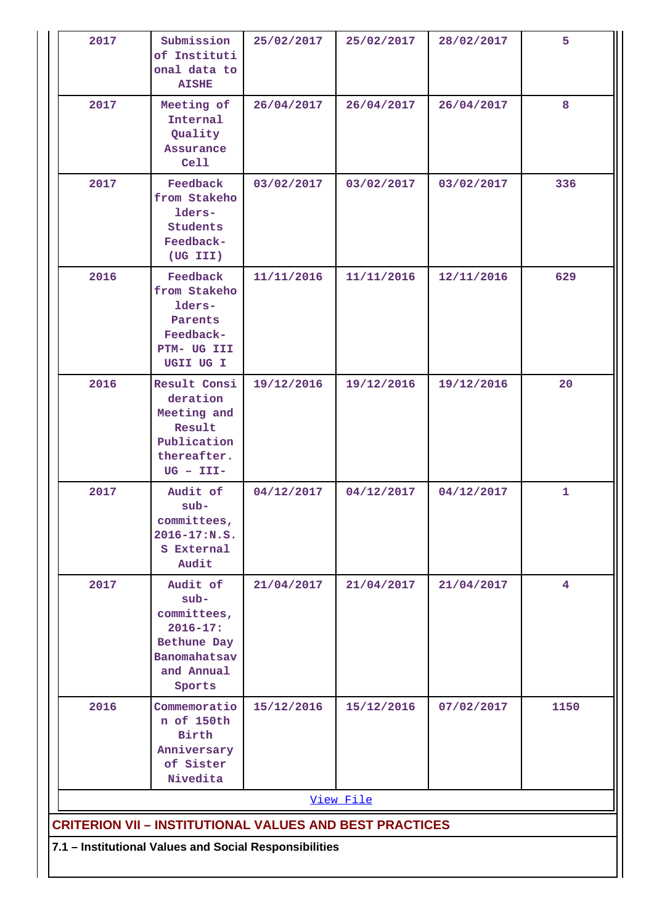| 2017                                                   | Submission<br>of Instituti<br>onal data to<br><b>AISHE</b>                                               | 25/02/2017 | 25/02/2017 | 28/02/2017 | 5              |  |  |  |
|--------------------------------------------------------|----------------------------------------------------------------------------------------------------------|------------|------------|------------|----------------|--|--|--|
| 2017                                                   | Meeting of<br>Internal<br>Quality<br>Assurance<br>Cell                                                   | 26/04/2017 | 26/04/2017 | 26/04/2017 | 8              |  |  |  |
| 2017                                                   | Feedback<br>from Stakeho<br>lders-<br>Students<br>Feedback-<br>(UG III)                                  | 03/02/2017 | 03/02/2017 | 03/02/2017 | 336            |  |  |  |
| 2016                                                   | Feedback<br>from Stakeho<br>lders-<br>Parents<br>Feedback-<br>PTM- UG III<br>UGII UG I                   | 11/11/2016 | 11/11/2016 | 12/11/2016 | 629            |  |  |  |
| 2016                                                   | Result Consi<br>deration<br>Meeting and<br>Result<br>Publication<br>thereafter.<br>$UG - III -$          | 19/12/2016 | 19/12/2016 | 19/12/2016 | 20             |  |  |  |
| 2017                                                   | Audit of<br>$sub-$<br>committees,<br>2016-17:N.S.<br>S External<br>Audit                                 | 04/12/2017 | 04/12/2017 | 04/12/2017 | 1              |  |  |  |
| 2017                                                   | Audit of<br>$sub-$<br>committees,<br>$2016 - 17:$<br>Bethune Day<br>Banomahatsav<br>and Annual<br>Sports | 21/04/2017 | 21/04/2017 | 21/04/2017 | 4 <sup>1</sup> |  |  |  |
| 2016                                                   | Commemoratio<br>n of 150th<br><b>Birth</b><br>Anniversary<br>of Sister<br>Nivedita                       | 15/12/2016 | 15/12/2016 | 07/02/2017 | 1150           |  |  |  |
|                                                        |                                                                                                          |            | View File  |            |                |  |  |  |
|                                                        | <b>CRITERION VII - INSTITUTIONAL VALUES AND BEST PRACTICES</b>                                           |            |            |            |                |  |  |  |
| 7.1 - Institutional Values and Social Responsibilities |                                                                                                          |            |            |            |                |  |  |  |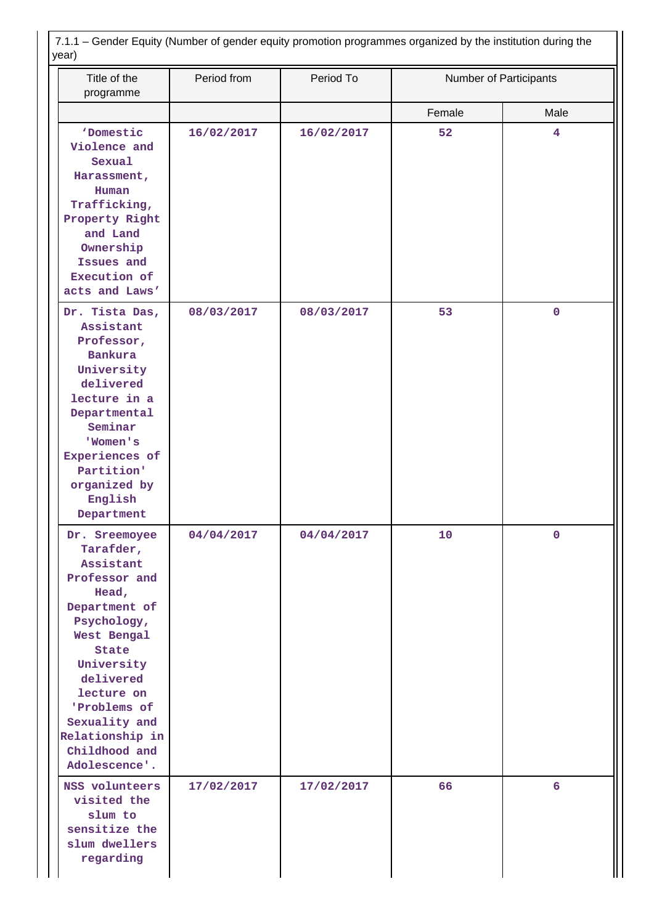| Title of the<br>programme                                                                                                                                                                                                                                | Period from | Period To  | Number of Participants |             |
|----------------------------------------------------------------------------------------------------------------------------------------------------------------------------------------------------------------------------------------------------------|-------------|------------|------------------------|-------------|
|                                                                                                                                                                                                                                                          |             |            | Female                 | Male        |
| 'Domestic<br>Violence and<br>Sexual<br>Harassment,<br>Human<br>Trafficking,<br>Property Right<br>and Land<br>Ownership<br>Issues and<br>Execution of                                                                                                     | 16/02/2017  | 16/02/2017 | 52                     | 4           |
| acts and Laws'                                                                                                                                                                                                                                           |             |            |                        |             |
| Dr. Tista Das,<br>Assistant<br>Professor,<br><b>Bankura</b><br>University<br>delivered<br>lecture in a<br>Departmental<br>Seminar<br>'Women's<br>Experiences of<br>Partition'<br>organized by<br>English<br>Department                                   | 08/03/2017  | 08/03/2017 | 53                     | $\mathbf 0$ |
| Dr. Sreemoyee<br>Tarafder,<br>Assistant<br>Professor and<br>Head,<br>Department of<br>Psychology,<br>West Bengal<br>State<br>University<br>delivered<br>lecture on<br>'Problems of<br>Sexuality and<br>Relationship in<br>Childhood and<br>Adolescence'. | 04/04/2017  | 04/04/2017 | 10                     | $\mathbf 0$ |
| NSS volunteers<br>visited the<br>slum to<br>sensitize the<br>slum dwellers<br>regarding                                                                                                                                                                  | 17/02/2017  | 17/02/2017 | 66                     | 6           |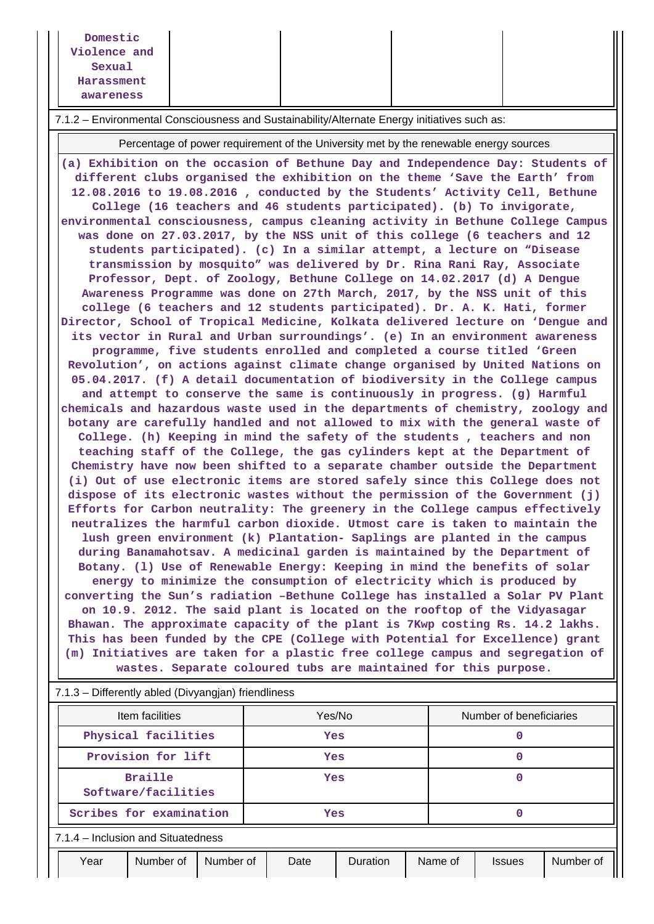| Domestic     |  |  |
|--------------|--|--|
| Violence and |  |  |
| Sexual       |  |  |
| Harassment   |  |  |
| awareness    |  |  |

7.1.2 – Environmental Consciousness and Sustainability/Alternate Energy initiatives such as:

Percentage of power requirement of the University met by the renewable energy sources

**(a) Exhibition on the occasion of Bethune Day and Independence Day: Students of different clubs organised the exhibition on the theme 'Save the Earth' from 12.08.2016 to 19.08.2016 , conducted by the Students' Activity Cell, Bethune College (16 teachers and 46 students participated). (b) To invigorate, environmental consciousness, campus cleaning activity in Bethune College Campus was done on 27.03.2017, by the NSS unit of this college (6 teachers and 12 students participated). (c) In a similar attempt, a lecture on "Disease transmission by mosquito" was delivered by Dr. Rina Rani Ray, Associate Professor, Dept. of Zoology, Bethune College on 14.02.2017 (d) A Dengue Awareness Programme was done on 27th March, 2017, by the NSS unit of this college (6 teachers and 12 students participated). Dr. A. K. Hati, former Director, School of Tropical Medicine, Kolkata delivered lecture on 'Dengue and its vector in Rural and Urban surroundings'. (e) In an environment awareness programme, five students enrolled and completed a course titled 'Green Revolution', on actions against climate change organised by United Nations on 05.04.2017. (f) A detail documentation of biodiversity in the College campus and attempt to conserve the same is continuously in progress. (g) Harmful chemicals and hazardous waste used in the departments of chemistry, zoology and botany are carefully handled and not allowed to mix with the general waste of College. (h) Keeping in mind the safety of the students , teachers and non teaching staff of the College, the gas cylinders kept at the Department of Chemistry have now been shifted to a separate chamber outside the Department (i) Out of use electronic items are stored safely since this College does not dispose of its electronic wastes without the permission of the Government (j) Efforts for Carbon neutrality: The greenery in the College campus effectively neutralizes the harmful carbon dioxide. Utmost care is taken to maintain the lush green environment (k) Plantation- Saplings are planted in the campus during Banamahotsav. A medicinal garden is maintained by the Department of Botany. (l) Use of Renewable Energy: Keeping in mind the benefits of solar energy to minimize the consumption of electricity which is produced by converting the Sun's radiation –Bethune College has installed a Solar PV Plant on 10.9. 2012. The said plant is located on the rooftop of the Vidyasagar Bhawan. The approximate capacity of the plant is 7Kwp costing Rs. 14.2 lakhs. This has been funded by the CPE (College with Potential for Excellence) grant (m) Initiatives are taken for a plastic free college campus and segregation of wastes. Separate coloured tubs are maintained for this purpose.**

| 7.1.3 - Differently abled (Divyangjan) friendliness |                                    |           |        |                 |         |                         |           |  |
|-----------------------------------------------------|------------------------------------|-----------|--------|-----------------|---------|-------------------------|-----------|--|
| Item facilities                                     |                                    |           | Yes/No |                 |         | Number of beneficiaries |           |  |
| Physical facilities                                 |                                    |           | Yes    |                 |         |                         |           |  |
| Provision for lift                                  |                                    |           | Yes    |                 |         |                         |           |  |
| <b>Braille</b><br>Software/facilities               |                                    |           | Yes    |                 |         |                         |           |  |
|                                                     | Scribes for examination            | Yes       |        | 0               |         |                         |           |  |
|                                                     | 7.1.4 - Inclusion and Situatedness |           |        |                 |         |                         |           |  |
| Year                                                | Number of                          | Number of | Date   | <b>Duration</b> | Name of | <b>Issues</b>           | Number of |  |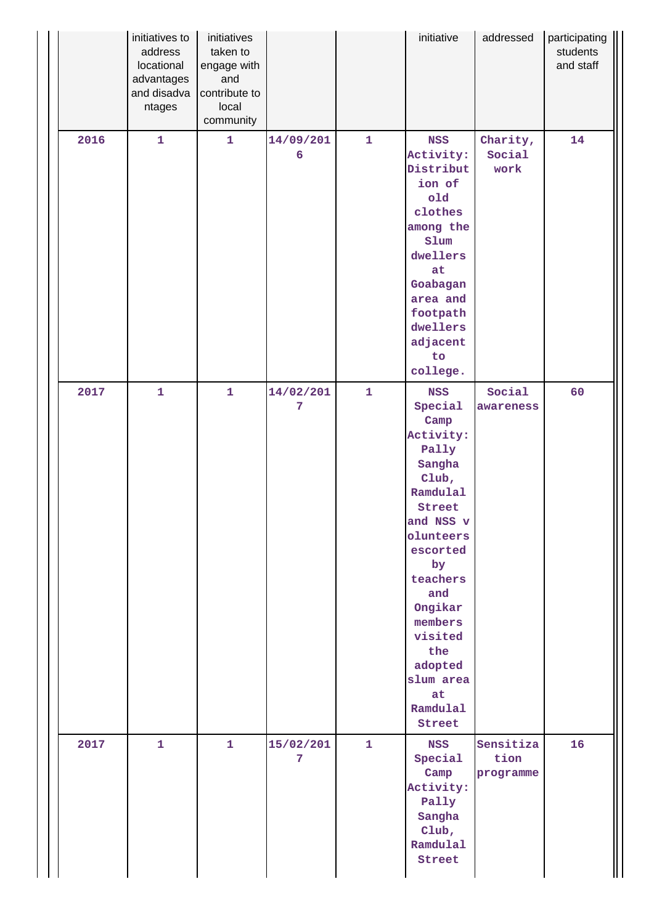|      | initiatives to<br>address<br>locational<br>advantages<br>and disadva<br>ntages | initiatives<br>taken to<br>engage with<br>and<br>contribute to<br>local<br>community |                |              | initiative                                                                                                                                                                                                                                              | addressed                      | participating<br>students<br>and staff |
|------|--------------------------------------------------------------------------------|--------------------------------------------------------------------------------------|----------------|--------------|---------------------------------------------------------------------------------------------------------------------------------------------------------------------------------------------------------------------------------------------------------|--------------------------------|----------------------------------------|
| 2016 | $\mathbf{1}$                                                                   | $\mathbf{1}$                                                                         | 14/09/201<br>6 | $\mathbf{1}$ | <b>NSS</b><br>Activity:<br>Distribut<br>ion of<br>old<br>clothes<br>among the<br>slum<br>dwellers<br>at<br>Goabagan<br>area and<br>footpath<br>dwellers<br>adjacent<br>to<br>college.                                                                   | Charity,<br>Social<br>work     | 14                                     |
| 2017 | $\mathbf{1}$                                                                   | $\mathbf{1}$                                                                         | 14/02/201<br>7 | $\mathbf{1}$ | <b>NSS</b><br>Special<br>Camp<br>Activity:<br>Pally<br>Sangha<br>Club,<br>Ramdulal<br>Street<br>and NSS v<br>olunteers<br>escorted<br>by<br>teachers<br>and<br>Ongikar<br>members<br>visited<br>the<br>adopted<br>slum area<br>at<br>Ramdulal<br>Street | Social<br>awareness            | 60                                     |
| 2017 | $\mathbf{1}$                                                                   | $\mathbf{1}$                                                                         | 15/02/201<br>7 | $\mathbf{1}$ | <b>NSS</b><br>Special<br>Camp<br>Activity:<br>Pally<br>Sangha<br>Club,<br>Ramdulal<br>Street                                                                                                                                                            | Sensitiza<br>tion<br>programme | 16                                     |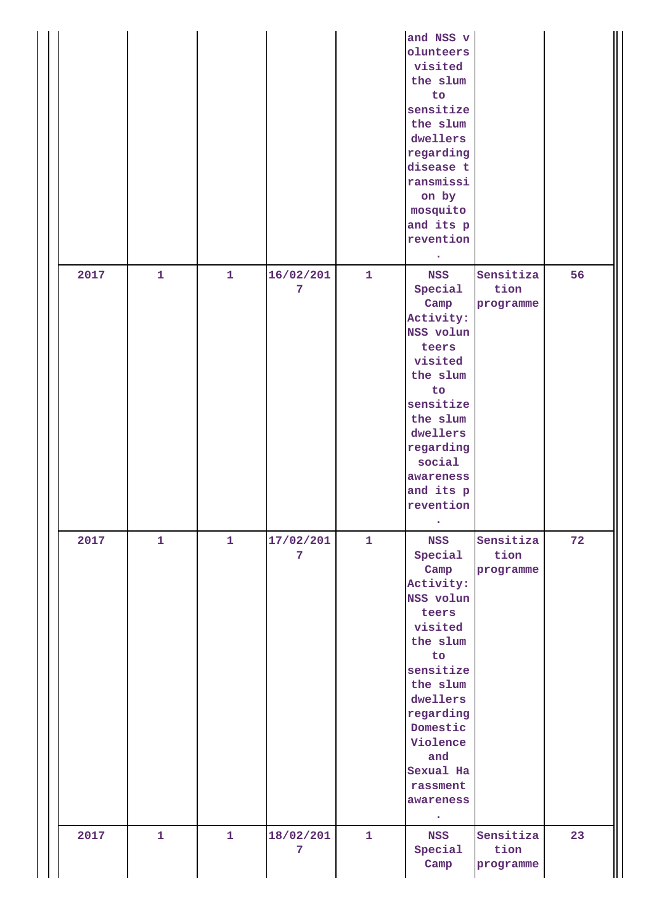|      |              |              |                |              | and NSS v<br>olunteers<br>visited<br>the slum<br>to<br>sensitize<br>the slum<br>dwellers<br>regarding<br>disease t<br>ransmissi<br>on by<br>mosquito<br>and its p<br>revention<br>$\bullet$                                       |                                |    |
|------|--------------|--------------|----------------|--------------|-----------------------------------------------------------------------------------------------------------------------------------------------------------------------------------------------------------------------------------|--------------------------------|----|
| 2017 | $\mathbf{1}$ | $\mathbf{1}$ | 16/02/201<br>7 | $\mathbf{1}$ | <b>NSS</b><br>Special<br>Camp<br>Activity:<br>NSS volun<br>teers<br>visited<br>the slum<br>to<br>sensitize<br>the slum<br>dwellers<br>regarding<br>social<br>awareness<br>and its p<br>revention                                  | Sensitiza<br>tion<br>programme | 56 |
| 2017 | $\mathbf{1}$ | $\mathbf{1}$ | 17/02/201<br>7 | $\mathbf{1}$ | <b>NSS</b><br>Special<br>Camp<br>Activity:<br>NSS volun<br>teers<br>visited<br>the slum<br>to<br>sensitize<br>the slum<br>dwellers<br>regarding<br>Domestic<br>Violence<br>and<br>Sexual Ha<br>rassment<br>awareness<br>$\bullet$ | Sensitiza<br>tion<br>programme | 72 |
| 2017 | $\mathbf{1}$ | $\mathbf{1}$ | 18/02/201<br>7 | $\mathbf{1}$ | <b>NSS</b><br>Special<br>Camp                                                                                                                                                                                                     | Sensitiza<br>tion<br>programme | 23 |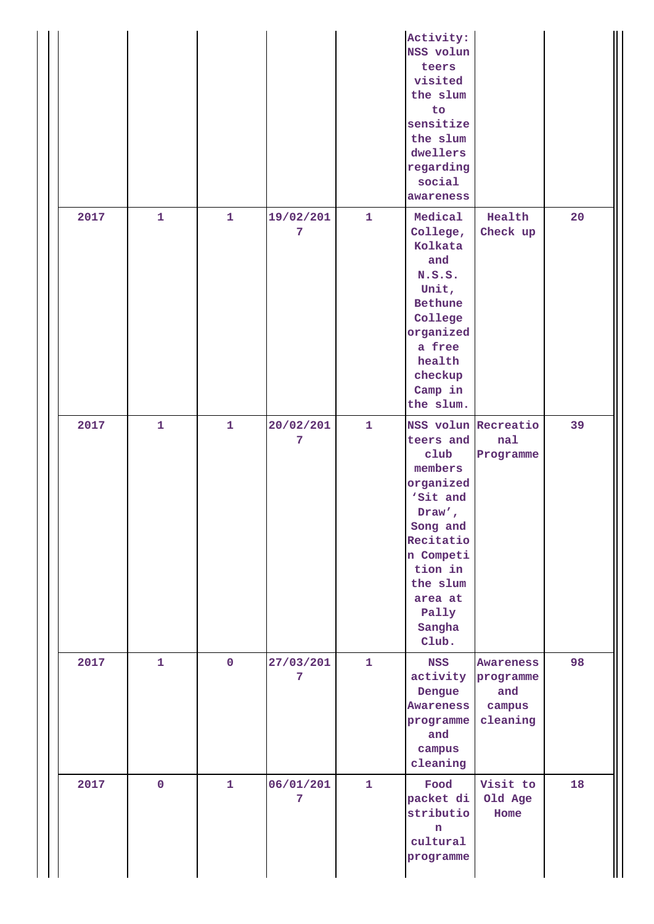|      |              |                |                |              | Activity:<br>NSS volun<br>teers<br>visited<br>the slum<br>to<br>sensitize<br>the slum<br>dwellers<br>regarding<br>social<br>awareness                                                      |                                                     |    |
|------|--------------|----------------|----------------|--------------|--------------------------------------------------------------------------------------------------------------------------------------------------------------------------------------------|-----------------------------------------------------|----|
| 2017 | $\mathbf{1}$ | $\mathbf{1}$   | 19/02/201<br>7 | $\mathbf{1}$ | Medical<br>College,<br>Kolkata<br>and<br>N.S.S.<br>Unit,<br>Bethune<br>College<br>organized<br>a free<br>health<br>checkup<br>Camp in<br>the slum.                                         | Health<br>Check up                                  | 20 |
| 2017 | $\mathbf{1}$ | $\mathbf{1}$   | 20/02/201<br>7 | $\mathbf{1}$ | NSS volun Recreatio<br>teers and<br>club<br>members<br>organized<br>'Sit and<br>Draw',<br>Song and<br>Recitatio<br>n Competi<br>tion in<br>the slum<br>area at<br>Pally<br>Sangha<br>Club. | nal<br>Programme                                    | 39 |
| 2017 | $\mathbf{1}$ | $\overline{0}$ | 27/03/201<br>7 | $\mathbf{1}$ | <b>NSS</b><br>activity<br>Dengue<br>Awareness<br>programme<br>and<br>campus<br>cleaning                                                                                                    | Awareness<br>programme<br>and<br>campus<br>cleaning | 98 |
| 2017 | $\pmb{0}$    | $\mathbf{1}$   | 06/01/201<br>7 | $\mathbf{1}$ | Food<br>packet di<br>stributio<br>n<br>cultural<br>programme                                                                                                                               | Visit to<br>Old Age<br>Home                         | 18 |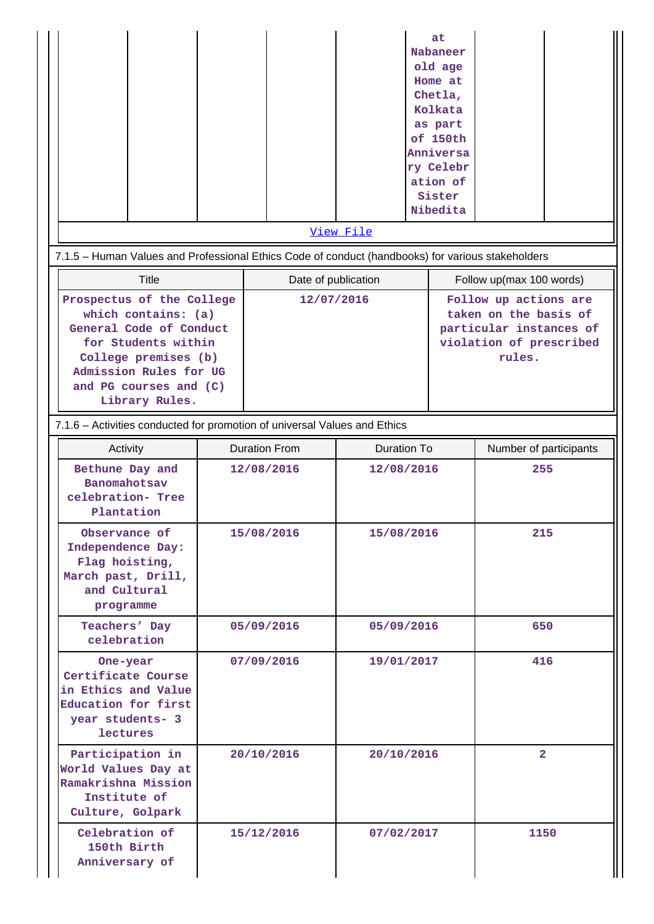|                                                                                                                                                                                                  |                                                                           |                     | View File  | at<br>Nabaneer<br>old age<br>Home at<br>Chetla,<br>Kolkata<br>as part<br>of 150th<br>Anniversa<br>ry Celebr<br>ation of<br>Sister<br>Nibedita |                                                                                                                |  |  |  |
|--------------------------------------------------------------------------------------------------------------------------------------------------------------------------------------------------|---------------------------------------------------------------------------|---------------------|------------|-----------------------------------------------------------------------------------------------------------------------------------------------|----------------------------------------------------------------------------------------------------------------|--|--|--|
| 7.1.5 - Human Values and Professional Ethics Code of conduct (handbooks) for various stakeholders                                                                                                |                                                                           |                     |            |                                                                                                                                               |                                                                                                                |  |  |  |
| Title                                                                                                                                                                                            |                                                                           | Date of publication |            |                                                                                                                                               | Follow up(max 100 words)                                                                                       |  |  |  |
| Prospectus of the College<br>which contains: (a)<br>General Code of Conduct<br>for Students within<br>College premises (b)<br>Admission Rules for UG<br>and PG courses and (C)<br>Library Rules. |                                                                           |                     | 12/07/2016 |                                                                                                                                               | Follow up actions are<br>taken on the basis of<br>particular instances of<br>violation of prescribed<br>rules. |  |  |  |
|                                                                                                                                                                                                  | 7.1.6 - Activities conducted for promotion of universal Values and Ethics |                     |            |                                                                                                                                               |                                                                                                                |  |  |  |
| Activity                                                                                                                                                                                         | <b>Duration From</b>                                                      |                     |            | <b>Duration To</b>                                                                                                                            | Number of participants                                                                                         |  |  |  |
| Bethune Day and<br>Banomahotsav<br>celebration- Tree<br>Plantation                                                                                                                               | 12/08/2016                                                                |                     | 12/08/2016 |                                                                                                                                               | 255                                                                                                            |  |  |  |
| Observance of<br>Independence Day:<br>Flag hoisting,<br>March past, Drill,<br>and Cultural<br>programme                                                                                          | 15/08/2016                                                                |                     | 15/08/2016 |                                                                                                                                               | 215                                                                                                            |  |  |  |
| Teachers' Day<br>celebration                                                                                                                                                                     |                                                                           | 05/09/2016          | 05/09/2016 |                                                                                                                                               | 650                                                                                                            |  |  |  |
| One-year<br>Certificate Course<br>in Ethics and Value<br>Education for first<br>year students- 3<br><b>lectures</b>                                                                              | 07/09/2016                                                                |                     | 19/01/2017 |                                                                                                                                               | 416                                                                                                            |  |  |  |
| Participation in<br>World Values Day at<br>Ramakrishna Mission<br>Institute of<br>Culture, Golpark                                                                                               |                                                                           | 20/10/2016          | 20/10/2016 |                                                                                                                                               | $\overline{2}$                                                                                                 |  |  |  |
| Celebration of<br>150th Birth<br>Anniversary of                                                                                                                                                  |                                                                           | 15/12/2016          | 07/02/2017 |                                                                                                                                               | 1150                                                                                                           |  |  |  |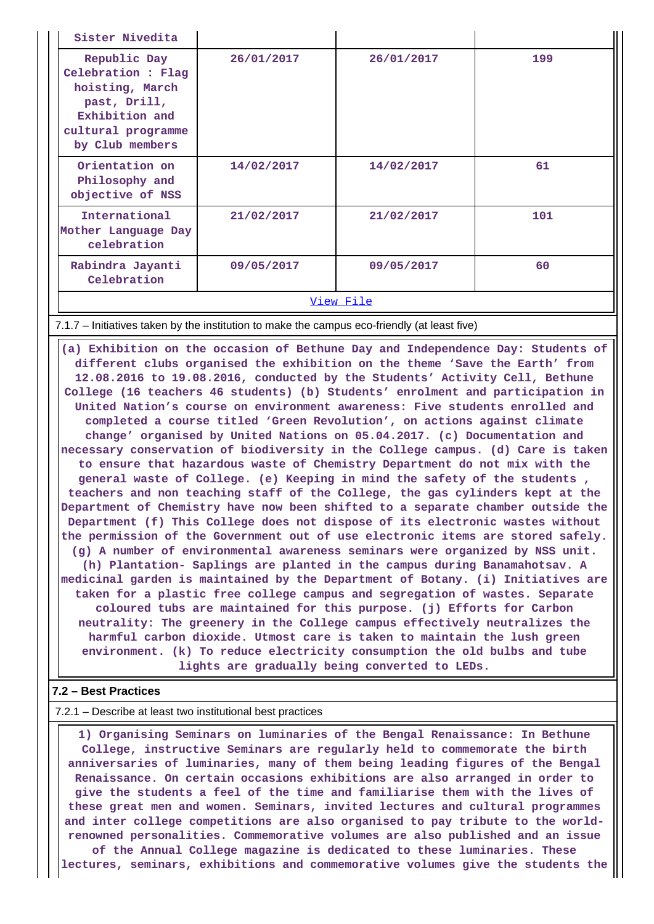| Sister Nivedita                                                                                                                                                                                                                                                                                                                                                                                                                                                                                                                                                                                                                                                                                                                                                                                                                                                                                                                                                                                                                                                                                                                                                                                                                                                                                                                                                                                                                                                                                                                                                                                                                                                                                                                                                                                                                                             |                                                                                              |            |     |  |  |  |  |  |
|-------------------------------------------------------------------------------------------------------------------------------------------------------------------------------------------------------------------------------------------------------------------------------------------------------------------------------------------------------------------------------------------------------------------------------------------------------------------------------------------------------------------------------------------------------------------------------------------------------------------------------------------------------------------------------------------------------------------------------------------------------------------------------------------------------------------------------------------------------------------------------------------------------------------------------------------------------------------------------------------------------------------------------------------------------------------------------------------------------------------------------------------------------------------------------------------------------------------------------------------------------------------------------------------------------------------------------------------------------------------------------------------------------------------------------------------------------------------------------------------------------------------------------------------------------------------------------------------------------------------------------------------------------------------------------------------------------------------------------------------------------------------------------------------------------------------------------------------------------------|----------------------------------------------------------------------------------------------|------------|-----|--|--|--|--|--|
| Republic Day<br>Celebration : Flag<br>hoisting, March<br>past, Drill,<br>Exhibition and<br>cultural programme<br>by Club members                                                                                                                                                                                                                                                                                                                                                                                                                                                                                                                                                                                                                                                                                                                                                                                                                                                                                                                                                                                                                                                                                                                                                                                                                                                                                                                                                                                                                                                                                                                                                                                                                                                                                                                            | 26/01/2017                                                                                   | 26/01/2017 | 199 |  |  |  |  |  |
| Orientation on<br>Philosophy and<br>objective of NSS                                                                                                                                                                                                                                                                                                                                                                                                                                                                                                                                                                                                                                                                                                                                                                                                                                                                                                                                                                                                                                                                                                                                                                                                                                                                                                                                                                                                                                                                                                                                                                                                                                                                                                                                                                                                        | 14/02/2017                                                                                   | 14/02/2017 | 61  |  |  |  |  |  |
| International<br>Mother Language Day<br>celebration                                                                                                                                                                                                                                                                                                                                                                                                                                                                                                                                                                                                                                                                                                                                                                                                                                                                                                                                                                                                                                                                                                                                                                                                                                                                                                                                                                                                                                                                                                                                                                                                                                                                                                                                                                                                         | 21/02/2017                                                                                   | 21/02/2017 | 101 |  |  |  |  |  |
| Rabindra Jayanti<br>Celebration                                                                                                                                                                                                                                                                                                                                                                                                                                                                                                                                                                                                                                                                                                                                                                                                                                                                                                                                                                                                                                                                                                                                                                                                                                                                                                                                                                                                                                                                                                                                                                                                                                                                                                                                                                                                                             | 09/05/2017                                                                                   | 09/05/2017 | 60  |  |  |  |  |  |
|                                                                                                                                                                                                                                                                                                                                                                                                                                                                                                                                                                                                                                                                                                                                                                                                                                                                                                                                                                                                                                                                                                                                                                                                                                                                                                                                                                                                                                                                                                                                                                                                                                                                                                                                                                                                                                                             |                                                                                              | View File  |     |  |  |  |  |  |
|                                                                                                                                                                                                                                                                                                                                                                                                                                                                                                                                                                                                                                                                                                                                                                                                                                                                                                                                                                                                                                                                                                                                                                                                                                                                                                                                                                                                                                                                                                                                                                                                                                                                                                                                                                                                                                                             | 7.1.7 – Initiatives taken by the institution to make the campus eco-friendly (at least five) |            |     |  |  |  |  |  |
| (a) Exhibition on the occasion of Bethune Day and Independence Day: Students of<br>different clubs organised the exhibition on the theme 'Save the Earth' from<br>12.08.2016 to 19.08.2016, conducted by the Students' Activity Cell, Bethune<br>College (16 teachers 46 students) (b) Students' enrolment and participation in<br>United Nation's course on environment awareness: Five students enrolled and<br>completed a course titled 'Green Revolution', on actions against climate<br>change' organised by United Nations on 05.04.2017. (c) Documentation and<br>necessary conservation of biodiversity in the College campus. (d) Care is taken<br>to ensure that hazardous waste of Chemistry Department do not mix with the<br>general waste of College. (e) Keeping in mind the safety of the students,<br>teachers and non teaching staff of the College, the gas cylinders kept at the<br>Department of Chemistry have now been shifted to a separate chamber outside the<br>Department (f) This College does not dispose of its electronic wastes without<br>the permission of the Government out of use electronic items are stored safely.<br>(g) A number of environmental awareness seminars were organized by NSS unit.<br>(h) Plantation- Saplings are planted in the campus during Banamahotsav. A<br>medicinal garden is maintained by the Department of Botany. (i) Initiatives are<br>taken for a plastic free college campus and segregation of wastes. Separate<br>coloured tubs are maintained for this purpose. (j) Efforts for Carbon<br>neutrality: The greenery in the College campus effectively neutralizes the<br>harmful carbon dioxide. Utmost care is taken to maintain the lush green<br>environment. (k) To reduce electricity consumption the old bulbs and tube<br>lights are gradually being converted to LEDs. |                                                                                              |            |     |  |  |  |  |  |

#### 7.2.1 – Describe at least two institutional best practices

 **1) Organising Seminars on luminaries of the Bengal Renaissance: In Bethune College, instructive Seminars are regularly held to commemorate the birth anniversaries of luminaries, many of them being leading figures of the Bengal Renaissance. On certain occasions exhibitions are also arranged in order to give the students a feel of the time and familiarise them with the lives of these great men and women. Seminars, invited lectures and cultural programmes and inter college competitions are also organised to pay tribute to the worldrenowned personalities. Commemorative volumes are also published and an issue of the Annual College magazine is dedicated to these luminaries. These lectures, seminars, exhibitions and commemorative volumes give the students the**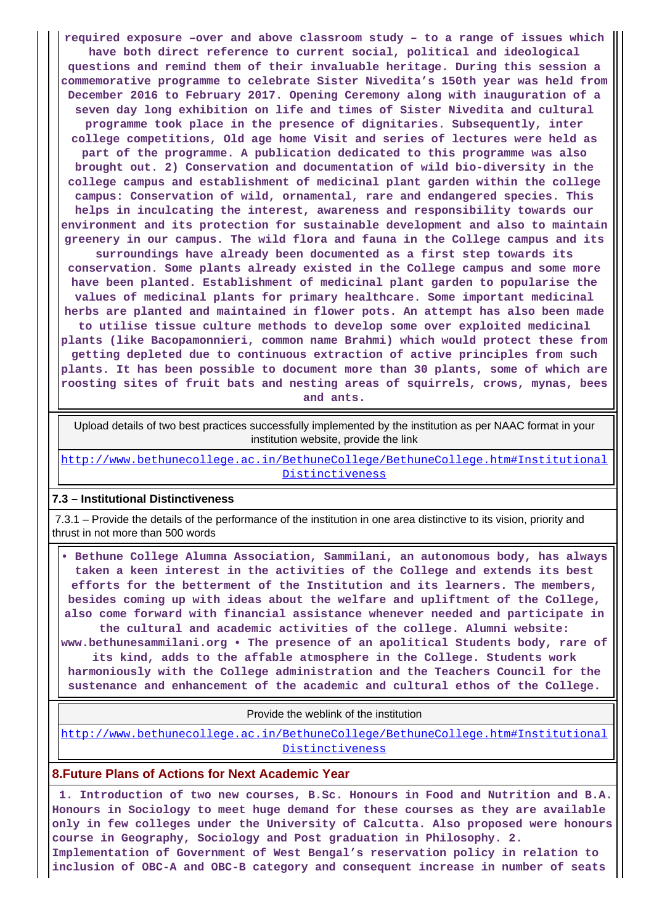**required exposure –over and above classroom study – to a range of issues which have both direct reference to current social, political and ideological questions and remind them of their invaluable heritage. During this session a commemorative programme to celebrate Sister Nivedita's 150th year was held from December 2016 to February 2017. Opening Ceremony along with inauguration of a seven day long exhibition on life and times of Sister Nivedita and cultural programme took place in the presence of dignitaries. Subsequently, inter college competitions, Old age home Visit and series of lectures were held as part of the programme. A publication dedicated to this programme was also brought out. 2) Conservation and documentation of wild bio-diversity in the college campus and establishment of medicinal plant garden within the college campus: Conservation of wild, ornamental, rare and endangered species. This helps in inculcating the interest, awareness and responsibility towards our environment and its protection for sustainable development and also to maintain greenery in our campus. The wild flora and fauna in the College campus and its surroundings have already been documented as a first step towards its conservation. Some plants already existed in the College campus and some more have been planted. Establishment of medicinal plant garden to popularise the values of medicinal plants for primary healthcare. Some important medicinal herbs are planted and maintained in flower pots. An attempt has also been made to utilise tissue culture methods to develop some over exploited medicinal plants (like Bacopamonnieri, common name Brahmi) which would protect these from getting depleted due to continuous extraction of active principles from such plants. It has been possible to document more than 30 plants, some of which are roosting sites of fruit bats and nesting areas of squirrels, crows, mynas, bees and ants.**

 Upload details of two best practices successfully implemented by the institution as per NAAC format in your institution website, provide the link

[http://www.bethunecollege.ac.in/BethuneCollege/BethuneCollege.htm#Institutional](http://www.bethunecollege.ac.in/BethuneCollege/BethuneCollege.htm#InstitutionalDistinctiveness) [Distinctiveness](http://www.bethunecollege.ac.in/BethuneCollege/BethuneCollege.htm#InstitutionalDistinctiveness)

#### **7.3 – Institutional Distinctiveness**

 7.3.1 – Provide the details of the performance of the institution in one area distinctive to its vision, priority and thrust in not more than 500 words

 **• Bethune College Alumna Association, Sammilani, an autonomous body, has always taken a keen interest in the activities of the College and extends its best efforts for the betterment of the Institution and its learners. The members, besides coming up with ideas about the welfare and upliftment of the College, also come forward with financial assistance whenever needed and participate in the cultural and academic activities of the college. Alumni website: www.bethunesammilani.org • The presence of an apolitical Students body, rare of its kind, adds to the affable atmosphere in the College. Students work harmoniously with the College administration and the Teachers Council for the sustenance and enhancement of the academic and cultural ethos of the College.**

Provide the weblink of the institution

[http://www.bethunecollege.ac.in/BethuneCollege/BethuneCollege.htm#Institutional](http://www.bethunecollege.ac.in/BethuneCollege/BethuneCollege.htm#InstitutionalDistinctiveness) [Distinctiveness](http://www.bethunecollege.ac.in/BethuneCollege/BethuneCollege.htm#InstitutionalDistinctiveness)

## **8.Future Plans of Actions for Next Academic Year**

 **1. Introduction of two new courses, B.Sc. Honours in Food and Nutrition and B.A. Honours in Sociology to meet huge demand for these courses as they are available only in few colleges under the University of Calcutta. Also proposed were honours course in Geography, Sociology and Post graduation in Philosophy. 2.**

**Implementation of Government of West Bengal's reservation policy in relation to inclusion of OBC-A and OBC-B category and consequent increase in number of seats**